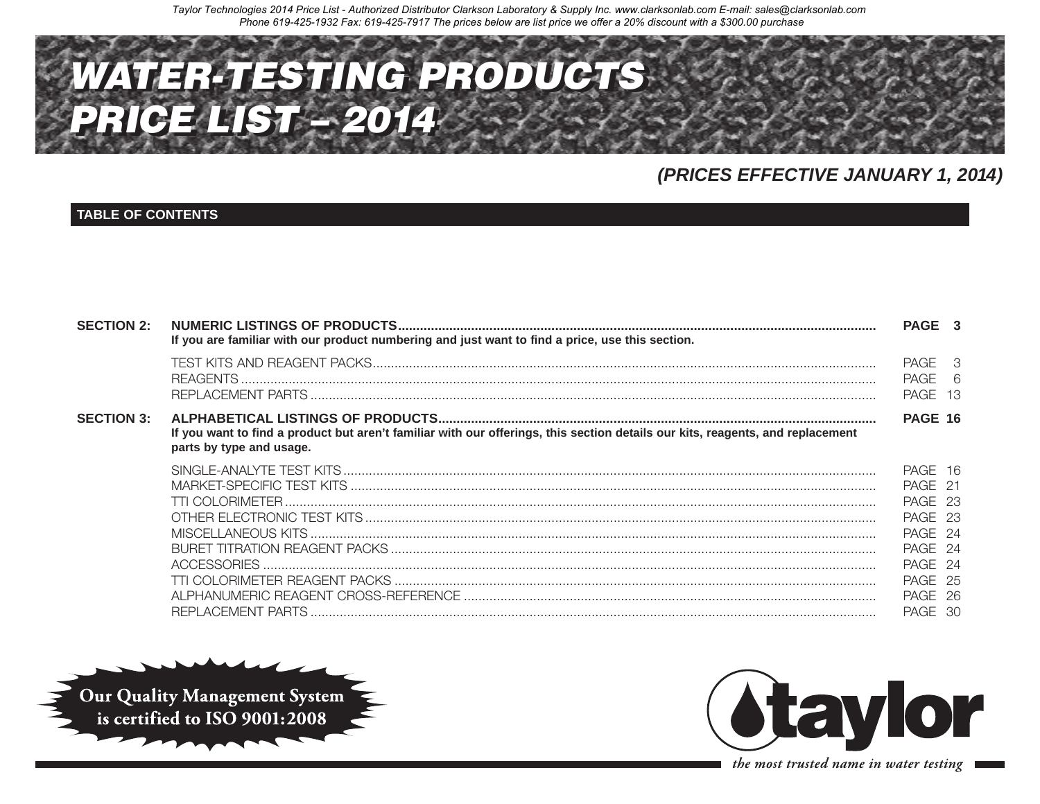

# (PRICES EFFECTIVE JANUARY 1, 2014)

## **TABLE OF CONTENTS**

| <b>SECTION 2:</b> | If you are familiar with our product numbering and just want to find a price, use this section.                                                            | PAGE 3                                                                                                     |  |
|-------------------|------------------------------------------------------------------------------------------------------------------------------------------------------------|------------------------------------------------------------------------------------------------------------|--|
|                   |                                                                                                                                                            | PAGE 3<br>PAGE 6<br>PAGE 13                                                                                |  |
| <b>SECTION 3:</b> | If you want to find a product but aren't familiar with our offerings, this section details our kits, reagents, and replacement<br>parts by type and usage. | <b>PAGE 16</b>                                                                                             |  |
|                   |                                                                                                                                                            | PAGE 16<br>PAGE 21<br>PAGE 23<br>PAGE 23<br>PAGE 24<br>PAGE 24<br>PAGE 24<br>PAGE 25<br>PAGE 26<br>PAGE 30 |  |





the most trusted name in water testing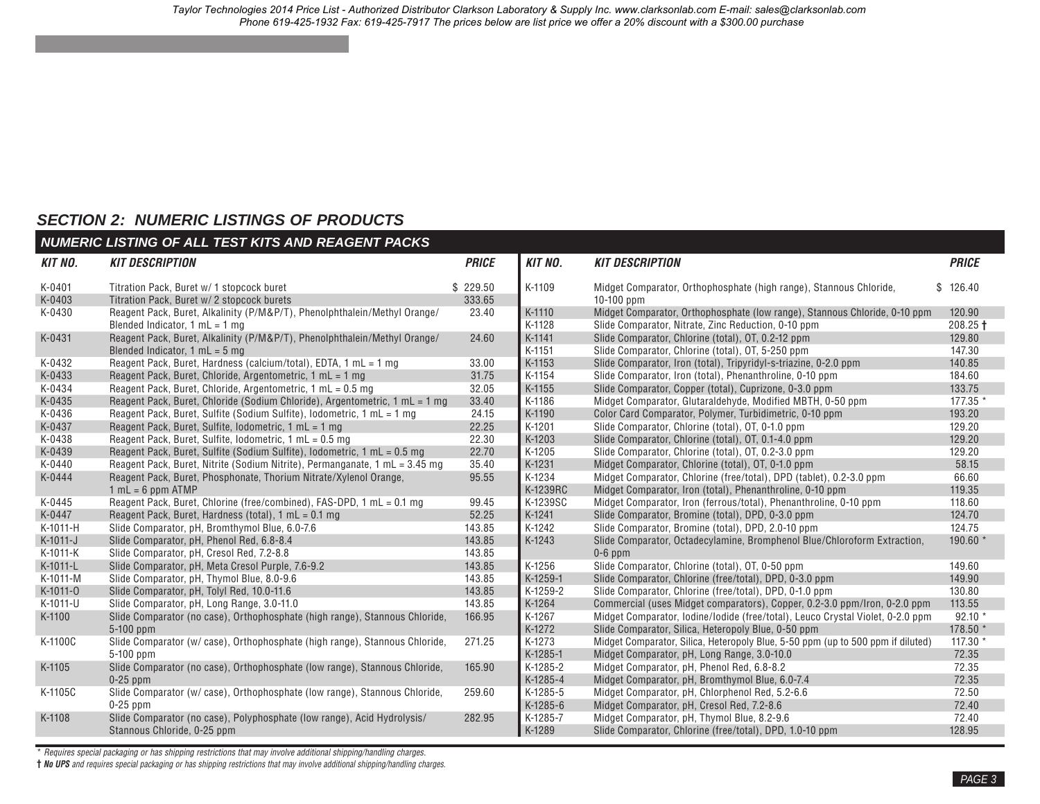# <span id="page-1-0"></span>*SECTION 2: NUMERIC LISTINGS OF PRODUCTS*

|                | <b>NUMERIC LISTING OF ALL TEST KITS AND REAGENT PACKS</b>                   |              |                |                                                                                 |              |
|----------------|-----------------------------------------------------------------------------|--------------|----------------|---------------------------------------------------------------------------------|--------------|
| <b>KIT NO.</b> | <b>KIT DESCRIPTION</b>                                                      | <b>PRICE</b> | <b>KIT NO.</b> | <b>KIT DESCRIPTION</b>                                                          | <b>PRICE</b> |
| K-0401         | Titration Pack, Buret w/ 1 stopcock buret                                   | \$229.50     | K-1109         | Midget Comparator, Orthophosphate (high range), Stannous Chloride,              | \$126.40     |
| K-0403         | Titration Pack, Buret w/ 2 stopcock burets                                  | 333.65       |                | $10-100$ ppm                                                                    |              |
| K-0430         | Reagent Pack, Buret, Alkalinity (P/M&P/T), Phenolphthalein/Methyl Orange/   | 23.40        | K-1110         | Midget Comparator, Orthophosphate (low range), Stannous Chloride, 0-10 ppm      | 120.90       |
|                | Blended Indicator, $1 mL = 1 mg$                                            |              | K-1128         | Slide Comparator, Nitrate, Zinc Reduction, 0-10 ppm                             | $208.25 +$   |
| K-0431         | Reagent Pack, Buret, Alkalinity (P/M&P/T), Phenolphthalein/Methyl Orange/   | 24.60        | K-1141         | Slide Comparator, Chlorine (total), OT, 0.2-12 ppm                              | 129.80       |
|                | Blended Indicator, $1 mL = 5 mg$                                            |              | K-1151         | Slide Comparator, Chlorine (total), OT, 5-250 ppm                               | 147.30       |
| K-0432         | Reagent Pack, Buret, Hardness (calcium/total), EDTA, 1 mL = 1 mg            | 33.00        | K-1153         | Slide Comparator, Iron (total), Tripyridyl-s-triazine, 0-2.0 ppm                | 140.85       |
| K-0433         | Reagent Pack, Buret, Chloride, Argentometric, 1 mL = 1 mg                   | 31.75        | K-1154         | Slide Comparator, Iron (total), Phenanthroline, 0-10 ppm                        | 184.60       |
| K-0434         | Reagent Pack, Buret, Chloride, Argentometric, 1 mL = 0.5 mg                 | 32.05        | K-1155         | Slide Comparator, Copper (total), Cuprizone, 0-3.0 ppm                          | 133.75       |
| K-0435         | Reagent Pack, Buret, Chloride (Sodium Chloride), Argentometric, 1 mL = 1 mg | 33.40        | K-1186         | Midget Comparator, Glutaraldehyde, Modified MBTH, 0-50 ppm                      | 177.35 *     |
| K-0436         | Reagent Pack, Buret, Sulfite (Sodium Sulfite), Iodometric, 1 mL = 1 mg      | 24.15        | K-1190         | Color Card Comparator, Polymer, Turbidimetric, 0-10 ppm                         | 193.20       |
| K-0437         | Reagent Pack, Buret, Sulfite, Iodometric, 1 mL = 1 mg                       | 22.25        | K-1201         | Slide Comparator, Chlorine (total), OT, 0-1.0 ppm                               | 129.20       |
| K-0438         | Reagent Pack, Buret, Sulfite, Iodometric, 1 mL = 0.5 mg                     | 22.30        | K-1203         | Slide Comparator, Chlorine (total), OT, 0.1-4.0 ppm                             | 129.20       |
| K-0439         | Reagent Pack, Buret, Sulfite (Sodium Sulfite), Iodometric, 1 mL = 0.5 mg    | 22.70        | K-1205         | Slide Comparator, Chlorine (total), OT, 0.2-3.0 ppm                             | 129.20       |
| K-0440         | Reagent Pack, Buret, Nitrite (Sodium Nitrite), Permanganate, 1 mL = 3.45 mg | 35.40        | K-1231         | Midget Comparator, Chlorine (total), OT, 0-1.0 ppm                              | 58.15        |
| K-0444         | Reagent Pack, Buret, Phosphonate, Thorium Nitrate/Xylenol Orange,           | 95.55        | K-1234         | Midget Comparator, Chlorine (free/total), DPD (tablet), 0.2-3.0 ppm             | 66.60        |
|                | $1 mL = 6 ppm ATMP$                                                         |              | K-1239RC       | Midget Comparator, Iron (total), Phenanthroline, 0-10 ppm                       | 119.35       |
| K-0445         | Reagent Pack, Buret, Chlorine (free/combined), FAS-DPD, 1 mL = 0.1 mg       | 99.45        | K-1239SC       | Midget Comparator, Iron (ferrous/total), Phenanthroline, 0-10 ppm               | 118.60       |
| K-0447         | Reagent Pack, Buret, Hardness (total), 1 mL = 0.1 mg                        | 52.25        | K-1241         | Slide Comparator, Bromine (total), DPD, 0-3.0 ppm                               | 124.70       |
| K-1011-H       | Slide Comparator, pH, Bromthymol Blue, 6.0-7.6                              | 143.85       | K-1242         | Slide Comparator, Bromine (total), DPD, 2.0-10 ppm                              | 124.75       |
| K-1011-J       | Slide Comparator, pH, Phenol Red, 6.8-8.4                                   | 143.85       | K-1243         | Slide Comparator, Octadecylamine, Bromphenol Blue/Chloroform Extraction,        | 190.60 *     |
| K-1011-K       | Slide Comparator, pH, Cresol Red, 7.2-8.8                                   | 143.85       |                | $0-6$ ppm                                                                       |              |
| K-1011-L       | Slide Comparator, pH, Meta Cresol Purple, 7.6-9.2                           | 143.85       | K-1256         | Slide Comparator, Chlorine (total), OT, 0-50 ppm                                | 149.60       |
| K-1011-M       | Slide Comparator, pH, Thymol Blue, 8.0-9.6                                  | 143.85       | K-1259-1       | Slide Comparator, Chlorine (free/total), DPD, 0-3.0 ppm                         | 149.90       |
| K-1011-0       | Slide Comparator, pH, Tolyl Red, 10.0-11.6                                  | 143.85       | K-1259-2       | Slide Comparator, Chlorine (free/total), DPD, 0-1.0 ppm                         | 130.80       |
| K-1011-U       | Slide Comparator, pH, Long Range, 3.0-11.0                                  | 143.85       | K-1264         | Commercial (uses Midget comparators), Copper, 0.2-3.0 ppm/lron, 0-2.0 ppm       | 113.55       |
| K-1100         | Slide Comparator (no case), Orthophosphate (high range), Stannous Chloride, | 166.95       | K-1267         | Midget Comparator, Iodine/Iodide (free/total), Leuco Crystal Violet, 0-2.0 ppm  | $92.10*$     |
|                | $5-100$ ppm                                                                 |              | K-1272         | Slide Comparator, Silica, Heteropoly Blue, 0-50 ppm                             | 178.50 *     |
| K-1100C        | Slide Comparator (w/ case), Orthophosphate (high range), Stannous Chloride, | 271.25       | K-1273         | Midget Comparator, Silica, Heteropoly Blue, 5-50 ppm (up to 500 ppm if diluted) | 117.30 *     |
|                | $5-100$ ppm                                                                 |              | K-1285-1       | Midget Comparator, pH, Long Range, 3.0-10.0                                     | 72.35        |
| K-1105         | Slide Comparator (no case), Orthophosphate (low range), Stannous Chloride,  | 165.90       | K-1285-2       | Midget Comparator, pH, Phenol Red, 6.8-8.2                                      | 72.35        |
|                | $0-25$ ppm                                                                  |              | K-1285-4       | Midget Comparator, pH, Bromthymol Blue, 6.0-7.4                                 | 72.35        |
| K-1105C        | Slide Comparator (w/ case), Orthophosphate (low range), Stannous Chloride,  | 259.60       | K-1285-5       | Midget Comparator, pH, Chlorphenol Red, 5.2-6.6                                 | 72.50        |
|                | $0-25$ ppm                                                                  |              | K-1285-6       | Midget Comparator, pH, Cresol Red, 7.2-8.6                                      | 72.40        |
| K-1108         | Slide Comparator (no case), Polyphosphate (low range), Acid Hydrolysis/     | 282.95       | K-1285-7       | Midget Comparator, pH, Thymol Blue, 8.2-9.6                                     | 72.40        |
|                | Stannous Chloride, 0-25 ppm                                                 |              | K-1289         | Slide Comparator, Chlorine (free/total), DPD, 1.0-10 ppm                        | 128.95       |
|                |                                                                             |              |                |                                                                                 |              |

\* *Requires special packaging or has shipping restrictions that may involve additional shipping/handling charges.*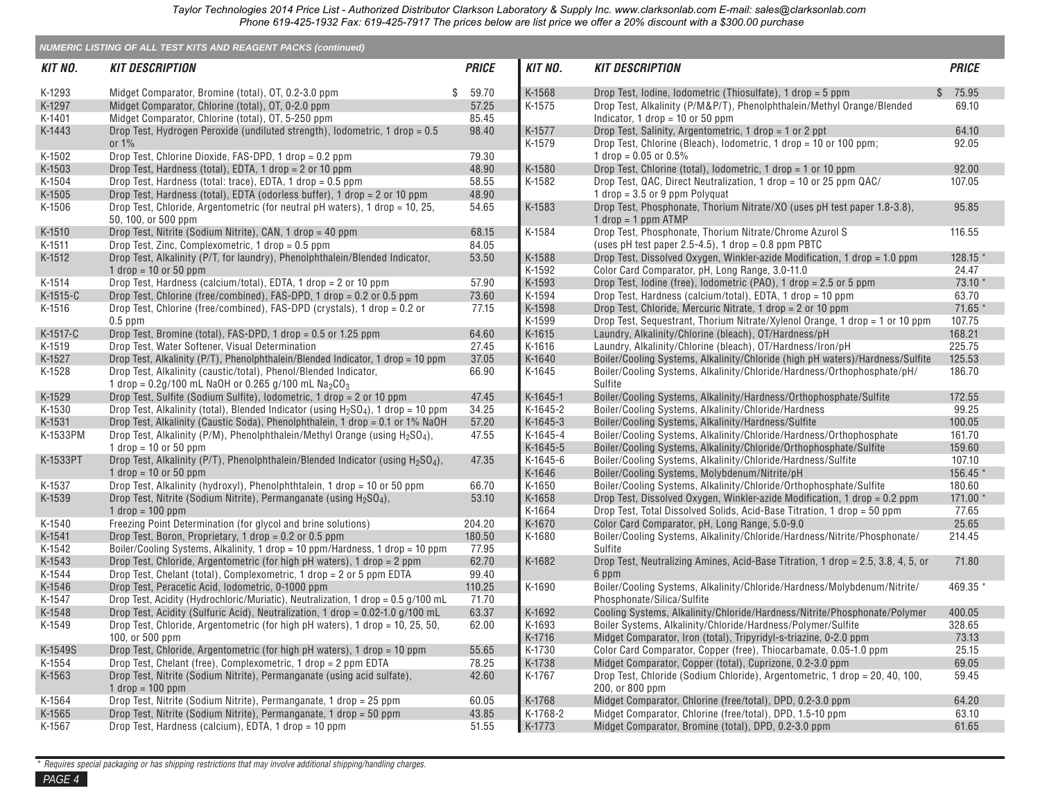|                  | <b>NUMERIC LISTING OF ALL TEST KITS AND REAGENT PACKS (continued)</b>                                                                     |              |                      |                                                                                                                                             |                  |
|------------------|-------------------------------------------------------------------------------------------------------------------------------------------|--------------|----------------------|---------------------------------------------------------------------------------------------------------------------------------------------|------------------|
| KIT NO.          | <b>KIT DESCRIPTION</b>                                                                                                                    | <b>PRICE</b> | <b>KIT NO.</b>       | <b>KIT DESCRIPTION</b>                                                                                                                      | <b>PRICE</b>     |
| K-1293           | Midget Comparator, Bromine (total), OT, 0.2-3.0 ppm                                                                                       | \$<br>59.70  | K-1568               | Drop Test, Iodine, Iodometric (Thiosulfate), 1 drop = 5 ppm                                                                                 | 75.95<br>.S      |
| K-1297           | Midget Comparator, Chlorine (total), OT, 0-2.0 ppm                                                                                        | 57.25        | K-1575               | Drop Test, Alkalinity (P/M&P/T), Phenolphthalein/Methyl Orange/Blended                                                                      | 69.10            |
| K-1401           | Midget Comparator, Chlorine (total), OT, 5-250 ppm                                                                                        | 85.45        |                      | Indicator, 1 drop = $10$ or 50 ppm                                                                                                          |                  |
| K-1443           | Drop Test, Hydrogen Peroxide (undiluted strength), lodometric, 1 drop = 0.5                                                               | 98.40        | K-1577               | Drop Test, Salinity, Argentometric, 1 drop = 1 or 2 ppt                                                                                     | 64.10            |
|                  | or $1\%$                                                                                                                                  |              | K-1579               | Drop Test, Chlorine (Bleach), Iodometric, 1 drop = 10 or 100 ppm;                                                                           | 92.05            |
| K-1502           | Drop Test, Chlorine Dioxide, FAS-DPD, 1 drop = 0.2 ppm                                                                                    | 79.30        |                      | 1 drop = $0.05$ or $0.5\%$                                                                                                                  |                  |
| K-1503           | Drop Test, Hardness (total), EDTA, 1 drop = 2 or 10 ppm                                                                                   | 48.90        | K-1580               | Drop Test, Chlorine (total), lodometric, 1 drop = 1 or 10 ppm                                                                               | 92.00            |
| K-1504           | Drop Test, Hardness (total: trace), EDTA, 1 drop = 0.5 ppm                                                                                | 58.55        | K-1582               | Drop Test, QAC, Direct Neutralization, 1 drop = 10 or 25 ppm QAC/                                                                           | 107.05           |
| K-1505           | Drop Test, Hardness (total), EDTA (odorless buffer), 1 drop = 2 or 10 ppm                                                                 | 48.90        |                      | 1 drop = $3.5$ or 9 ppm Polyquat                                                                                                            |                  |
| K-1506           | Drop Test, Chloride, Argentometric (for neutral pH waters), 1 drop = 10, 25,<br>50, 100, or 500 ppm                                       | 54.65        | K-1583               | Drop Test, Phosphonate, Thorium Nitrate/XO (uses pH test paper 1.8-3.8),<br>$1$ drop = 1 ppm ATMP                                           | 95.85            |
| K-1510           | Drop Test, Nitrite (Sodium Nitrite), CAN, 1 drop = 40 ppm                                                                                 | 68.15        | K-1584               | Drop Test, Phosphonate, Thorium Nitrate/Chrome Azurol S                                                                                     | 116.55           |
| K-1511           | Drop Test, Zinc, Complexometric, 1 drop = 0.5 ppm                                                                                         | 84.05        |                      | (uses pH test paper 2.5-4.5), 1 drop = $0.8$ ppm PBTC                                                                                       |                  |
| K-1512           | Drop Test, Alkalinity (P/T, for laundry), Phenolphthalein/Blended Indicator,                                                              | 53.50        | K-1588               | Drop Test, Dissolved Oxygen, Winkler-azide Modification, 1 drop = 1.0 ppm                                                                   | 128.15 *         |
|                  | 1 drop = $10$ or $50$ ppm                                                                                                                 |              | K-1592               | Color Card Comparator, pH, Long Range, 3.0-11.0                                                                                             | 24.47            |
| K-1514           | Drop Test, Hardness (calcium/total), EDTA, 1 drop = 2 or 10 ppm                                                                           | 57.90        | K-1593               | Drop Test, lodine (free), lodometric (PAO), 1 drop = 2.5 or 5 ppm                                                                           | 73.10 *          |
| K-1515-C         | Drop Test, Chlorine (free/combined), FAS-DPD, 1 drop = 0.2 or 0.5 ppm                                                                     | 73.60        | K-1594               | Drop Test, Hardness (calcium/total), EDTA, 1 drop = 10 ppm                                                                                  | 63.70<br>71.65 * |
| K-1516           | Drop Test, Chlorine (free/combined), FAS-DPD (crystals), 1 drop = 0.2 or                                                                  | 77.15        | K-1598<br>K-1599     | Drop Test, Chloride, Mercuric Nitrate, 1 drop = 2 or 10 ppm<br>Drop Test, Sequestrant, Thorium Nitrate/Xylenol Orange, 1 drop = 1 or 10 ppm | 107.75           |
| K-1517-C         | $0.5$ ppm<br>Drop Test, Bromine (total), FAS-DPD, 1 drop = 0.5 or 1.25 ppm                                                                | 64.60        | K-1615               | Laundry, Alkalinity/Chlorine (bleach), OT/Hardness/pH                                                                                       | 168.21           |
| K-1519           | Drop Test, Water Softener, Visual Determination                                                                                           | 27.45        | K-1616               | Laundry, Alkalinity/Chlorine (bleach), OT/Hardness/Iron/pH                                                                                  | 225.75           |
| K-1527           | Drop Test, Alkalinity (P/T), Phenolphthalein/Blended Indicator, 1 drop = 10 ppm                                                           | 37.05        | K-1640               | Boiler/Cooling Systems, Alkalinity/Chloride (high pH waters)/Hardness/Sulfite                                                               | 125.53           |
| K-1528           | Drop Test, Alkalinity (caustic/total), Phenol/Blended Indicator,                                                                          | 66.90        | K-1645               | Boiler/Cooling Systems, Alkalinity/Chloride/Hardness/Orthophosphate/pH/                                                                     | 186.70           |
|                  | 1 drop = $0.2g/100$ mL NaOH or 0.265 g/100 mL Na <sub>2</sub> CO <sub>3</sub>                                                             |              |                      | Sulfite                                                                                                                                     |                  |
| K-1529           | Drop Test, Sulfite (Sodium Sulfite), Iodometric, 1 drop = 2 or 10 ppm                                                                     | 47.45        | K-1645-1             | Boiler/Cooling Systems, Alkalinity/Hardness/Orthophosphate/Sulfite                                                                          | 172.55           |
| K-1530           | Drop Test, Alkalinity (total), Blended Indicator (using $H_2SO_4$ ), 1 drop = 10 ppm                                                      | 34.25        | K-1645-2             | Boiler/Cooling Systems, Alkalinity/Chloride/Hardness                                                                                        | 99.25            |
| K-1531           | Drop Test, Alkalinity (Caustic Soda), Phenolphthalein, 1 drop = 0.1 or 1% NaOH                                                            | 57.20        | K-1645-3             | Boiler/Cooling Systems, Alkalinity/Hardness/Sulfite                                                                                         | 100.05           |
| K-1533PM         | Drop Test, Alkalinity (P/M), Phenolphthalein/Methyl Orange (using H <sub>2</sub> SO <sub>4</sub> ),<br>1 drop = $10$ or $50$ ppm          | 47.55        | K-1645-4<br>K-1645-5 | Boiler/Cooling Systems, Alkalinity/Chloride/Hardness/Orthophosphate<br>Boiler/Cooling Systems, Alkalinity/Chloride/Orthophosphate/Sulfite   | 161.70<br>159.60 |
| K-1533PT         | Drop Test, Alkalinity (P/T), Phenolphthalein/Blended Indicator (using H <sub>2</sub> SO <sub>4</sub> ),                                   | 47.35        | K-1645-6             | Boiler/Cooling Systems, Alkalinity/Chloride/Hardness/Sulfite                                                                                | 107.10           |
|                  | 1 drop = $10$ or $50$ ppm                                                                                                                 |              | K-1646               | Boiler/Cooling Systems, Molybdenum/Nitrite/pH                                                                                               | 156.45 *         |
| K-1537           | Drop Test, Alkalinity (hydroxyl), Phenolphthtalein, 1 drop = 10 or 50 ppm                                                                 | 66.70        | K-1650               | Boiler/Cooling Systems, Alkalinity/Chloride/Orthophosphate/Sulfite                                                                          | 180.60           |
| K-1539           | Drop Test, Nitrite (Sodium Nitrite), Permanganate (using H <sub>2</sub> SO <sub>4</sub> ),                                                | 53.10        | K-1658               | Drop Test, Dissolved Oxygen, Winkler-azide Modification, 1 drop = 0.2 ppm                                                                   | 171.00 *         |
|                  | $1$ drop = $100$ ppm                                                                                                                      |              | K-1664               | Drop Test, Total Dissolved Solids, Acid-Base Titration, 1 drop = 50 ppm                                                                     | 77.65            |
| K-1540           | Freezing Point Determination (for glycol and brine solutions)                                                                             | 204.20       | K-1670               | Color Card Comparator, pH, Long Range, 5.0-9.0                                                                                              | 25.65            |
| K-1541           | Drop Test, Boron, Proprietary, 1 drop = 0.2 or 0.5 ppm                                                                                    | 180.50       | K-1680               | Boiler/Cooling Systems, Alkalinity/Chloride/Hardness/Nitrite/Phosphonate/                                                                   | 214.45           |
| K-1542           | Boiler/Cooling Systems, Alkalinity, 1 drop = 10 ppm/Hardness, 1 drop = 10 ppm                                                             | 77.95        |                      | Sulfite                                                                                                                                     |                  |
| K-1543           | Drop Test, Chloride, Argentometric (for high pH waters), 1 drop = 2 ppm                                                                   | 62.70        | K-1682               | Drop Test, Neutralizing Amines, Acid-Base Titration, 1 drop = 2.5, 3.8, 4, 5, or                                                            | 71.80            |
| K-1544           | Drop Test, Chelant (total), Complexometric, 1 drop = 2 or 5 ppm EDTA                                                                      | 99.40        |                      | 6 ppm                                                                                                                                       |                  |
| K-1546           | Drop Test, Peracetic Acid, Iodometric, 0-1000 ppm                                                                                         | 110.25       | K-1690               | Boiler/Cooling Systems, Alkalinity/Chloride/Hardness/Molybdenum/Nitrite/                                                                    | 469.35 *         |
| K-1547           | Drop Test, Acidity (Hydrochloric/Muriatic), Neutralization, 1 drop = 0.5 g/100 mL                                                         | 71.70        |                      | Phosphonate/Silica/Sulfite                                                                                                                  |                  |
| K-1548           | Drop Test, Acidity (Sulfuric Acid), Neutralization, 1 drop = 0.02-1.0 g/100 mL                                                            | 63.37        | K-1692               | Cooling Systems, Alkalinity/Chloride/Hardness/Nitrite/Phosphonate/Polymer                                                                   | 400.05           |
| K-1549           | Drop Test, Chloride, Argentometric (for high pH waters), 1 drop = 10, 25, 50,                                                             | 62.00        | K-1693               | Boiler Systems, Alkalinity/Chloride/Hardness/Polymer/Sulfite                                                                                | 328.65           |
|                  | 100, or 500 ppm                                                                                                                           |              | K-1716<br>K-1730     | Midget Comparator, Iron (total), Tripyridyl-s-triazine, 0-2.0 ppm                                                                           | 73.13            |
| K-1549S          | Drop Test, Chloride, Argentometric (for high pH waters), 1 drop = 10 ppm                                                                  | 55.65        |                      | Color Card Comparator, Copper (free), Thiocarbamate, 0.05-1.0 ppm                                                                           | 25.15            |
| K-1554<br>K-1563 | Drop Test, Chelant (free), Complexometric, 1 drop = 2 ppm EDTA<br>Drop Test, Nitrite (Sodium Nitrite), Permanganate (using acid sulfate), | 78.25        | K-1738<br>K-1767     | Midget Comparator, Copper (total), Cuprizone, 0.2-3.0 ppm<br>Drop Test, Chloride (Sodium Chloride), Argentometric, 1 drop = 20, 40, 100,    | 69.05<br>59.45   |
|                  | $1$ drop = $100$ ppm                                                                                                                      | 42.60        |                      | 200, or 800 ppm                                                                                                                             |                  |
| K-1564           | Drop Test, Nitrite (Sodium Nitrite), Permanganate, 1 drop = 25 ppm                                                                        | 60.05        | K-1768               | Midget Comparator, Chlorine (free/total), DPD, 0.2-3.0 ppm                                                                                  | 64.20            |
| K-1565           | Drop Test, Nitrite (Sodium Nitrite), Permanganate, 1 drop = 50 ppm                                                                        | 43.85        | K-1768-2             | Midget Comparator, Chlorine (free/total), DPD, 1.5-10 ppm                                                                                   | 63.10            |
| K-1567           | Drop Test, Hardness (calcium), EDTA, 1 drop = 10 ppm                                                                                      | 51.55        | K-1773               | Midget Comparator, Bromine (total), DPD, 0.2-3.0 ppm                                                                                        | 61.65            |

\* *Requires special packaging or has shipping restrictions that may involve additional shipping/handling charges.*

*PAGE 4*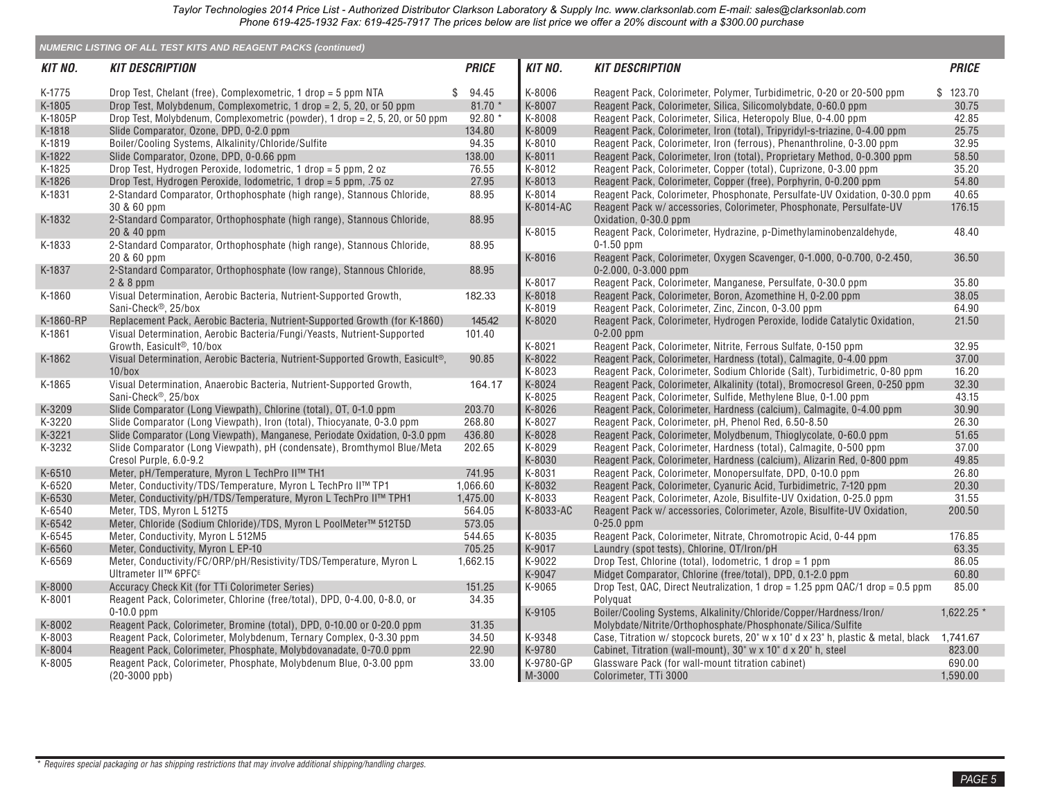|           | <b>NUMERIC LISTING OF ALL TEST KITS AND REAGENT PACKS (continued)</b>                                    |              |                |                                                                                                                                                  |              |
|-----------|----------------------------------------------------------------------------------------------------------|--------------|----------------|--------------------------------------------------------------------------------------------------------------------------------------------------|--------------|
| KIT NO.   | <b>KIT DESCRIPTION</b>                                                                                   | <b>PRICE</b> | <b>KIT NO.</b> | <b>KIT DESCRIPTION</b>                                                                                                                           | <b>PRICE</b> |
| K-1775    | Drop Test, Chelant (free), Complexometric, 1 drop = $5$ ppm NTA                                          | \$94.45      | K-8006         | Reagent Pack, Colorimeter, Polymer, Turbidimetric, 0-20 or 20-500 ppm                                                                            | \$123.70     |
| K-1805    | Drop Test, Molybdenum, Complexometric, 1 drop = 2, 5, 20, or 50 ppm                                      | $81.70*$     | K-8007         | Reagent Pack, Colorimeter, Silica, Silicomolybdate, 0-60.0 ppm                                                                                   | 30.75        |
| K-1805P   | Drop Test, Molybdenum, Complexometric (powder), 1 drop = 2, 5, 20, or 50 ppm                             | 92.80        | K-8008         | Reagent Pack, Colorimeter, Silica, Heteropoly Blue, 0-4.00 ppm                                                                                   | 42.85        |
| K-1818    | Slide Comparator, Ozone, DPD, 0-2.0 ppm                                                                  | 134.80       | K-8009         | Reagent Pack, Colorimeter, Iron (total), Tripyridyl-s-triazine, 0-4.00 ppm                                                                       | 25.75        |
| K-1819    | Boiler/Cooling Systems, Alkalinity/Chloride/Sulfite                                                      | 94.35        | K-8010         | Reagent Pack, Colorimeter, Iron (ferrous), Phenanthroline, 0-3.00 ppm                                                                            | 32.95        |
| K-1822    | Slide Comparator, Ozone, DPD, 0-0.66 ppm                                                                 | 138.00       | K-8011         | Reagent Pack, Colorimeter, Iron (total), Proprietary Method, 0-0.300 ppm                                                                         | 58.50        |
| K-1825    | Drop Test, Hydrogen Peroxide, Iodometric, 1 drop = 5 ppm, 2 oz                                           | 76.55        | K-8012         | Reagent Pack, Colorimeter, Copper (total), Cuprizone, 0-3.00 ppm                                                                                 | 35.20        |
| K-1826    | Drop Test, Hydrogen Peroxide, Iodometric, 1 drop = 5 ppm, .75 oz                                         | 27.95        | K-8013         | Reagent Pack, Colorimeter, Copper (free), Porphyrin, 0-0.200 ppm                                                                                 | 54.80        |
| K-1831    | 2-Standard Comparator, Orthophosphate (high range), Stannous Chloride,                                   | 88.95        | K-8014         | Reagent Pack, Colorimeter, Phosphonate, Persulfate-UV Oxidation, 0-30.0 ppm                                                                      | 40.65        |
|           | 30 & 60 ppm                                                                                              |              | K-8014-AC      | Reagent Pack w/ accessories, Colorimeter, Phosphonate, Persulfate-UV                                                                             | 176.15       |
| K-1832    | 2-Standard Comparator, Orthophosphate (high range), Stannous Chloride,<br>20 & 40 ppm                    | 88.95        | K-8015         | Oxidation, 0-30.0 ppm<br>Reagent Pack, Colorimeter, Hydrazine, p-Dimethylaminobenzaldehyde,                                                      | 48.40        |
| K-1833    | 2-Standard Comparator, Orthophosphate (high range), Stannous Chloride,                                   | 88.95        |                | $0-1.50$ ppm                                                                                                                                     |              |
|           | 20 & 60 ppm                                                                                              |              | K-8016         | Reagent Pack, Colorimeter, Oxygen Scavenger, 0-1.000, 0-0.700, 0-2.450,                                                                          | 36.50        |
| K-1837    | 2-Standard Comparator, Orthophosphate (low range), Stannous Chloride,                                    | 88.95        |                | $0 - 2.000$ , $0 - 3.000$ ppm                                                                                                                    |              |
|           | 2 & 8 ppm                                                                                                |              | K-8017         | Reagent Pack, Colorimeter, Manganese, Persulfate, 0-30.0 ppm                                                                                     | 35.80        |
| K-1860    | Visual Determination, Aerobic Bacteria, Nutrient-Supported Growth,                                       | 182.33       | K-8018         | Reagent Pack, Colorimeter, Boron, Azomethine H, 0-2.00 ppm                                                                                       | 38.05        |
|           | Sani-Check <sup>®</sup> , 25/box                                                                         |              | K-8019         | Reagent Pack, Colorimeter, Zinc, Zincon, 0-3.00 ppm                                                                                              | 64.90        |
| K-1860-RP | Replacement Pack, Aerobic Bacteria, Nutrient-Supported Growth (for K-1860)                               | 145.42       | K-8020         | Reagent Pack, Colorimeter, Hydrogen Peroxide, Iodide Catalytic Oxidation,                                                                        | 21.50        |
| K-1861    | Visual Determination, Aerobic Bacteria/Fungi/Yeasts, Nutrient-Supported                                  | 101.40       | K-8021         | $0 - 2.00$ ppm<br>Reagent Pack, Colorimeter, Nitrite, Ferrous Sulfate, 0-150 ppm                                                                 | 32.95        |
|           | Growth, Easicult <sup>®</sup> , 10/box                                                                   | 90.85        | K-8022         |                                                                                                                                                  | 37.00        |
| K-1862    | Visual Determination, Aerobic Bacteria, Nutrient-Supported Growth, Easicult®,<br>$10$ /box               |              | K-8023         | Reagent Pack, Colorimeter, Hardness (total), Calmagite, 0-4.00 ppm<br>Reagent Pack, Colorimeter, Sodium Chloride (Salt), Turbidimetric, 0-80 ppm | 16.20        |
|           |                                                                                                          |              | K-8024         |                                                                                                                                                  | 32.30        |
| K-1865    | Visual Determination, Anaerobic Bacteria, Nutrient-Supported Growth,<br>Sani-Check <sup>®</sup> , 25/box | 164.17       | K-8025         | Reagent Pack, Colorimeter, Alkalinity (total), Bromocresol Green, 0-250 ppm<br>Reagent Pack, Colorimeter, Sulfide, Methylene Blue, 0-1.00 ppm    | 43.15        |
| K-3209    | Slide Comparator (Long Viewpath), Chlorine (total), OT, 0-1.0 ppm                                        | 203.70       | K-8026         | Reagent Pack, Colorimeter, Hardness (calcium), Calmagite, 0-4.00 ppm                                                                             | 30.90        |
| K-3220    | Slide Comparator (Long Viewpath), Iron (total), Thiocyanate, 0-3.0 ppm                                   | 268.80       | K-8027         | Reagent Pack, Colorimeter, pH, Phenol Red, 6.50-8.50                                                                                             | 26.30        |
| K-3221    | Slide Comparator (Long Viewpath), Manganese, Periodate Oxidation, 0-3.0 ppm                              | 436.80       | K-8028         | Reagent Pack, Colorimeter, Molydbenum, Thioglycolate, 0-60.0 ppm                                                                                 | 51.65        |
| K-3232    | Slide Comparator (Long Viewpath), pH (condensate), Bromthymol Blue/Meta                                  | 202.65       | K-8029         | Reagent Pack, Colorimeter, Hardness (total), Calmagite, 0-500 ppm                                                                                | 37.00        |
|           | Cresol Purple, 6.0-9.2                                                                                   |              | K-8030         | Reagent Pack, Colorimeter, Hardness (calcium), Alizarin Red, 0-800 ppm                                                                           | 49.85        |
| K-6510    | Meter, pH/Temperature, Myron L TechPro II™ TH1                                                           | 741.95       | K-8031         | Reagent Pack, Colorimeter, Monopersulfate, DPD, 0-10.0 ppm                                                                                       | 26.80        |
| K-6520    | Meter, Conductivity/TDS/Temperature, Myron L TechPro II™ TP1                                             | 1,066.60     | K-8032         | Reagent Pack, Colorimeter, Cyanuric Acid, Turbidimetric, 7-120 ppm                                                                               | 20.30        |
| K-6530    | Meter, Conductivity/pH/TDS/Temperature, Myron L TechPro II™ TPH1                                         | 1,475.00     | K-8033         | Reagent Pack, Colorimeter, Azole, Bisulfite-UV Oxidation, 0-25.0 ppm                                                                             | 31.55        |
| K-6540    | Meter, TDS, Myron L 512T5                                                                                | 564.05       | K-8033-AC      | Reagent Pack w/ accessories, Colorimeter, Azole, Bisulfite-UV Oxidation,                                                                         | 200.50       |
| K-6542    | Meter, Chloride (Sodium Chloride)/TDS, Myron L PoolMeter™ 512T5D                                         | 573.05       |                | $0 - 25.0$ ppm                                                                                                                                   |              |
| K-6545    | Meter, Conductivity, Myron L 512M5                                                                       | 544.65       | K-8035         | Reagent Pack, Colorimeter, Nitrate, Chromotropic Acid, 0-44 ppm                                                                                  | 176.85       |
| K-6560    | Meter, Conductivity, Myron L EP-10                                                                       | 705.25       | K-9017         | Laundry (spot tests), Chlorine, OT/Iron/pH                                                                                                       | 63.35        |
| K-6569    | Meter, Conductivity/FC/ORP/pH/Resistivity/TDS/Temperature, Myron L                                       | 1,662.15     | K-9022         | Drop Test, Chlorine (total), Iodometric, 1 drop $=$ 1 ppm                                                                                        | 86.05        |
|           | Ultrameter II™ 6PFC <sup>E</sup>                                                                         |              | K-9047         | Midget Comparator, Chlorine (free/total), DPD, 0.1-2.0 ppm                                                                                       | 60.80        |
| K-8000    | Accuracy Check Kit (for TTi Colorimeter Series)                                                          | 151.25       | K-9065         | Drop Test, QAC, Direct Neutralization, 1 drop = 1.25 ppm QAC/1 drop = 0.5 ppm                                                                    | 85.00        |
| K-8001    | Reagent Pack, Colorimeter, Chlorine (free/total), DPD, 0-4.00, 0-8.0, or                                 | 34.35        |                | Polvauat                                                                                                                                         |              |
|           | $0-10.0$ ppm                                                                                             |              | K-9105         | Boiler/Cooling Systems, Alkalinity/Chloride/Copper/Hardness/Iron/                                                                                | $1,622.25$ * |
| K-8002    | Reagent Pack, Colorimeter, Bromine (total), DPD, 0-10.00 or 0-20.0 ppm                                   | 31.35        |                | Molybdate/Nitrite/Orthophosphate/Phosphonate/Silica/Sulfite                                                                                      |              |
| K-8003    | Reagent Pack, Colorimeter, Molybdenum, Ternary Complex, 0-3.30 ppm                                       | 34.50        | K-9348         | Case, Titration w/ stopcock burets, 20" w x 10" d x 23" h, plastic & metal, black                                                                | 1,741.67     |
| K-8004    | Reagent Pack, Colorimeter, Phosphate, Molybdovanadate, 0-70.0 ppm                                        | 22.90        | K-9780         | Cabinet, Titration (wall-mount), 30" w x 10" d x 20" h, steel                                                                                    | 823.00       |
| K-8005    | Reagent Pack, Colorimeter, Phosphate, Molybdenum Blue, 0-3.00 ppm                                        | 33.00        | K-9780-GP      | Glassware Pack (for wall-mount titration cabinet)                                                                                                | 690.00       |
|           | $(20-3000$ ppb)                                                                                          |              | M-3000         | Colorimeter, TTi 3000                                                                                                                            | 1,590.00     |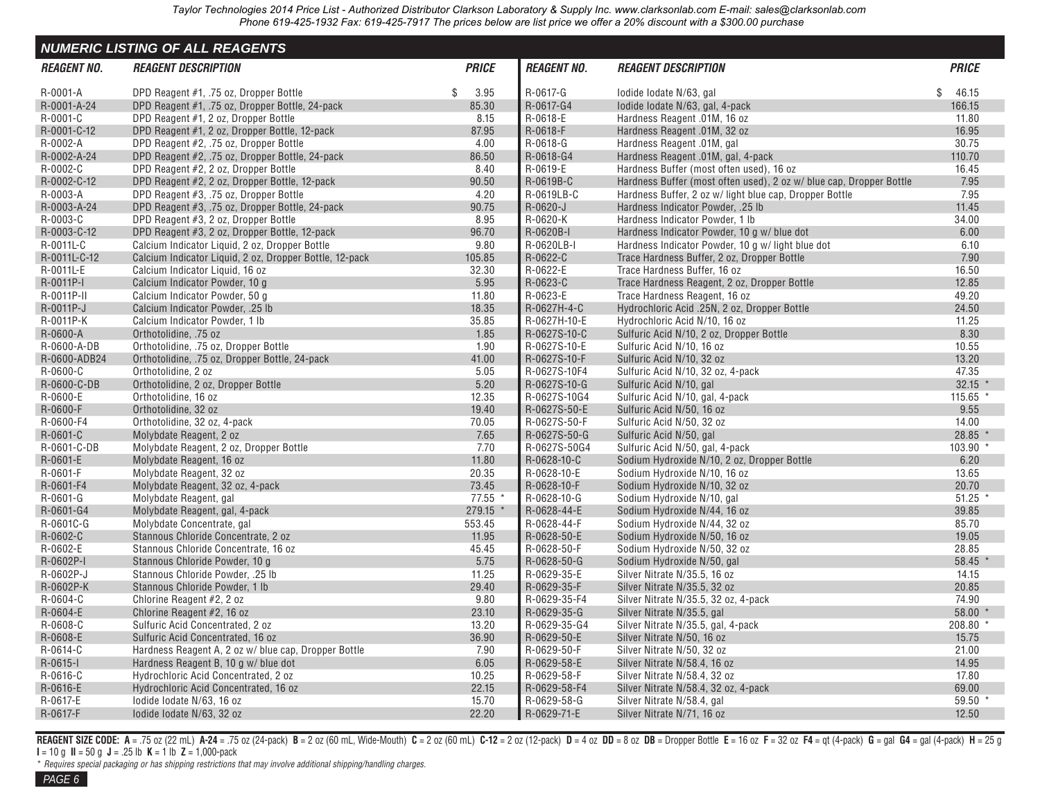<span id="page-4-0"></span>

|                    | <b>NUMERIC LISTING OF ALL REAGENTS</b>                  |              |                    |                                                                     |              |
|--------------------|---------------------------------------------------------|--------------|--------------------|---------------------------------------------------------------------|--------------|
| <b>REAGENT NO.</b> | <b>REAGENT DESCRIPTION</b>                              | <b>PRICE</b> | <b>REAGENT NO.</b> | <b>REAGENT DESCRIPTION</b>                                          | <b>PRICE</b> |
| R-0001-A           | DPD Reagent #1, .75 oz, Dropper Bottle                  | \$<br>3.95   | R-0617-G           | lodide lodate N/63, gal                                             | \$<br>46.15  |
| R-0001-A-24        | DPD Reagent #1, .75 oz, Dropper Bottle, 24-pack         | 85.30        | R-0617-G4          | lodide lodate N/63, gal, 4-pack                                     | 166.15       |
| R-0001-C           | DPD Reagent #1, 2 oz, Dropper Bottle                    | 8.15         | R-0618-E           | Hardness Reagent .01M, 16 oz                                        | 11.80        |
| R-0001-C-12        | DPD Reagent #1, 2 oz, Dropper Bottle, 12-pack           | 87.95        | R-0618-F           | Hardness Reagent .01M, 32 oz                                        | 16.95        |
| R-0002-A           | DPD Reagent #2, .75 oz, Dropper Bottle                  | 4.00         | R-0618-G           | Hardness Reagent .01M, gal                                          | 30.75        |
| R-0002-A-24        | DPD Reagent #2, .75 oz, Dropper Bottle, 24-pack         | 86.50        | R-0618-G4          | Hardness Reagent .01M, gal, 4-pack                                  | 110.70       |
| R-0002-C           | DPD Reagent #2, 2 oz, Dropper Bottle                    | 8.40         | R-0619-E           | Hardness Buffer (most often used), 16 oz                            | 16.45        |
| R-0002-C-12        | DPD Reagent #2, 2 oz, Dropper Bottle, 12-pack           | 90.50        | R-0619B-C          | Hardness Buffer (most often used), 2 oz w/ blue cap, Dropper Bottle | 7.95         |
| R-0003-A           | DPD Reagent #3, .75 oz, Dropper Bottle                  | 4.20         | R-0619LB-C         | Hardness Buffer, 2 oz w/light blue cap, Dropper Bottle              | 7.95         |
| R-0003-A-24        | DPD Reagent #3, .75 oz, Dropper Bottle, 24-pack         | 90.75        | R-0620-J           | Hardness Indicator Powder, .25 lb                                   | 11.45        |
| R-0003-C           | DPD Reagent #3, 2 oz, Dropper Bottle                    | 8.95         | R-0620-K           | Hardness Indicator Powder, 1 lb                                     | 34.00        |
| R-0003-C-12        | DPD Reagent #3, 2 oz, Dropper Bottle, 12-pack           | 96.70        | R-0620B-I          | Hardness Indicator Powder, 10 g w/ blue dot                         | 6.00         |
| R-0011L-C          | Calcium Indicator Liquid, 2 oz, Dropper Bottle          | 9.80         | R-0620LB-I         | Hardness Indicator Powder, 10 g w/light blue dot                    | 6.10         |
| R-0011L-C-12       | Calcium Indicator Liquid, 2 oz, Dropper Bottle, 12-pack | 105.85       | R-0622-C           | Trace Hardness Buffer, 2 oz, Dropper Bottle                         | 7.90         |
| R-0011L-E          | Calcium Indicator Liquid, 16 oz                         | 32.30        | R-0622-E           | Trace Hardness Buffer, 16 oz                                        | 16.50        |
| R-0011P-I          | Calcium Indicator Powder, 10 g                          | 5.95         | R-0623-C           | Trace Hardness Reagent, 2 oz, Dropper Bottle                        | 12.85        |
| R-0011P-II         | Calcium Indicator Powder, 50 g                          | 11.80        | R-0623-E           | Trace Hardness Reagent, 16 oz                                       | 49.20        |
| R-0011P-J          | Calcium Indicator Powder, .25 lb                        | 18.35        | R-0627H-4-C        | Hydrochloric Acid .25N, 2 oz, Dropper Bottle                        | 24.50        |
| R-0011P-K          | Calcium Indicator Powder, 1 lb                          | 35.85        | R-0627H-10-E       | Hydrochloric Acid N/10, 16 oz                                       | 11.25        |
| R-0600-A           | Orthotolidine, .75 oz                                   | 1.85         | R-0627S-10-C       | Sulfuric Acid N/10, 2 oz, Dropper Bottle                            | 8.30         |
| R-0600-A-DB        | Orthotolidine, .75 oz, Dropper Bottle                   | 1.90         | R-0627S-10-E       | Sulfuric Acid N/10, 16 oz                                           | 10.55        |
| R-0600-ADB24       | Orthotolidine, .75 oz. Dropper Bottle, 24-pack          | 41.00        | R-0627S-10-F       | Sulfuric Acid N/10, 32 oz                                           | 13.20        |
| R-0600-C           | Orthotolidine, 2 oz                                     | 5.05         | R-0627S-10F4       | Sulfuric Acid N/10, 32 oz, 4-pack                                   | 47.35        |
| R-0600-C-DB        | Orthotolidine, 2 oz, Dropper Bottle                     | 5.20         | R-0627S-10-G       | Sulfuric Acid N/10, gal                                             | $32.15$ *    |
| R-0600-E           | Orthotolidine, 16 oz                                    | 12.35        | R-0627S-10G4       | Sulfuric Acid N/10, gal, 4-pack                                     | $115.65$ *   |
| R-0600-F           | Orthotolidine, 32 oz                                    | 19.40        | R-0627S-50-E       | Sulfuric Acid N/50, 16 oz                                           | 9.55         |
| R-0600-F4          | Orthotolidine, 32 oz, 4-pack                            | 70.05        | R-0627S-50-F       | Sulfuric Acid N/50, 32 oz                                           | 14.00        |
| R-0601-C           | Molybdate Reagent, 2 oz                                 | 7.65         | R-0627S-50-G       | Sulfuric Acid N/50, gal                                             | 28.85 *      |
| R-0601-C-DB        | Molybdate Reagent, 2 oz, Dropper Bottle                 | 7.70         | R-0627S-50G4       | Sulfuric Acid N/50, gal, 4-pack                                     | 103.90 *     |
| R-0601-E           | Molybdate Reagent, 16 oz                                | 11.80        | R-0628-10-C        | Sodium Hydroxide N/10, 2 oz, Dropper Bottle                         | 6.20         |
| R-0601-F           | Molybdate Reagent, 32 oz                                | 20.35        | R-0628-10-E        | Sodium Hydroxide N/10, 16 oz                                        | 13.65        |
| R-0601-F4          | Molybdate Reagent, 32 oz, 4-pack                        | 73.45        | R-0628-10-F        | Sodium Hydroxide N/10, 32 oz                                        | 20.70        |
| R-0601-G           | Molybdate Reagent, gal                                  | 77.55 *      | R-0628-10-G        | Sodium Hydroxide N/10, gal                                          | $51.25$ *    |
| R-0601-G4          | Molybdate Reagent, gal, 4-pack                          | $279.15$ *   | R-0628-44-E        | Sodium Hydroxide N/44, 16 oz                                        | 39.85        |
| R-0601C-G          | Molybdate Concentrate, gal                              | 553.45       | R-0628-44-F        | Sodium Hydroxide N/44, 32 oz                                        | 85.70        |
| R-0602-C           | Stannous Chloride Concentrate, 2 oz                     | 11.95        | R-0628-50-E        | Sodium Hydroxide N/50, 16 oz                                        | 19.05        |
| R-0602-E           | Stannous Chloride Concentrate, 16 oz                    | 45.45        | R-0628-50-F        | Sodium Hydroxide N/50, 32 oz                                        | 28.85        |
| R-0602P-I          | Stannous Chloride Powder, 10 g                          | 5.75         | R-0628-50-G        | Sodium Hydroxide N/50, gal                                          | 58.45 *      |
| R-0602P-J          | Stannous Chloride Powder, .25 lb                        | 11.25        | R-0629-35-E        | Silver Nitrate N/35.5, 16 oz                                        | 14.15        |
| R-0602P-K          | Stannous Chloride Powder, 1 lb                          | 29.40        | R-0629-35-F        | Silver Nitrate N/35.5, 32 oz                                        | 20.85        |
| R-0604-C           | Chlorine Reagent #2, 2 oz                               | 9.80         | R-0629-35-F4       | Silver Nitrate N/35.5, 32 oz, 4-pack                                | 74.90        |
| R-0604-E           | Chlorine Reagent #2, 16 oz                              | 23.10        | R-0629-35-G        | Silver Nitrate N/35.5, gal                                          | $58.00*$     |
| R-0608-C           | Sulfuric Acid Concentrated, 2 oz                        | 13.20        | R-0629-35-G4       | Silver Nitrate N/35.5, gal, 4-pack                                  | 208.80 *     |
| R-0608-E           | Sulfuric Acid Concentrated, 16 oz                       | 36.90        | R-0629-50-E        | Silver Nitrate N/50, 16 oz                                          | 15.75        |
| R-0614-C           | Hardness Reagent A, 2 oz w/ blue cap, Dropper Bottle    | 7.90         | R-0629-50-F        | Silver Nitrate N/50, 32 oz                                          | 21.00        |
| $R - 0615 - I$     | Hardness Reagent B, 10 g w/ blue dot                    | 6.05         | R-0629-58-E        | Silver Nitrate N/58.4, 16 oz                                        | 14.95        |
| R-0616-C           | Hydrochloric Acid Concentrated, 2 oz                    | 10.25        | R-0629-58-F        | Silver Nitrate N/58.4, 32 oz                                        | 17.80        |
| R-0616-E           | Hydrochloric Acid Concentrated, 16 oz                   | 22.15        | R-0629-58-F4       | Silver Nitrate N/58.4, 32 oz, 4-pack                                | 69.00        |
| R-0617-E           | lodide lodate N/63, 16 oz                               | 15.70        | R-0629-58-G        | Silver Nitrate N/58.4, gal                                          | 59.50 *      |
| R-0617-F           | lodide lodate N/63, 32 oz                               | 22.20        | R-0629-71-E        | Silver Nitrate N/71, 16 oz                                          | 12.50        |

REAGENT SIZE CODE: A = .75 oz (22 mL) A-24 = .75 oz (24-pack) B = 2 oz (60 mL, Wide-Mouth) C = 2 oz (60 mL) C-12 = 2 oz (12-pack) D = 4 oz DD = 8 oz DB = Dropper Bottle E = 16 oz F = 32 oz F4 = qt (4-pack) G = gal G4 = gal **I** = 10 g **II** = 50 g **J** = .25 lb **K** = 1 lb **Z** = 1,000-pack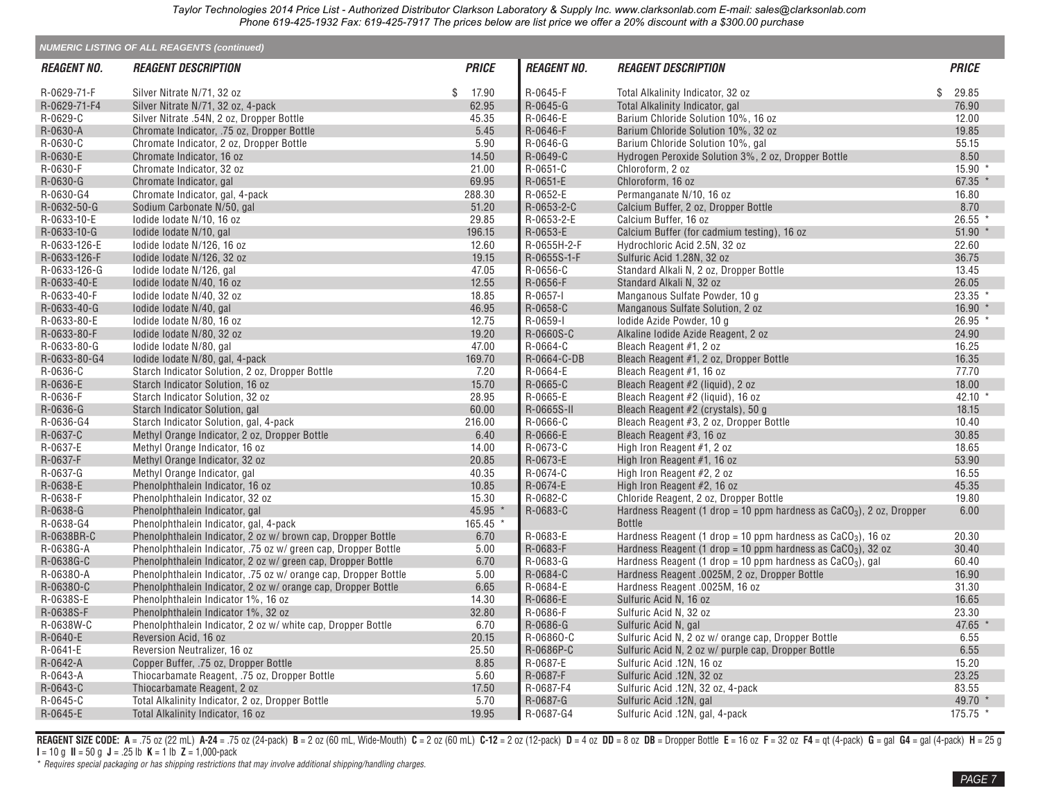|                           | <b>NUMERIC LISTING OF ALL REAGENTS (continued)</b>              |              |                    |                                                                        |              |
|---------------------------|-----------------------------------------------------------------|--------------|--------------------|------------------------------------------------------------------------|--------------|
| <i><b>REAGENT NO.</b></i> | <i><b>REAGENT DESCRIPTION</b></i>                               | <b>PRICE</b> | <b>REAGENT NO.</b> | <b>REAGENT DESCRIPTION</b>                                             | <b>PRICE</b> |
| R-0629-71-F               | Silver Nitrate N/71, 32 oz                                      | 17.90<br>\$  | R-0645-F           | Total Alkalinity Indicator, 32 oz                                      | \$<br>29.85  |
| R-0629-71-F4              | Silver Nitrate N/71, 32 oz, 4-pack                              | 62.95        | R-0645-G           | Total Alkalinity Indicator, gal                                        | 76.90        |
| R-0629-C                  | Silver Nitrate .54N, 2 oz, Dropper Bottle                       | 45.35        | R-0646-E           | Barium Chloride Solution 10%, 16 oz                                    | 12.00        |
| R-0630-A                  | Chromate Indicator, .75 oz, Dropper Bottle                      | 5.45         | R-0646-F           | Barium Chloride Solution 10%, 32 oz                                    | 19.85        |
| R-0630-C                  | Chromate Indicator, 2 oz, Dropper Bottle                        | 5.90         | R-0646-G           | Barium Chloride Solution 10%, gal                                      | 55.15        |
| R-0630-E                  | Chromate Indicator, 16 oz                                       | 14.50        | R-0649-C           | Hydrogen Peroxide Solution 3%, 2 oz, Dropper Bottle                    | 8.50         |
| R-0630-F                  | Chromate Indicator, 32 oz                                       | 21.00        | R-0651-C           | Chloroform, 2 oz                                                       | 15.90 *      |
| R-0630-G                  | Chromate Indicator, gal                                         | 69.95        | R-0651-E           | Chloroform, 16 oz                                                      | 67.35 $*$    |
| R-0630-G4                 | Chromate Indicator, gal, 4-pack                                 | 288.30       | R-0652-E           | Permanganate N/10, 16 oz                                               | 16.80        |
| R-0632-50-G               | Sodium Carbonate N/50, gal                                      | 51.20        | R-0653-2-C         | Calcium Buffer, 2 oz, Dropper Bottle                                   | 8.70         |
| R-0633-10-E               | lodide lodate N/10, 16 oz                                       | 29.85        | R-0653-2-E         | Calcium Buffer, 16 oz                                                  | $26.55$ *    |
| R-0633-10-G               | lodide lodate N/10, gal                                         | 196.15       | R-0653-E           | Calcium Buffer (for cadmium testing), 16 oz                            | $51.90$ *    |
| R-0633-126-E              | lodide lodate N/126, 16 oz                                      | 12.60        | R-0655H-2-F        | Hydrochloric Acid 2.5N, 32 oz                                          | 22.60        |
| R-0633-126-F              | lodide lodate N/126, 32 oz                                      | 19.15        | R-0655S-1-F        | Sulfuric Acid 1.28N, 32 oz                                             | 36.75        |
| R-0633-126-G              | lodide lodate N/126, gal                                        | 47.05        | R-0656-C           | Standard Alkali N, 2 oz, Dropper Bottle                                | 13.45        |
| R-0633-40-E               | lodide lodate N/40, 16 oz                                       | 12.55        | R-0656-F           | Standard Alkali N, 32 oz                                               | 26.05        |
| R-0633-40-F               | lodide lodate N/40, 32 oz                                       | 18.85        | R-0657-I           | Manganous Sulfate Powder, 10 g                                         | $23.35$ *    |
| R-0633-40-G               | lodide lodate N/40, gal                                         | 46.95        | R-0658-C           | Manganous Sulfate Solution, 2 oz                                       | $16.90*$     |
| R-0633-80-E               | lodide lodate N/80, 16 oz                                       | 12.75        | R-0659-I           | lodide Azide Powder, 10 g                                              | 26.95 *      |
| R-0633-80-F               | lodide lodate N/80, 32 oz                                       | 19.20        | R-0660S-C          | Alkaline lodide Azide Reagent, 2 oz                                    | 24.90        |
| R-0633-80-G               | lodide lodate N/80, gal                                         | 47.00        | R-0664-C           | Bleach Reagent #1, 2 oz                                                | 16.25        |
| R-0633-80-G4              | lodide lodate N/80, gal, 4-pack                                 | 169.70       | R-0664-C-DB        | Bleach Reagent #1, 2 oz, Dropper Bottle                                | 16.35        |
| R-0636-C                  | Starch Indicator Solution, 2 oz, Dropper Bottle                 | 7.20         | R-0664-E           | Bleach Reagent #1, 16 oz                                               | 77.70        |
| R-0636-E                  | Starch Indicator Solution, 16 oz                                | 15.70        | R-0665-C           | Bleach Reagent #2 (liquid), 2 oz                                       | 18.00        |
| R-0636-F                  | Starch Indicator Solution, 32 oz                                | 28.95        | R-0665-E           | Bleach Reagent #2 (liquid), 16 oz                                      | 42.10 $*$    |
| R-0636-G                  | Starch Indicator Solution, gal                                  | 60.00        | R-0665S-II         | Bleach Reagent #2 (crystals), 50 g                                     | 18.15        |
| R-0636-G4                 | Starch Indicator Solution, gal, 4-pack                          | 216.00       | R-0666-C           | Bleach Reagent #3, 2 oz, Dropper Bottle                                | 10.40        |
| R-0637-C                  | Methyl Orange Indicator, 2 oz, Dropper Bottle                   | 6.40         | R-0666-E           | Bleach Reagent #3, 16 oz                                               | 30.85        |
| R-0637-E                  | Methyl Orange Indicator, 16 oz                                  | 14.00        | R-0673-C           | High Iron Reagent #1, 2 oz                                             | 18.65        |
| R-0637-F                  | Methyl Orange Indicator, 32 oz                                  | 20.85        | R-0673-E           | High Iron Reagent #1, 16 oz                                            | 53.90        |
| R-0637-G                  | Methyl Orange Indicator, gal                                    | 40.35        | R-0674-C           | High Iron Reagent #2, 2 oz                                             | 16.55        |
| R-0638-E                  | Phenolphthalein Indicator, 16 oz                                | 10.85        | R-0674-E           | High Iron Reagent #2, 16 oz                                            | 45.35        |
| R-0638-F                  | Phenolphthalein Indicator, 32 oz                                | 15.30        | R-0682-C           | Chloride Reagent, 2 oz, Dropper Bottle                                 | 19.80        |
| R-0638-G                  | Phenolphthalein Indicator, gal                                  | 45.95        | R-0683-C           | Hardness Reagent (1 drop = 10 ppm hardness as $CaCO3$ ), 2 oz, Dropper | 6.00         |
| R-0638-G4                 | Phenolphthalein Indicator, gal, 4-pack                          | 165.45 *     |                    | <b>Bottle</b>                                                          |              |
| R-0638BR-C                | Phenolphthalein Indicator, 2 oz w/brown cap, Dropper Bottle     | 6.70         | R-0683-E           | Hardness Reagent (1 drop = 10 ppm hardness as $CaCO3$ ), 16 oz         | 20.30        |
| R-0638G-A                 | Phenolphthalein Indicator, .75 oz w/ green cap, Dropper Bottle  | 5.00         | R-0683-F           | Hardness Reagent (1 drop = 10 ppm hardness as $CaCO3$ ), 32 oz         | 30.40        |
| R-0638G-C                 | Phenolphthalein Indicator, 2 oz w/ green cap, Dropper Bottle    | 6.70         | R-0683-G           | Hardness Reagent (1 drop = 10 ppm hardness as $CaCO3$ ), gal           | 60.40        |
| R-06380-A                 | Phenolphthalein Indicator, .75 oz w/ orange cap, Dropper Bottle | 5.00         | R-0684-C           | Hardness Reagent .0025M, 2 oz, Dropper Bottle                          | 16.90        |
| R-06380-C                 | Phenolphthalein Indicator, 2 oz w/orange cap, Dropper Bottle    | 6.65         | R-0684-E           | Hardness Reagent .0025M, 16 oz                                         | 31.30        |
| R-0638S-E                 | Phenolphthalein Indicator 1%, 16 oz                             | 14.30        | R-0686-E           | Sulfuric Acid N, 16 oz                                                 | 16.65        |
| R-0638S-F                 | Phenolphthalein Indicator 1%, 32 oz                             | 32.80        | R-0686-F           | Sulfuric Acid N, 32 oz                                                 | 23.30        |
| R-0638W-C                 | Phenolphthalein Indicator, 2 oz w/ white cap, Dropper Bottle    | 6.70         | R-0686-G           | Sulfuric Acid N, gal                                                   | 47.65 *      |
| R-0640-E                  | Reversion Acid, 16 oz                                           | 20.15        | R-06860-C          | Sulfuric Acid N, 2 oz w/ orange cap, Dropper Bottle                    | 6.55         |
| R-0641-E                  | Reversion Neutralizer, 16 oz                                    | 25.50        | R-0686P-C          | Sulfuric Acid N, 2 oz w/ purple cap, Dropper Bottle                    | 6.55         |
| R-0642-A                  | Copper Buffer, .75 oz, Dropper Bottle                           | 8.85         | R-0687-E           | Sulfuric Acid .12N, 16 oz                                              | 15.20        |
| R-0643-A                  | Thiocarbamate Reagent, .75 oz, Dropper Bottle                   | 5.60         | R-0687-F           | Sulfuric Acid .12N, 32 oz                                              | 23.25        |
| R-0643-C                  | Thiocarbamate Reagent, 2 oz                                     | 17.50        | R-0687-F4          | Sulfuric Acid .12N, 32 oz, 4-pack                                      | 83.55        |
| R-0645-C                  | Total Alkalinity Indicator, 2 oz, Dropper Bottle                | 5.70         | R-0687-G           | Sulfuric Acid .12N, gal                                                | 49.70 *      |
| R-0645-E                  | Total Alkalinity Indicator, 16 oz                               | 19.95        | R-0687-G4          | Sulfuric Acid .12N, gal, 4-pack                                        | 175.75 *     |
|                           |                                                                 |              |                    |                                                                        |              |

REAGENT SIZE CODE: A = .75 oz (22 mL) A-24 = .75 oz (24-pack) B = 2 oz (60 mL, Wide-Mouth) C = 2 oz (60 mL) C-12 = 2 oz (12-pack) D = 4 oz DD = 8 oz DB = Dropper Bottle E = 16 oz F = 32 oz F4 = qt (4-pack) G = gal G4 = gal **I** = 10 g **II** = 50 g **J** = .25 lb **K** = 1 lb **Z** = 1,000-pack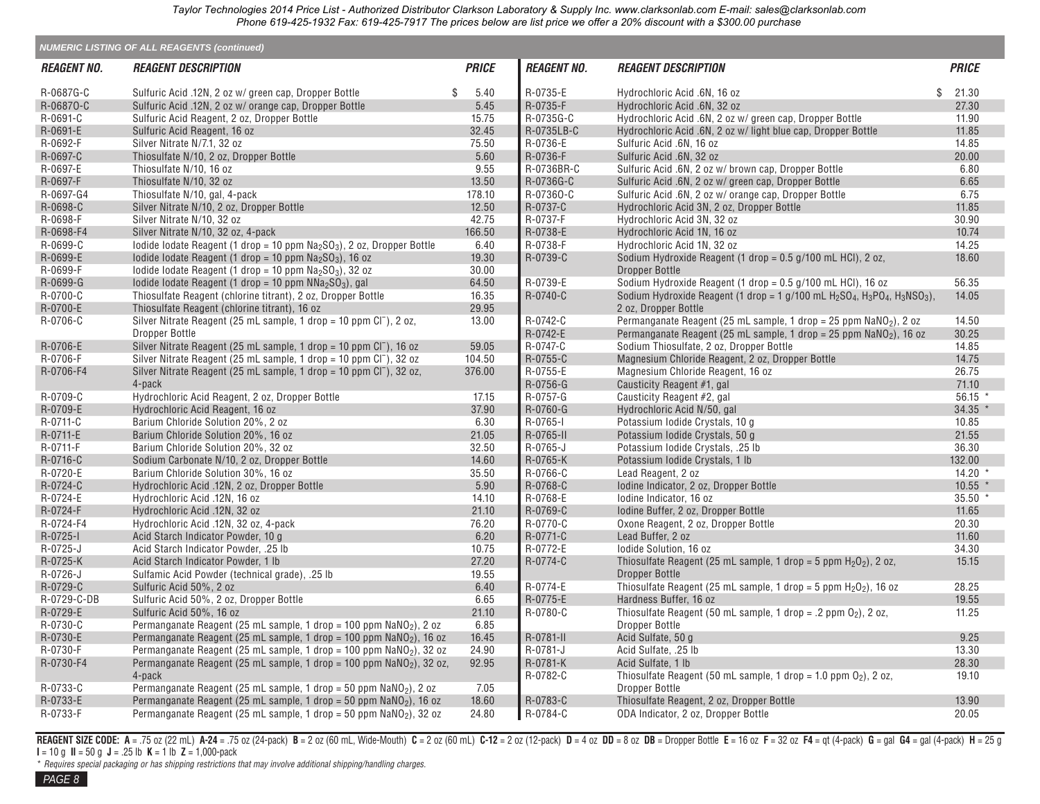|                    | <b>NUMERIC LISTING OF ALL REAGENTS (continued)</b>                               |              |                    |                                                                                                                                                    |              |
|--------------------|----------------------------------------------------------------------------------|--------------|--------------------|----------------------------------------------------------------------------------------------------------------------------------------------------|--------------|
| <b>REAGENT NO.</b> | <b>REAGENT DESCRIPTION</b>                                                       | <b>PRICE</b> | <b>REAGENT NO.</b> | <b>REAGENT DESCRIPTION</b>                                                                                                                         | <b>PRICE</b> |
| R-0687G-C          | Sulfuric Acid .12N, 2 oz w/ green cap, Dropper Bottle                            | \$<br>5.40   | R-0735-E           | Hydrochloric Acid .6N, 16 oz                                                                                                                       | 21.30<br>\$  |
| R-06870-C          | Sulfuric Acid .12N, 2 oz w/ orange cap, Dropper Bottle                           | 5.45         | R-0735-F           | Hydrochloric Acid .6N, 32 oz                                                                                                                       | 27.30        |
| R-0691-C           | Sulfuric Acid Reagent, 2 oz, Dropper Bottle                                      | 15.75        | R-0735G-C          | Hydrochloric Acid .6N, 2 oz w/ green cap, Dropper Bottle                                                                                           | 11.90        |
| R-0691-E           | Sulfuric Acid Reagent, 16 oz                                                     | 32.45        | R-0735LB-C         | Hydrochloric Acid .6N, 2 oz w/light blue cap, Dropper Bottle                                                                                       | 11.85        |
| R-0692-F           | Silver Nitrate N/7.1, 32 oz                                                      | 75.50        | R-0736-E           | Sulfuric Acid .6N, 16 oz                                                                                                                           | 14.85        |
| R-0697-C           | Thiosulfate N/10, 2 oz, Dropper Bottle                                           | 5.60         | R-0736-F           | Sulfuric Acid .6N, 32 oz                                                                                                                           | 20.00        |
| R-0697-E           | Thiosulfate N/10, 16 oz                                                          | 9.55         | R-0736BR-C         | Sulfuric Acid .6N, 2 oz w/ brown cap, Dropper Bottle                                                                                               | 6.80         |
| R-0697-F           | Thiosulfate N/10, 32 oz                                                          | 13.50        | R-0736G-C          | Sulfuric Acid .6N, 2 oz w/ green cap, Dropper Bottle                                                                                               | 6.65         |
| R-0697-G4          | Thiosulfate N/10, gal, 4-pack                                                    | 178.10       | R-07360-C          | Sulfuric Acid .6N, 2 oz w/ orange cap, Dropper Bottle                                                                                              | 6.75         |
| R-0698-C           | Silver Nitrate N/10, 2 oz, Dropper Bottle                                        | 12.50        | R-0737-C           | Hydrochloric Acid 3N, 2 oz, Dropper Bottle                                                                                                         | 11.85        |
| R-0698-F           | Silver Nitrate N/10, 32 oz                                                       | 42.75        | R-0737-F           | Hydrochloric Acid 3N, 32 oz                                                                                                                        | 30.90        |
| R-0698-F4          | Silver Nitrate N/10, 32 oz, 4-pack                                               | 166.50       | R-0738-E           | Hydrochloric Acid 1N, 16 oz                                                                                                                        | 10.74        |
| R-0699-C           | lodide lodate Reagent (1 drop = 10 ppm $Na2SO3$ ), 2 oz, Dropper Bottle          | 6.40         | R-0738-F           | Hydrochloric Acid 1N, 32 oz                                                                                                                        | 14.25        |
| R-0699-E           | lodide lodate Reagent (1 drop = 10 ppm $Na2SO3$ ), 16 oz                         | 19.30        | R-0739-C           | Sodium Hydroxide Reagent (1 drop = 0.5 g/100 mL HCl), 2 oz,                                                                                        | 18.60        |
| R-0699-F           | lodide lodate Reagent (1 drop = 10 ppm $Na2SO3$ ), 32 oz                         | 30.00        |                    | <b>Dropper Bottle</b>                                                                                                                              |              |
| R-0699-G           |                                                                                  |              | R-0739-E           |                                                                                                                                                    | 56.35        |
| R-0700-C           | lodide lodate Reagent (1 drop = 10 ppm $NNa2SO3$ ), gal                          | 64.50        | R-0740-C           | Sodium Hydroxide Reagent (1 drop = 0.5 g/100 mL HCl), 16 oz                                                                                        |              |
|                    | Thiosulfate Reagent (chlorine titrant), 2 oz, Dropper Bottle                     | 16.35        |                    | Sodium Hydroxide Reagent (1 drop = 1 g/100 mL H <sub>2</sub> SO <sub>4</sub> , H <sub>3</sub> PO <sub>4</sub> , H <sub>3</sub> NSO <sub>3</sub> ), | 14.05        |
| R-0700-E           | Thiosulfate Reagent (chlorine titrant), 16 oz                                    | 29.95        |                    | 2 oz. Dropper Bottle                                                                                                                               |              |
| R-0706-C           | Silver Nitrate Reagent (25 mL sample, 1 drop = 10 ppm Cl <sup>-</sup> ), 2 oz,   | 13.00        | R-0742-C           | Permanganate Reagent (25 mL sample, 1 drop = 25 ppm $\text{NaNO}_2$ ), 2 oz                                                                        | 14.50        |
|                    | Dropper Bottle                                                                   |              | R-0742-E           | Permanganate Reagent (25 mL sample, 1 drop = 25 ppm $\text{NaNO}_2$ ), 16 oz                                                                       | 30.25        |
| R-0706-E           | Silver Nitrate Reagent (25 mL sample, 1 drop = 10 ppm Cl <sup>-</sup> ), 16 oz   | 59.05        | R-0747-C           | Sodium Thiosulfate, 2 oz, Dropper Bottle                                                                                                           | 14.85        |
| R-0706-F           | Silver Nitrate Reagent (25 mL sample, 1 drop = 10 ppm Cl <sup>-</sup> ), 32 oz   | 104.50       | R-0755-C           | Magnesium Chloride Reagent, 2 oz, Dropper Bottle                                                                                                   | 14.75        |
| R-0706-F4          | Silver Nitrate Reagent (25 mL sample, 1 drop = 10 ppm $Cl^-$ ), 32 oz,           | 376.00       | R-0755-E           | Magnesium Chloride Reagent, 16 oz                                                                                                                  | 26.75        |
|                    | 4-pack                                                                           |              | R-0756-G           | Causticity Reagent #1, gal                                                                                                                         | 71.10        |
| R-0709-C           | Hydrochloric Acid Reagent, 2 oz, Dropper Bottle                                  | 17.15        | R-0757-G           | Causticity Reagent #2, gal                                                                                                                         | 56.15        |
| R-0709-E           | Hydrochloric Acid Reagent, 16 oz                                                 | 37.90        | R-0760-G           | Hydrochloric Acid N/50, gal                                                                                                                        | 34.35 *      |
| R-0711-C           | Barium Chloride Solution 20%, 2 oz                                               | 6.30         | $R-0765-I$         | Potassium Iodide Crystals, 10 g                                                                                                                    | 10.85        |
| R-0711-E           | Barium Chloride Solution 20%, 16 oz                                              | 21.05        | R-0765-II          | Potassium Iodide Crystals, 50 g                                                                                                                    | 21.55        |
| R-0711-F           | Barium Chloride Solution 20%, 32 oz                                              | 32.50        | R-0765-J           | Potassium Iodide Crystals, .25 lb                                                                                                                  | 36.30        |
| R-0716-C           | Sodium Carbonate N/10, 2 oz, Dropper Bottle                                      | 14.60        | R-0765-K           | Potassium Iodide Crystals, 1 lb                                                                                                                    | 132.00       |
| R-0720-E           | Barium Chloride Solution 30%, 16 oz                                              | 35.50        | R-0766-C           | Lead Reagent, 2 oz                                                                                                                                 | $14.20*$     |
| R-0724-C           | Hydrochloric Acid .12N, 2 oz, Dropper Bottle                                     | 5.90         | R-0768-C           | lodine Indicator, 2 oz, Dropper Bottle                                                                                                             | $10.55$ *    |
| R-0724-E           | Hydrochloric Acid .12N, 16 oz                                                    | 14.10        | R-0768-E           | lodine Indicator, 16 oz                                                                                                                            | $35.50*$     |
| R-0724-F           | Hydrochloric Acid .12N, 32 oz                                                    | 21.10        | R-0769-C           | Iodine Buffer, 2 oz, Dropper Bottle                                                                                                                | 11.65        |
| R-0724-F4          | Hydrochloric Acid .12N, 32 oz, 4-pack                                            | 76.20        | R-0770-C           | Oxone Reagent, 2 oz, Dropper Bottle                                                                                                                | 20.30        |
| R-0725-I           | Acid Starch Indicator Powder, 10 g                                               | 6.20         | R-0771-C           | Lead Buffer, 2 oz                                                                                                                                  | 11.60        |
| R-0725-J           | Acid Starch Indicator Powder, .25 lb                                             | 10.75        | R-0772-E           | lodide Solution, 16 oz                                                                                                                             | 34.30        |
| R-0725-K           | Acid Starch Indicator Powder, 1 lb                                               | 27.20        | R-0774-C           | Thiosulfate Reagent (25 mL sample, 1 drop = 5 ppm $H_2O_2$ ), 2 oz,                                                                                | 15.15        |
| R-0726-J           | Sulfamic Acid Powder (technical grade), .25 lb                                   | 19.55        |                    | Dropper Bottle                                                                                                                                     |              |
| R-0729-C           | Sulfuric Acid 50%, 2 oz                                                          | 6.40         | R-0774-E           | Thiosulfate Reagent (25 mL sample, 1 drop = 5 ppm $H_2O_2$ ), 16 oz                                                                                | 28.25        |
| R-0729-C-DB        | Sulfuric Acid 50%, 2 oz, Dropper Bottle                                          | 6.65         | R-0775-E           | Hardness Buffer, 16 oz                                                                                                                             | 19.55        |
| R-0729-E           | Sulfuric Acid 50%, 16 oz                                                         | 21.10        | R-0780-C           | Thiosulfate Reagent (50 mL sample, 1 drop = .2 ppm $O_2$ ), 2 oz,                                                                                  | 11.25        |
| R-0730-C           | Permanganate Reagent (25 mL sample, 1 drop = 100 ppm $\text{NaNO}_2$ ), 2 oz     | 6.85         |                    | Dropper Bottle                                                                                                                                     |              |
| R-0730-E           | Permanganate Reagent (25 mL sample, 1 drop = 100 ppm NaNO <sub>2</sub> ), 16 oz  | 16.45        | R-0781-II          | Acid Sulfate, 50 g                                                                                                                                 | 9.25         |
| R-0730-F           | Permanganate Reagent (25 mL sample, 1 drop = 100 ppm NaNO <sub>2</sub> ), 32 oz  | 24.90        | R-0781-J           | Acid Sulfate, .25 lb                                                                                                                               | 13.30        |
| R-0730-F4          | Permanganate Reagent (25 mL sample, 1 drop = 100 ppm NaNO <sub>2</sub> ), 32 oz, | 92.95        | R-0781-K           | Acid Sulfate, 1 lb                                                                                                                                 | 28.30        |
|                    | 4-pack                                                                           |              | R-0782-C           | Thiosulfate Reagent (50 mL sample, 1 drop = 1.0 ppm $O_2$ ), 2 oz,                                                                                 | 19.10        |
| R-0733-C           | Permanganate Reagent (25 mL sample, 1 drop = 50 ppm NaNO <sub>2</sub> ), 2 oz    | 7.05         |                    | Dropper Bottle                                                                                                                                     |              |
| R-0733-E           | Permanganate Reagent (25 mL sample, 1 drop = 50 ppm $\text{NaNO}_2$ ), 16 oz     | 18.60        | R-0783-C           | Thiosulfate Reagent, 2 oz, Dropper Bottle                                                                                                          | 13.90        |
| R-0733-F           | Permanganate Reagent (25 mL sample, 1 drop = 50 ppm NaNO <sub>2</sub> ), 32 oz   | 24.80        | R-0784-C           | ODA Indicator, 2 oz, Dropper Bottle                                                                                                                | 20.05        |

REAGENT SIZE CODE: A = .75 oz (22 mL) A-24 = .75 oz (24-pack) B = 2 oz (60 mL, Wide-Mouth) C = 2 oz (60 mL) C-12 = 2 oz (12-pack) D = 4 oz DD = 8 oz DB = Dropper Bottle E = 16 oz F = 32 oz F4 = qt (4-pack) G = gal G4 = gal **I** = 10 g **II** = 50 g **J** = .25 lb **K** = 1 lb **Z** = 1,000-pack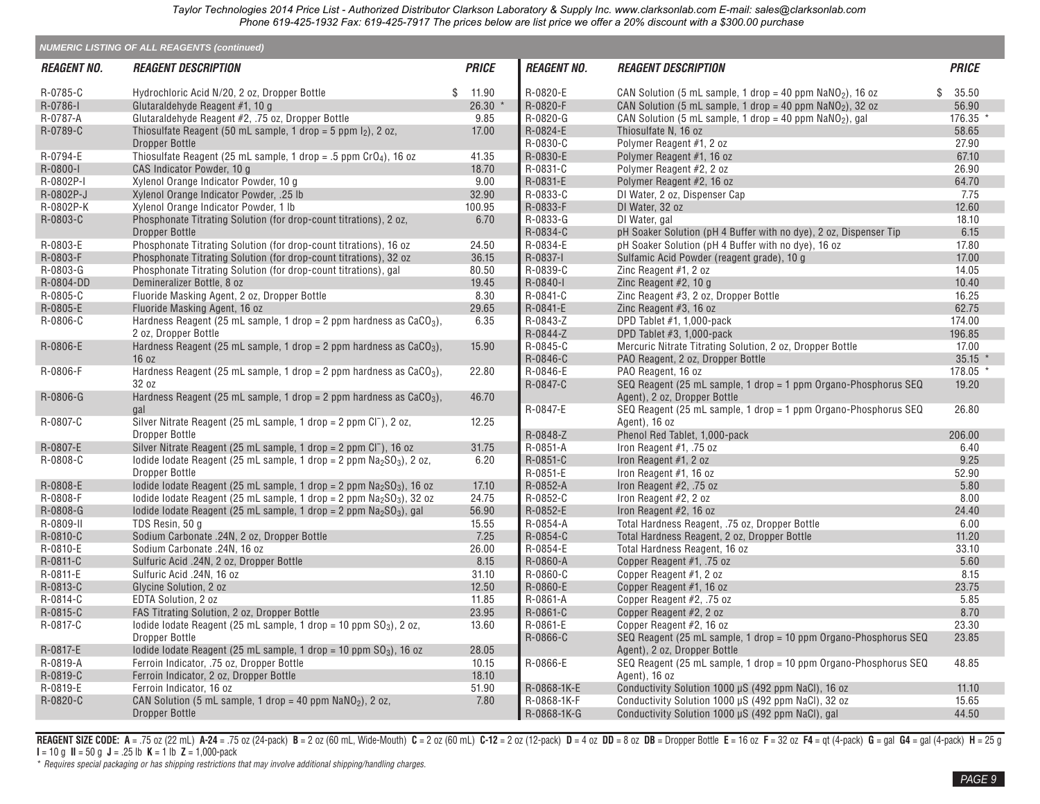|                    | <b>NUMERIC LISTING OF ALL REAGENTS (continued)</b>                                    |              |                    |                                                                     |              |
|--------------------|---------------------------------------------------------------------------------------|--------------|--------------------|---------------------------------------------------------------------|--------------|
| <b>REAGENT NO.</b> | <i><b>REAGENT DESCRIPTION</b></i>                                                     | <b>PRICE</b> | <b>REAGENT NO.</b> | <b>REAGENT DESCRIPTION</b>                                          | <b>PRICE</b> |
| R-0785-C           | Hydrochloric Acid N/20, 2 oz, Dropper Bottle                                          | \$ 11.90     | R-0820-E           | CAN Solution (5 mL sample, 1 drop = 40 ppm $\text{NaNO}_2$ ), 16 oz | \$35.50      |
| R-0786-I           | Glutaraldehyde Reagent #1, 10 g                                                       | 26.30 *      | R-0820-F           | CAN Solution (5 mL sample, 1 drop = 40 ppm $NaNO2$ ), 32 oz         | 56.90        |
| R-0787-A           | Glutaraldehyde Reagent #2, .75 oz, Dropper Bottle                                     | 9.85         | R-0820-G           | CAN Solution (5 mL sample, 1 drop = 40 ppm $NaNO2$ ), gal           | 176.35 *     |
| R-0789-C           | Thiosulfate Reagent (50 mL sample, 1 drop = 5 ppm $I_2$ ), 2 oz,                      | 17.00        | R-0824-E           | Thiosulfate N, 16 oz                                                | 58.65        |
|                    | <b>Dropper Bottle</b>                                                                 |              | R-0830-C           | Polymer Reagent #1, 2 oz                                            | 27.90        |
| R-0794-E           | Thiosulfate Reagent (25 mL sample, 1 drop = $.5$ ppm $CrO4$ ), 16 oz                  | 41.35        | R-0830-E           | Polymer Reagent #1, 16 oz                                           | 67.10        |
| R-0800-I           | CAS Indicator Powder, 10 g                                                            | 18.70        | R-0831-C           | Polymer Reagent #2, 2 oz                                            | 26.90        |
| R-0802P-I          | Xylenol Orange Indicator Powder, 10 g                                                 | 9.00         | R-0831-E           | Polymer Reagent #2, 16 oz                                           | 64.70        |
| R-0802P-J          | Xylenol Orange Indicator Powder, .25 lb                                               | 32.90        | R-0833-C           | DI Water, 2 oz, Dispenser Cap                                       | 7.75         |
| R-0802P-K          | Xylenol Orange Indicator Powder, 1 lb                                                 | 100.95       | R-0833-F           | DI Water, 32 oz                                                     | 12.60        |
| R-0803-C           | Phosphonate Titrating Solution (for drop-count titrations), 2 oz,                     | 6.70         | R-0833-G           | DI Water, gal                                                       | 18.10        |
|                    | <b>Dropper Bottle</b>                                                                 |              | R-0834-C           | pH Soaker Solution (pH 4 Buffer with no dye), 2 oz, Dispenser Tip   | 6.15         |
| R-0803-E           | Phosphonate Titrating Solution (for drop-count titrations), 16 oz                     | 24.50        | R-0834-E           | pH Soaker Solution (pH 4 Buffer with no dye), 16 oz                 | 17.80        |
| R-0803-F           | Phosphonate Titrating Solution (for drop-count titrations), 32 oz                     | 36.15        | R-0837-I           | Sulfamic Acid Powder (reagent grade), 10 g                          | 17.00        |
| R-0803-G           | Phosphonate Titrating Solution (for drop-count titrations), gal                       | 80.50        | R-0839-C           | Zinc Reagent #1, 2 oz                                               | 14.05        |
| R-0804-DD          | Demineralizer Bottle, 8 oz                                                            | 19.45        | R-0840-I           | Zinc Reagent #2, 10 g                                               | 10.40        |
| R-0805-C           | Fluoride Masking Agent, 2 oz, Dropper Bottle                                          | 8.30         | R-0841-C           | Zinc Reagent #3, 2 oz, Dropper Bottle                               | 16.25        |
| R-0805-E           | Fluoride Masking Agent, 16 oz                                                         | 29.65        | R-0841-E           | Zinc Reagent $#3$ , 16 oz                                           | 62.75        |
| R-0806-C           | Hardness Reagent (25 mL sample, 1 drop = 2 ppm hardness as $CaCO3$ ),                 | 6.35         | R-0843-Z           | DPD Tablet #1, 1,000-pack                                           | 174.00       |
|                    | 2 oz. Dropper Bottle                                                                  |              | R-0844-Z           | DPD Tablet #3, 1,000-pack                                           | 196.85       |
| R-0806-E           | Hardness Reagent (25 mL sample, 1 drop = 2 ppm hardness as $CaCO3$ ),                 | 15.90        | R-0845-C           | Mercuric Nitrate Titrating Solution, 2 oz, Dropper Bottle           | 17.00        |
|                    | 16 oz                                                                                 |              | R-0846-C           | PAO Reagent, 2 oz, Dropper Bottle                                   | $35.15$ *    |
| R-0806-F           | Hardness Reagent (25 mL sample, 1 drop = 2 ppm hardness as $CaCO3$ ),                 | 22.80        | R-0846-E           | PAO Reagent, 16 oz                                                  | 178.05 *     |
|                    | 32 oz                                                                                 |              | R-0847-C           | SEQ Reagent (25 mL sample, 1 drop = 1 ppm Organo-Phosphorus SEQ     | 19.20        |
| R-0806-G           | Hardness Reagent (25 mL sample, 1 drop = 2 ppm hardness as $CaCO3$ ),                 | 46.70        |                    | Agent), 2 oz, Dropper Bottle                                        |              |
|                    | gal                                                                                   |              | R-0847-E           | SEQ Reagent (25 mL sample, 1 drop = 1 ppm Organo-Phosphorus SEQ     | 26.80        |
| R-0807-C           | Silver Nitrate Reagent (25 mL sample, 1 drop = 2 ppm Cl <sup>-</sup> ), 2 oz,         | 12.25        |                    | Agent), 16 oz                                                       |              |
|                    | <b>Dropper Bottle</b>                                                                 |              | R-0848-Z           | Phenol Red Tablet, 1,000-pack                                       | 206.00       |
| R-0807-E           | Silver Nitrate Reagent (25 mL sample, 1 drop = 2 ppm Cl <sup>-</sup> ), 16 oz         | 31.75        | R-0851-A           | Iron Reagent $#1$ , .75 oz                                          | 6.40         |
| R-0808-C           | lodide lodate Reagent (25 mL sample, 1 drop = $2$ ppm $Na2SO3$ ), 2 oz,               | 6.20         | R-0851-C           | Iron Reagent #1, 2 oz                                               | 9.25         |
|                    | Dropper Bottle                                                                        |              | R-0851-E           | Iron Reagent #1, 16 oz                                              | 52.90        |
| R-0808-E           | lodide lodate Reagent (25 mL sample, 1 drop = 2 ppm $\text{Na}_2\text{SO}_3$ ), 16 oz | 17.10        | R-0852-A           | Iron Reagent #2, .75 oz                                             | 5.80         |
| R-0808-F           | lodide lodate Reagent (25 mL sample, 1 drop = $2$ ppm $Na2SO3$ ), 32 oz               | 24.75        | R-0852-C           | Iron Reagent #2, 2 oz                                               | 8.00         |
| R-0808-G           | lodide lodate Reagent (25 mL sample, 1 drop = 2 ppm $Na2SO3$ ), gal                   | 56.90        | R-0852-E           | Iron Reagent #2, 16 oz                                              | 24.40        |
| R-0809-II          | TDS Resin, 50 g                                                                       | 15.55        | R-0854-A           | Total Hardness Reagent, .75 oz, Dropper Bottle                      | 6.00         |
| R-0810-C           | Sodium Carbonate .24N, 2 oz, Dropper Bottle                                           | 7.25         | R-0854-C           | Total Hardness Reagent, 2 oz, Dropper Bottle                        | 11.20        |
| R-0810-E           | Sodium Carbonate .24N, 16 oz                                                          | 26.00        | R-0854-E           | Total Hardness Reagent, 16 oz                                       | 33.10        |
| R-0811-C           | Sulfuric Acid .24N, 2 oz, Dropper Bottle                                              | 8.15         | R-0860-A           | Copper Reagent #1, .75 oz                                           | 5.60         |
| R-0811-E           | Sulfuric Acid .24N, 16 oz                                                             | 31.10        | R-0860-C           | Copper Reagent #1, 2 oz                                             | 8.15         |
| R-0813-C           | Glycine Solution, 2 oz                                                                | 12.50        | R-0860-E           | Copper Reagent #1, 16 oz                                            | 23.75        |
| R-0814-C           | EDTA Solution, 2 oz                                                                   | 11.85        | R-0861-A           | Copper Reagent #2, .75 oz                                           | 5.85         |
| R-0815-C           | FAS Titrating Solution, 2 oz, Dropper Bottle                                          | 23.95        | R-0861-C           | Copper Reagent #2, 2 oz                                             | 8.70         |
| R-0817-C           | lodide lodate Reagent (25 mL sample, 1 drop = 10 ppm $SO_3$ ), 2 oz,                  | 13.60        | R-0861-E           | Copper Reagent #2, 16 oz                                            | 23.30        |
|                    | <b>Dropper Bottle</b>                                                                 |              | R-0866-C           | SEQ Reagent (25 mL sample, 1 drop = 10 ppm Organo-Phosphorus SEQ    | 23.85        |
| R-0817-E           | lodide lodate Reagent (25 mL sample, 1 drop = 10 ppm $SO3$ ), 16 oz                   | 28.05        |                    | Agent), 2 oz, Dropper Bottle                                        |              |
| R-0819-A           | Ferroin Indicator, .75 oz, Dropper Bottle                                             | 10.15        | R-0866-E           | SEQ Reagent (25 mL sample, 1 drop = 10 ppm Organo-Phosphorus SEQ    | 48.85        |
| R-0819-C           | Ferroin Indicator, 2 oz, Dropper Bottle                                               | 18.10        |                    | Agent), 16 oz                                                       |              |
| R-0819-E           | Ferroin Indicator, 16 oz                                                              | 51.90        | R-0868-1K-E        | Conductivity Solution 1000 µS (492 ppm NaCl), 16 oz                 | 11.10        |
| R-0820-C           | CAN Solution (5 mL sample, 1 drop = 40 ppm $\text{NaNO}_2$ ), 2 oz,                   | 7.80         | R-0868-1K-F        | Conductivity Solution 1000 µS (492 ppm NaCl), 32 oz                 | 15.65        |
|                    | <b>Dropper Bottle</b>                                                                 |              | R-0868-1K-G        | Conductivity Solution 1000 µS (492 ppm NaCl), gal                   | 44.50        |

REAGENT SIZE CODE: A = .75 oz (22 mL) A-24 = .75 oz (24-pack) B = 2 oz (60 mL, Wide-Mouth) C = 2 oz (60 mL) C-12 = 2 oz (12-pack) D = 4 oz DD = 8 oz DB = Dropper Bottle E = 16 oz F = 32 oz F4 = qt (4-pack) G = gal G4 = gal **I** = 10 g **II** = 50 g **J** = .25 lb **K** = 1 lb **Z** = 1,000-pack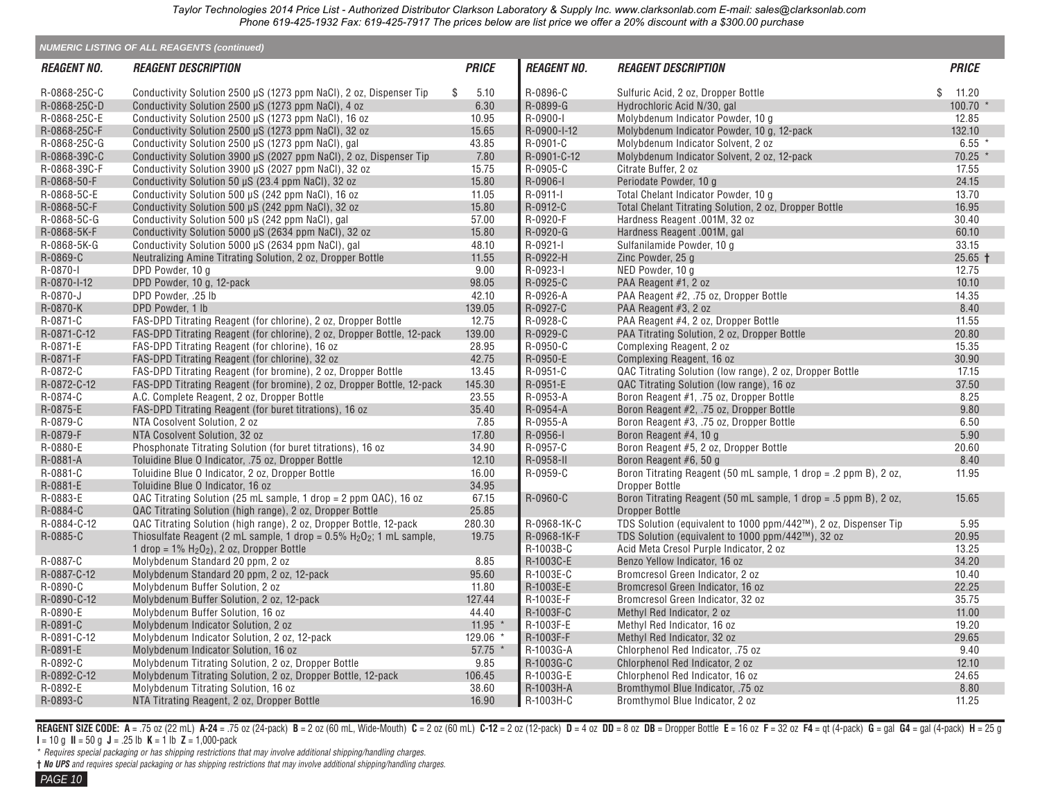|                    | <b>NUMERIC LISTING OF ALL REAGENTS (continued)</b>                                                     |              |                    |                                                                    |                  |
|--------------------|--------------------------------------------------------------------------------------------------------|--------------|--------------------|--------------------------------------------------------------------|------------------|
| <b>REAGENT NO.</b> | <i><b>REAGENT DESCRIPTION</b></i>                                                                      | <b>PRICE</b> | <b>REAGENT NO.</b> | <b>REAGENT DESCRIPTION</b>                                         | <b>PRICE</b>     |
| R-0868-25C-C       | Conductivity Solution 2500 µS (1273 ppm NaCl), 2 oz. Dispenser Tip                                     | 5.10<br>\$   | R-0896-C           | Sulfuric Acid, 2 oz, Dropper Bottle                                | \$<br>11.20      |
| R-0868-25C-D       | Conductivity Solution 2500 µS (1273 ppm NaCl), 4 oz                                                    | 6.30         | R-0899-G           | Hydrochloric Acid N/30, gal                                        | $100.70$ *       |
| R-0868-25C-E       | Conductivity Solution 2500 µS (1273 ppm NaCl), 16 oz                                                   | 10.95        | R-0900-I           | Molybdenum Indicator Powder, 10 g                                  | 12.85            |
| R-0868-25C-F       | Conductivity Solution 2500 µS (1273 ppm NaCl), 32 oz                                                   | 15.65        | R-0900-I-12        | Molybdenum Indicator Powder, 10 g, 12-pack                         | 132.10           |
| R-0868-25C-G       | Conductivity Solution 2500 µS (1273 ppm NaCl), gal                                                     | 43.85        | R-0901-C           | Molybdenum Indicator Solvent, 2 oz                                 | $6.55*$          |
| R-0868-39C-C       | Conductivity Solution 3900 µS (2027 ppm NaCl), 2 oz. Dispenser Tip                                     | 7.80         | R-0901-C-12        | Molybdenum Indicator Solvent, 2 oz. 12-pack                        | $70.25$ *        |
| R-0868-39C-F       | Conductivity Solution 3900 µS (2027 ppm NaCl), 32 oz                                                   | 15.75        | R-0905-C           | Citrate Buffer, 2 oz                                               | 17.55            |
| R-0868-50-F        | Conductivity Solution 50 µS (23.4 ppm NaCl), 32 oz                                                     | 15.80        | R-0906-I           | Periodate Powder, 10 g                                             | 24.15            |
| R-0868-5C-E        | Conductivity Solution 500 µS (242 ppm NaCl), 16 oz                                                     | 11.05        | R-0911-I           | Total Chelant Indicator Powder, 10 g                               | 13.70            |
| R-0868-5C-F        | Conductivity Solution 500 µS (242 ppm NaCl), 32 oz                                                     | 15.80        | R-0912-C           | Total Chelant Titrating Solution, 2 oz, Dropper Bottle             | 16.95            |
| R-0868-5C-G        | Conductivity Solution 500 µS (242 ppm NaCl), gal                                                       | 57.00        | R-0920-F           | Hardness Reagent .001M, 32 oz                                      | 30.40            |
| R-0868-5K-F        | Conductivity Solution 5000 µS (2634 ppm NaCl), 32 oz                                                   | 15.80        | R-0920-G           | Hardness Reagent .001M, gal                                        | 60.10            |
| R-0868-5K-G        | Conductivity Solution 5000 µS (2634 ppm NaCl), gal                                                     | 48.10        | R-0921-I           | Sulfanilamide Powder, 10 g                                         | 33.15            |
| R-0869-C           | Neutralizing Amine Titrating Solution, 2 oz, Dropper Bottle                                            | 11.55        | R-0922-H           | Zinc Powder, 25 g                                                  | $25.65 \text{ }$ |
| R-0870-I           | DPD Powder, 10 g                                                                                       | 9.00         | R-0923-I           | NED Powder, 10 g                                                   | 12.75            |
| R-0870-I-12        | DPD Powder, 10 g, 12-pack                                                                              | 98.05        | R-0925-C           | PAA Reagent #1, 2 oz                                               | 10.10            |
| R-0870-J           | DPD Powder, .25 lb                                                                                     | 42.10        | R-0926-A           | PAA Reagent #2, .75 oz, Dropper Bottle                             | 14.35            |
| R-0870-K           | DPD Powder, 1 lb                                                                                       | 139.05       | R-0927-C           | PAA Reagent #3, 2 oz                                               | 8.40             |
| R-0871-C           | FAS-DPD Titrating Reagent (for chlorine), 2 oz, Dropper Bottle                                         | 12.75        | R-0928-C           | PAA Reagent #4, 2 oz, Dropper Bottle                               | 11.55            |
| R-0871-C-12        | FAS-DPD Titrating Reagent (for chlorine), 2 oz, Dropper Bottle, 12-pack                                | 139.00       | R-0929-C           | PAA Titrating Solution, 2 oz, Dropper Bottle                       | 20.80            |
| R-0871-E           | FAS-DPD Titrating Reagent (for chlorine), 16 oz                                                        | 28.95        | R-0950-C           | Complexing Reagent, 2 oz                                           | 15.35            |
| R-0871-F           | FAS-DPD Titrating Reagent (for chlorine), 32 oz                                                        | 42.75        | R-0950-E           | Complexing Reagent, 16 oz                                          | 30.90            |
| R-0872-C           | FAS-DPD Titrating Reagent (for bromine), 2 oz, Dropper Bottle                                          | 13.45        | R-0951-C           | QAC Titrating Solution (low range), 2 oz, Dropper Bottle           | 17.15            |
| R-0872-C-12        | FAS-DPD Titrating Reagent (for bromine), 2 oz, Dropper Bottle, 12-pack                                 | 145.30       | R-0951-E           | QAC Titrating Solution (low range), 16 oz                          | 37.50            |
| R-0874-C           |                                                                                                        | 23.55        | R-0953-A           |                                                                    | 8.25             |
| R-0875-E           | A.C. Complete Reagent, 2 oz, Dropper Bottle<br>FAS-DPD Titrating Reagent (for buret titrations), 16 oz | 35.40        | R-0954-A           | Boron Reagent #1, .75 oz, Dropper Bottle                           | 9.80             |
| R-0879-C           |                                                                                                        |              |                    | Boron Reagent #2, .75 oz, Dropper Bottle                           |                  |
|                    | NTA Cosolvent Solution, 2 oz                                                                           | 7.85         | R-0955-A           | Boron Reagent #3, .75 oz, Dropper Bottle                           | 6.50             |
| R-0879-F           | NTA Cosolvent Solution, 32 oz                                                                          | 17.80        | R-0956-I           | Boron Reagent #4, 10 g                                             | 5.90             |
| R-0880-E           | Phosphonate Titrating Solution (for buret titrations), 16 oz                                           | 34.90        | R-0957-C           | Boron Reagent #5, 2 oz, Dropper Bottle                             | 20.60            |
| R-0881-A           | Toluidine Blue O Indicator, .75 oz, Dropper Bottle                                                     | 12.10        | R-0958-II          | Boron Reagent #6, 50 g                                             | 8.40             |
| R-0881-C           | Toluidine Blue O Indicator, 2 oz, Dropper Bottle                                                       | 16.00        | R-0959-C           | Boron Titrating Reagent (50 mL sample, 1 drop = $.2$ ppm B), 2 oz, | 11.95            |
| R-0881-E           | Toluidine Blue O Indicator, 16 oz                                                                      | 34.95        |                    | Dropper Bottle                                                     |                  |
| R-0883-E           | QAC Titrating Solution (25 mL sample, 1 drop = 2 ppm $QAC$ ), 16 oz                                    | 67.15        | R-0960-C           | Boron Titrating Reagent (50 mL sample, 1 drop = $.5$ ppm B), 2 oz, | 15.65            |
| R-0884-C           | QAC Titrating Solution (high range), 2 oz, Dropper Bottle                                              | 25.85        |                    | <b>Dropper Bottle</b>                                              |                  |
| R-0884-C-12        | QAC Titrating Solution (high range), 2 oz, Dropper Bottle, 12-pack                                     | 280.30       | R-0968-1K-C        | TDS Solution (equivalent to 1000 ppm/442™), 2 oz, Dispenser Tip    | 5.95             |
| R-0885-C           | Thiosulfate Reagent (2 mL sample, 1 drop = $0.5\%$ H <sub>2</sub> O <sub>2</sub> ; 1 mL sample,        | 19.75        | R-0968-1K-F        | TDS Solution (equivalent to 1000 ppm/442™), 32 oz                  | 20.95            |
|                    | 1 drop = $1\%$ H <sub>2</sub> O <sub>2</sub> ), 2 oz, Dropper Bottle                                   |              | R-1003B-C          | Acid Meta Cresol Purple Indicator, 2 oz                            | 13.25            |
| R-0887-C           | Molybdenum Standard 20 ppm, 2 oz                                                                       | 8.85         | R-1003C-E          | Benzo Yellow Indicator, 16 oz                                      | 34.20            |
| R-0887-C-12        | Molybdenum Standard 20 ppm, 2 oz, 12-pack                                                              | 95.60        | R-1003E-C          | Bromcresol Green Indicator, 2 oz                                   | 10.40            |
| R-0890-C           | Molybdenum Buffer Solution, 2 oz                                                                       | 11.80        | R-1003E-E          | Bromcresol Green Indicator, 16 oz                                  | 22.25            |
| R-0890-C-12        | Molybdenum Buffer Solution, 2 oz, 12-pack                                                              | 127.44       | R-1003E-F          | Bromcresol Green Indicator, 32 oz                                  | 35.75            |
| R-0890-E           | Molybdenum Buffer Solution, 16 oz                                                                      | 44.40        | R-1003F-C          | Methyl Red Indicator, 2 oz                                         | 11.00            |
| R-0891-C           | Molybdenum Indicator Solution, 2 oz                                                                    | $11.95$ *    | R-1003F-E          | Methyl Red Indicator, 16 oz                                        | 19.20            |
| R-0891-C-12        | Molybdenum Indicator Solution, 2 oz, 12-pack                                                           | 129.06       | R-1003F-F          | Methyl Red Indicator, 32 oz                                        | 29.65            |
| R-0891-E           | Molybdenum Indicator Solution, 16 oz                                                                   | $57.75$ *    | R-1003G-A          | Chlorphenol Red Indicator, .75 oz                                  | 9.40             |
| R-0892-C           | Molybdenum Titrating Solution, 2 oz, Dropper Bottle                                                    | 9.85         | R-1003G-C          | Chlorphenol Red Indicator, 2 oz                                    | 12.10            |
| R-0892-C-12        | Molybdenum Titrating Solution, 2 oz, Dropper Bottle, 12-pack                                           | 106.45       | R-1003G-E          | Chlorphenol Red Indicator, 16 oz                                   | 24.65            |
| R-0892-E           | Molybdenum Titrating Solution, 16 oz                                                                   | 38.60        | R-1003H-A          | Bromthymol Blue Indicator, .75 oz                                  | 8.80             |
| R-0893-C           | NTA Titrating Reagent, 2 oz, Dropper Bottle                                                            | 16.90        | R-1003H-C          | Bromthymol Blue Indicator, 2 oz                                    | 11.25            |

REAGENT SIZE CODE: A = .75 oz (22 mL) A-24 = .75 oz (24-pack) B = 2 oz (60 mL, Wide-Mouth) C = 2 oz (60 mL) C-12 = 2 oz (12-pack) D = 4 oz DD = 8 oz DB = Dropper Bottle E = 16 oz F = 32 oz F4 = qt (4-pack) G = gal G4 = gal **I** = 10 g **II** = 50 g **J** = .25 lb **K** = 1 lb **Z** = 1,000-pack

\* *Requires special packaging or has shipping restrictions that may involve additional shipping/handling charges.*

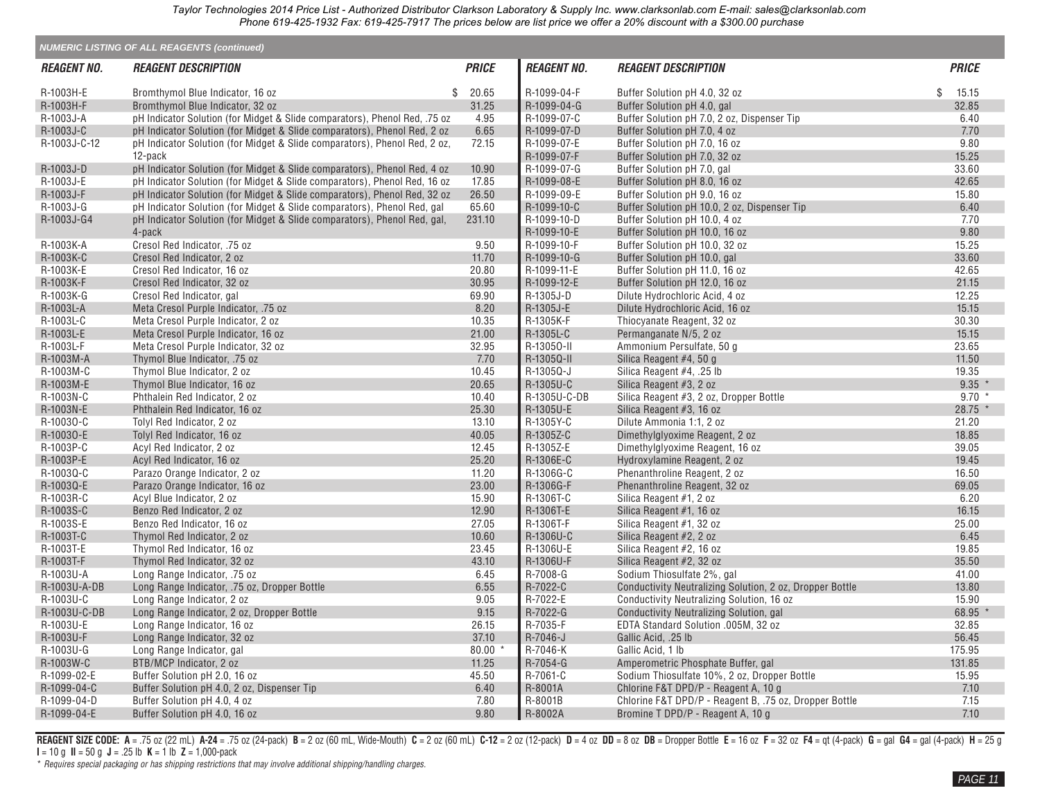|                    | <b>NUMERIC LISTING OF ALL REAGENTS (continued)</b>                         |              |                    |                                                          |              |
|--------------------|----------------------------------------------------------------------------|--------------|--------------------|----------------------------------------------------------|--------------|
| <b>REAGENT NO.</b> | <b>REAGENT DESCRIPTION</b>                                                 | <b>PRICE</b> | <b>REAGENT NO.</b> | <b>REAGENT DESCRIPTION</b>                               | <b>PRICE</b> |
| R-1003H-E          | Bromthymol Blue Indicator, 16 oz                                           | \$ 20.65     | R-1099-04-F        | Buffer Solution pH 4.0, 32 oz                            | \$<br>15.15  |
| R-1003H-F          | Bromthymol Blue Indicator, 32 oz                                           | 31.25        | R-1099-04-G        | Buffer Solution pH 4.0, gal                              | 32.85        |
| R-1003J-A          | pH Indicator Solution (for Midget & Slide comparators), Phenol Red, .75 oz | 4.95         | R-1099-07-C        | Buffer Solution pH 7.0, 2 oz, Dispenser Tip              | 6.40         |
| R-1003J-C          | pH Indicator Solution (for Midget & Slide comparators), Phenol Red, 2 oz   | 6.65         | R-1099-07-D        | Buffer Solution pH 7.0, 4 oz                             | 7.70         |
| R-1003J-C-12       | pH Indicator Solution (for Midget & Slide comparators), Phenol Red, 2 oz,  | 72.15        | R-1099-07-E        | Buffer Solution pH 7.0, 16 oz                            | 9.80         |
|                    | 12-pack                                                                    |              | R-1099-07-F        | Buffer Solution pH 7.0, 32 oz                            | 15.25        |
| R-1003J-D          | pH Indicator Solution (for Midget & Slide comparators), Phenol Red, 4 oz   | 10.90        | R-1099-07-G        | Buffer Solution pH 7.0, gal                              | 33.60        |
| R-1003J-E          |                                                                            | 17.85        | R-1099-08-E        |                                                          | 42.65        |
|                    | pH Indicator Solution (for Midget & Slide comparators), Phenol Red, 16 oz  |              |                    | Buffer Solution pH 8.0, 16 oz                            | 15.80        |
| R-1003J-F          | pH Indicator Solution (for Midget & Slide comparators), Phenol Red, 32 oz  | 26.50        | R-1099-09-E        | Buffer Solution pH 9.0, 16 oz                            |              |
| R-1003J-G          | pH Indicator Solution (for Midget & Slide comparators), Phenol Red, gal    | 65.60        | R-1099-10-C        | Buffer Solution pH 10.0, 2 oz, Dispenser Tip             | 6.40         |
| R-1003J-G4         | pH Indicator Solution (for Midget & Slide comparators), Phenol Red, gal,   | 231.10       | R-1099-10-D        | Buffer Solution pH 10.0, 4 oz                            | 7.70         |
|                    | 4-pack                                                                     |              | R-1099-10-E        | Buffer Solution pH 10.0, 16 oz                           | 9.80         |
| R-1003K-A          | Cresol Red Indicator, .75 oz                                               | 9.50         | R-1099-10-F        | Buffer Solution pH 10.0, 32 oz                           | 15.25        |
| R-1003K-C          | Cresol Red Indicator, 2 oz                                                 | 11.70        | R-1099-10-G        | Buffer Solution pH 10.0, gal                             | 33.60        |
| R-1003K-E          | Cresol Red Indicator, 16 oz                                                | 20.80        | R-1099-11-E        | Buffer Solution pH 11.0, 16 oz                           | 42.65        |
| R-1003K-F          | Cresol Red Indicator, 32 oz                                                | 30.95        | R-1099-12-E        | Buffer Solution pH 12.0, 16 oz                           | 21.15        |
| R-1003K-G          | Cresol Red Indicator, gal                                                  | 69.90        | R-1305J-D          | Dilute Hydrochloric Acid. 4 oz                           | 12.25        |
| R-1003L-A          | Meta Cresol Purple Indicator, .75 oz                                       | 8.20         | R-1305J-E          | Dilute Hydrochloric Acid, 16 oz                          | 15.15        |
| R-1003L-C          | Meta Cresol Purple Indicator, 2 oz                                         | 10.35        | R-1305K-F          | Thiocyanate Reagent, 32 oz                               | 30.30        |
| R-1003L-E          | Meta Cresol Purple Indicator, 16 oz                                        | 21.00        | R-1305L-C          | Permanganate N/5, 2 oz                                   | 15.15        |
| R-1003L-F          | Meta Cresol Purple Indicator, 32 oz                                        | 32.95        | R-13050-II         | Ammonium Persulfate, 50 g                                | 23.65        |
| R-1003M-A          | Thymol Blue Indicator, .75 oz                                              | 7.70         | R-1305Q-II         | Silica Reagent #4, 50 g                                  | 11.50        |
| R-1003M-C          | Thymol Blue Indicator, 2 oz                                                | 10.45        | R-1305Q-J          | Silica Reagent #4, .25 lb                                | 19.35        |
| R-1003M-E          | Thymol Blue Indicator, 16 oz                                               | 20.65        | R-1305U-C          | Silica Reagent #3, 2 oz                                  | $9.35$ *     |
| R-1003N-C          | Phthalein Red Indicator, 2 oz                                              | 10.40        | R-1305U-C-DB       | Silica Reagent #3, 2 oz, Dropper Bottle                  | $9.70*$      |
| R-1003N-E          | Phthalein Red Indicator, 16 oz                                             | 25.30        | R-1305U-E          | Silica Reagent #3, 16 oz                                 | 28.75 *      |
| R-10030-C          | Tolyl Red Indicator, 2 oz                                                  | 13.10        | R-1305Y-C          | Dilute Ammonia 1:1, 2 oz                                 | 21.20        |
| R-10030-E          | Tolyl Red Indicator, 16 oz                                                 | 40.05        | R-1305Z-C          | Dimethylglyoxime Reagent, 2 oz                           | 18.85        |
| R-1003P-C          | Acyl Red Indicator, 2 oz                                                   | 12.45        | R-1305Z-E          | Dimethylglyoxime Reagent, 16 oz                          | 39.05        |
| R-1003P-E          | Acyl Red Indicator, 16 oz                                                  | 25.20        | R-1306E-C          | Hydroxylamine Reagent, 2 oz                              | 19.45        |
| R-1003Q-C          | Parazo Orange Indicator, 2 oz                                              | 11.20        | R-1306G-C          | Phenanthroline Reagent, 2 oz                             | 16.50        |
| R-1003Q-E          | Parazo Orange Indicator, 16 oz                                             | 23.00        | R-1306G-F          | Phenanthroline Reagent, 32 oz                            | 69.05        |
| R-1003R-C          | Acyl Blue Indicator, 2 oz                                                  | 15.90        | R-1306T-C          | Silica Reagent #1, 2 oz                                  | 6.20         |
| R-1003S-C          | Benzo Red Indicator, 2 oz                                                  | 12.90        | R-1306T-E          | Silica Reagent #1, 16 oz                                 | 16.15        |
| R-1003S-E          | Benzo Red Indicator, 16 oz                                                 | 27.05        | R-1306T-F          | Silica Reagent #1, 32 oz                                 | 25.00        |
| R-1003T-C          |                                                                            | 10.60        | R-1306U-C          |                                                          | 6.45         |
|                    | Thymol Red Indicator, 2 oz                                                 |              |                    | Silica Reagent #2, 2 oz                                  |              |
| R-1003T-E          | Thymol Red Indicator, 16 oz                                                | 23.45        | R-1306U-E          | Silica Reagent #2, 16 oz                                 | 19.85        |
| R-1003T-F          | Thymol Red Indicator, 32 oz                                                | 43.10        | R-1306U-F          | Silica Reagent #2, 32 oz                                 | 35.50        |
| R-1003U-A          | Long Range Indicator, .75 oz                                               | 6.45         | R-7008-G           | Sodium Thiosulfate 2%, gal                               | 41.00        |
| R-1003U-A-DB       | Long Range Indicator, .75 oz, Dropper Bottle                               | 6.55         | R-7022-C           | Conductivity Neutralizing Solution, 2 oz, Dropper Bottle | 13.80        |
| R-1003U-C          | Long Range Indicator, 2 oz                                                 | 9.05         | R-7022-E           | Conductivity Neutralizing Solution, 16 oz                | 15.90        |
| R-1003U-C-DB       | Long Range Indicator, 2 oz, Dropper Bottle                                 | 9.15         | R-7022-G           | Conductivity Neutralizing Solution, gal                  | 68.95        |
| R-1003U-E          | Long Range Indicator, 16 oz                                                | 26.15        | R-7035-F           | EDTA Standard Solution .005M, 32 oz                      | 32.85        |
| R-1003U-F          | Long Range Indicator, 32 oz                                                | 37.10        | R-7046-J           | Gallic Acid, .25 lb                                      | 56.45        |
| R-1003U-G          | Long Range Indicator, gal                                                  | 80.00        | R-7046-K           | Gallic Acid, 1 lb                                        | 175.95       |
| R-1003W-C          | BTB/MCP Indicator, 2 oz                                                    | 11.25        | R-7054-G           | Amperometric Phosphate Buffer, gal                       | 131.85       |
| R-1099-02-E        | Buffer Solution pH 2.0, 16 oz                                              | 45.50        | R-7061-C           | Sodium Thiosulfate 10%, 2 oz, Dropper Bottle             | 15.95        |
| R-1099-04-C        | Buffer Solution pH 4.0, 2 oz, Dispenser Tip                                | 6.40         | R-8001A            | Chlorine F&T DPD/P - Reagent A, 10 g                     | 7.10         |
| R-1099-04-D        | Buffer Solution pH 4.0, 4 oz                                               | 7.80         | R-8001B            | Chlorine F&T DPD/P - Reagent B, .75 oz, Dropper Bottle   | 7.15         |
| R-1099-04-E        | Buffer Solution pH 4.0, 16 oz                                              | 9.80         | R-8002A            | Bromine T DPD/P - Reagent A, 10 g                        | 7.10         |
|                    |                                                                            |              |                    |                                                          |              |

REAGENT SIZE CODE: A = .75 oz (22 mL) A-24 = .75 oz (24-pack) B = 2 oz (60 mL, Wide-Mouth) C = 2 oz (60 mL) C-12 = 2 oz (12-pack) D = 4 oz DD = 8 oz DB = Dropper Bottle E = 16 oz F = 32 oz F4 = qt (4-pack) G = gal G4 = gal **I** = 10 g **II** = 50 g **J** = .25 lb **K** = 1 lb **Z** = 1,000-pack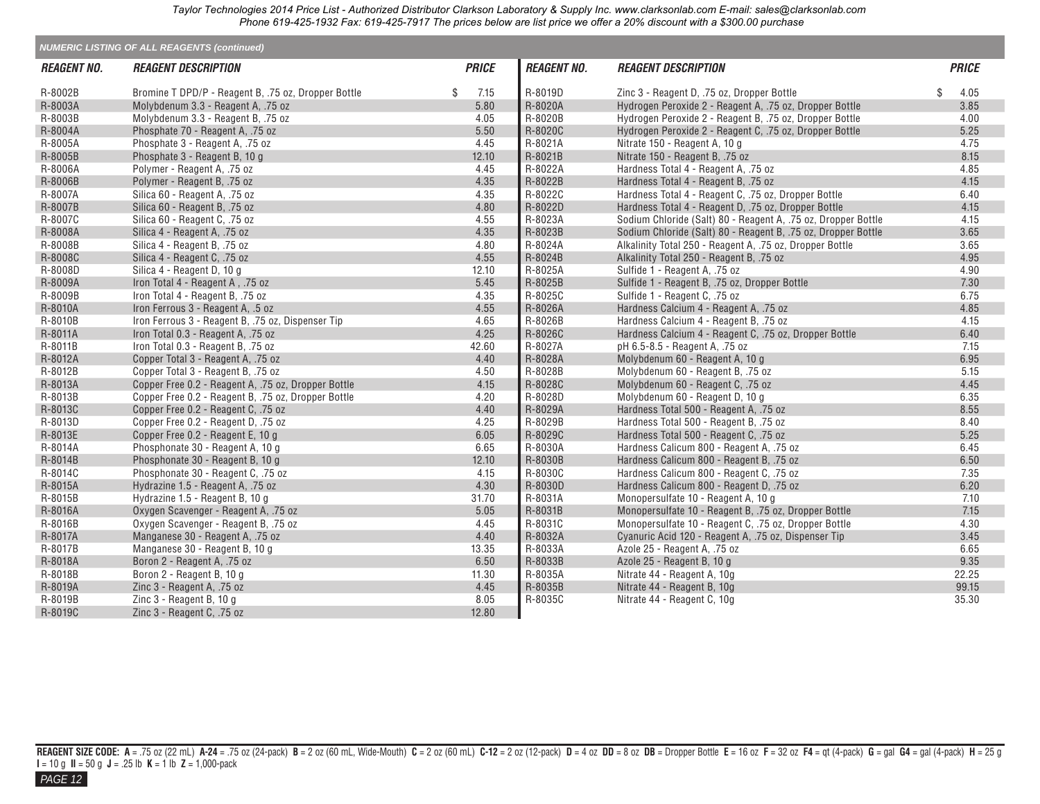|                           | <b>NUMERIC LISTING OF ALL REAGENTS (continued)</b>  |              |                    |                                                               |              |
|---------------------------|-----------------------------------------------------|--------------|--------------------|---------------------------------------------------------------|--------------|
| <i><b>REAGENT NO.</b></i> | <b>REAGENT DESCRIPTION</b>                          | <b>PRICE</b> | <b>REAGENT NO.</b> | <b>REAGENT DESCRIPTION</b>                                    | <b>PRICE</b> |
| R-8002B                   | Bromine T DPD/P - Reagent B, .75 oz, Dropper Bottle | \$<br>7.15   | R-8019D            | Zinc 3 - Reagent D, .75 oz, Dropper Bottle                    | \$<br>4.05   |
| R-8003A                   | Molybdenum 3.3 - Reagent A, .75 oz                  | 5.80         | R-8020A            | Hydrogen Peroxide 2 - Reagent A, .75 oz, Dropper Bottle       | 3.85         |
| R-8003B                   | Molybdenum 3.3 - Reagent B, .75 oz                  | 4.05         | R-8020B            | Hydrogen Peroxide 2 - Reagent B, .75 oz, Dropper Bottle       | 4.00         |
| R-8004A                   | Phosphate 70 - Reagent A, .75 oz                    | 5.50         | R-8020C            | Hydrogen Peroxide 2 - Reagent C, .75 oz, Dropper Bottle       | 5.25         |
| R-8005A                   | Phosphate 3 - Reagent A, .75 oz                     | 4.45         | R-8021A            | Nitrate 150 - Reagent A, 10 g                                 | 4.75         |
| R-8005B                   | Phosphate 3 - Reagent B, 10 g                       | 12.10        | R-8021B            | Nitrate 150 - Reagent B, .75 oz                               | 8.15         |
| R-8006A                   | Polymer - Reagent A, .75 oz                         | 4.45         | R-8022A            | Hardness Total 4 - Reagent A, .75 oz                          | 4.85         |
| R-8006B                   | Polymer - Reagent B, .75 oz                         | 4.35         | R-8022B            | Hardness Total 4 - Reagent B, .75 oz                          | 4.15         |
| R-8007A                   | Silica 60 - Reagent A, .75 oz                       | 4.35         | R-8022C            | Hardness Total 4 - Reagent C. .75 oz. Dropper Bottle          | 6.40         |
| R-8007B                   | Silica 60 - Reagent B, .75 oz                       | 4.80         | R-8022D            | Hardness Total 4 - Reagent D, .75 oz, Dropper Bottle          | 4.15         |
| R-8007C                   | Silica 60 - Reagent C, .75 oz                       | 4.55         | R-8023A            | Sodium Chloride (Salt) 80 - Reagent A, .75 oz, Dropper Bottle | 4.15         |
| R-8008A                   | Silica 4 - Reagent A, .75 oz                        | 4.35         | R-8023B            | Sodium Chloride (Salt) 80 - Reagent B, .75 oz, Dropper Bottle | 3.65         |
| R-8008B                   | Silica 4 - Reagent B, .75 oz                        | 4.80         | R-8024A            | Alkalinity Total 250 - Reagent A, .75 oz, Dropper Bottle      | 3.65         |
| R-8008C                   | Silica 4 - Reagent C, .75 oz                        | 4.55         | R-8024B            | Alkalinity Total 250 - Reagent B, .75 oz                      | 4.95         |
| R-8008D                   | Silica 4 - Reagent D, 10 g                          | 12.10        | R-8025A            | Sulfide 1 - Reagent A, .75 oz                                 | 4.90         |
| R-8009A                   | Iron Total 4 - Reagent A, .75 oz                    | 5.45         | R-8025B            | Sulfide 1 - Reagent B, .75 oz, Dropper Bottle                 | 7.30         |
| R-8009B                   | Iron Total 4 - Reagent B. .75 oz                    | 4.35         | R-8025C            | Sulfide 1 - Reagent C. .75 oz                                 | 6.75         |
| R-8010A                   | Iron Ferrous 3 - Reagent A, .5 oz                   | 4.55         | R-8026A            | Hardness Calcium 4 - Reagent A, .75 oz                        | 4.85         |
| R-8010B                   | Iron Ferrous 3 - Reagent B, .75 oz, Dispenser Tip   | 4.65         | R-8026B            | Hardness Calcium 4 - Reagent B, .75 oz                        | 4.15         |
| R-8011A                   | Iron Total 0.3 - Reagent A, .75 oz                  | 4.25         | R-8026C            | Hardness Calcium 4 - Reagent C, .75 oz, Dropper Bottle        | 6.40         |
| R-8011B                   | Iron Total 0.3 - Reagent B, .75 oz                  | 42.60        | R-8027A            | pH 6.5-8.5 - Reagent A, .75 oz                                | 7.15         |
| R-8012A                   | Copper Total 3 - Reagent A, .75 oz                  | 4.40         | R-8028A            | Molybdenum 60 - Reagent A, 10 g                               | 6.95         |
| R-8012B                   | Copper Total 3 - Reagent B, .75 oz                  | 4.50         | R-8028B            | Molybdenum 60 - Reagent B, .75 oz                             | 5.15         |
| R-8013A                   | Copper Free 0.2 - Reagent A, .75 oz, Dropper Bottle | 4.15         | R-8028C            | Molybdenum 60 - Reagent C, .75 oz                             | 4.45         |
| R-8013B                   | Copper Free 0.2 - Reagent B, .75 oz, Dropper Bottle | 4.20         | R-8028D            | Molybdenum 60 - Reagent D, 10 g                               | 6.35         |
| R-8013C                   | Copper Free 0.2 - Reagent C, .75 oz                 | 4.40         | R-8029A            | Hardness Total 500 - Reagent A, .75 oz                        | 8.55         |
| R-8013D                   | Copper Free 0.2 - Reagent D, .75 oz                 | 4.25         | R-8029B            | Hardness Total 500 - Reagent B, .75 oz                        | 8.40         |
| R-8013E                   | Copper Free 0.2 - Reagent E, 10 g                   | 6.05         | R-8029C            | Hardness Total 500 - Reagent C, .75 oz                        | 5.25         |
| R-8014A                   | Phosphonate 30 - Reagent A, 10 g                    | 6.65         | R-8030A            | Hardness Calicum 800 - Reagent A, .75 oz                      | 6.45         |
| R-8014B                   | Phosphonate 30 - Reagent B, 10 g                    | 12.10        | R-8030B            | Hardness Calicum 800 - Reagent B, .75 oz                      | 6.50         |
| R-8014C                   | Phosphonate 30 - Reagent C, .75 oz                  | 4.15         | R-8030C            | Hardness Calicum 800 - Reagent C, .75 oz                      | 7.35         |
| R-8015A                   | Hydrazine 1.5 - Reagent A, .75 oz                   | 4.30         | R-8030D            | Hardness Calicum 800 - Reagent D, .75 oz                      | 6.20         |
| R-8015B                   | Hydrazine 1.5 - Reagent B, 10 g                     | 31.70        | R-8031A            | Monopersulfate 10 - Reagent A, 10 g                           | 7.10         |
| R-8016A                   | Oxygen Scavenger - Reagent A, .75 oz                | 5.05         | R-8031B            | Monopersulfate 10 - Reagent B, .75 oz, Dropper Bottle         | 7.15         |
| R-8016B                   | Oxygen Scavenger - Reagent B, .75 oz                | 4.45         | R-8031C            | Monopersulfate 10 - Reagent C, .75 oz, Dropper Bottle         | 4.30         |
| R-8017A                   | Manganese 30 - Reagent A, .75 oz                    | 4.40         | R-8032A            | Cyanuric Acid 120 - Reagent A, .75 oz, Dispenser Tip          | 3.45         |
| R-8017B                   | Manganese 30 - Reagent B, 10 g                      | 13.35        | R-8033A            | Azole 25 - Reagent A, .75 oz                                  | 6.65         |
| R-8018A                   | Boron 2 - Reagent A, .75 oz                         | 6.50         | R-8033B            | Azole 25 - Reagent B, 10 g                                    | 9.35         |
| R-8018B                   | Boron 2 - Reagent B, 10 g                           | 11.30        | R-8035A            | Nitrate 44 - Reagent A. 10g                                   | 22.25        |
| R-8019A                   | Zinc 3 - Reagent A, .75 oz                          | 4.45         | R-8035B            | Nitrate 44 - Reagent B, 10g                                   | 99.15        |
| R-8019B                   | Zinc 3 - Reagent B, 10 g                            | 8.05         | R-8035C            | Nitrate 44 - Reagent C, 10g                                   | 35.30        |
| R-8019C                   | Zinc 3 - Reagent C, .75 oz                          | 12.80        |                    |                                                               |              |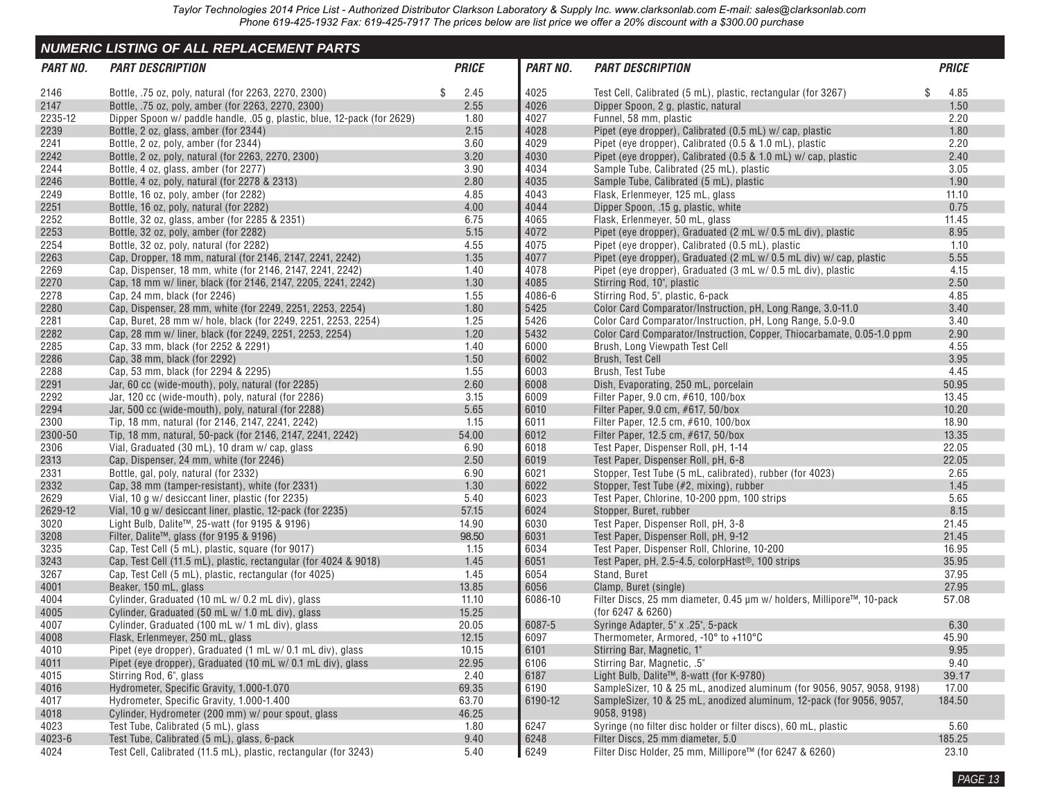<span id="page-11-0"></span>

|          | <b>NUMERIC LISTING OF ALL REPLACEMENT PARTS</b>                         |              |          |                                                                         |              |
|----------|-------------------------------------------------------------------------|--------------|----------|-------------------------------------------------------------------------|--------------|
| PART NO. | <b>PART DESCRIPTION</b>                                                 | <b>PRICE</b> | PART NO. | <b>PART DESCRIPTION</b>                                                 | <b>PRICE</b> |
| 2146     | Bottle, .75 oz, poly, natural (for 2263, 2270, 2300)                    | \$<br>2.45   | 4025     | Test Cell, Calibrated (5 mL), plastic, rectangular (for 3267)           | \$<br>4.85   |
| 2147     | Bottle, .75 oz, poly, amber (for 2263, 2270, 2300)                      | 2.55         | 4026     | Dipper Spoon, 2 g, plastic, natural                                     | 1.50         |
| 2235-12  | Dipper Spoon w/ paddle handle, .05 g, plastic, blue, 12-pack (for 2629) | 1.80         | 4027     | Funnel, 58 mm, plastic                                                  | 2.20         |
| 2239     | Bottle, 2 oz, glass, amber (for 2344)                                   | 2.15         | 4028     | Pipet (eye dropper), Calibrated (0.5 mL) w/ cap, plastic                | 1.80         |
| 2241     | Bottle, 2 oz, poly, amber (for 2344)                                    | 3.60         | 4029     | Pipet (eye dropper), Calibrated (0.5 & 1.0 mL), plastic                 | 2.20         |
| 2242     | Bottle, 2 oz, poly, natural (for 2263, 2270, 2300)                      | 3.20         | 4030     | Pipet (eye dropper), Calibrated (0.5 & 1.0 mL) w/ cap, plastic          | 2.40         |
| 2244     | Bottle, 4 oz, glass, amber (for 2277)                                   | 3.90         | 4034     | Sample Tube, Calibrated (25 mL), plastic                                | 3.05         |
| 2246     | Bottle, 4 oz, poly, natural (for 2278 & 2313)                           | 2.80         | 4035     | Sample Tube, Calibrated (5 mL), plastic                                 | 1.90         |
| 2249     | Bottle, 16 oz, poly, amber (for 2282)                                   | 4.85         | 4043     | Flask, Erlenmeyer, 125 mL, glass                                        | 11.10        |
| 2251     | Bottle, 16 oz, poly, natural (for 2282)                                 | 4.00         | 4044     | Dipper Spoon, .15 g, plastic, white                                     | 0.75         |
| 2252     | Bottle, 32 oz, glass, amber (for 2285 & 2351)                           | 6.75         | 4065     | Flask, Erlenmeyer, 50 mL, glass                                         | 11.45        |
| 2253     | Bottle, 32 oz, poly, amber (for 2282)                                   | 5.15         | 4072     | Pipet (eye dropper), Graduated (2 mL w/ 0.5 mL div), plastic            | 8.95         |
| 2254     | Bottle, 32 oz, poly, natural (for 2282)                                 | 4.55         | 4075     | Pipet (eye dropper), Calibrated (0.5 mL), plastic                       | 1.10         |
| 2263     | Cap, Dropper, 18 mm, natural (for 2146, 2147, 2241, 2242)               | 1.35         | 4077     | Pipet (eye dropper), Graduated (2 mL w/ 0.5 mL div) w/ cap, plastic     | 5.55         |
| 2269     | Cap, Dispenser, 18 mm, white (for 2146, 2147, 2241, 2242)               | 1.40         | 4078     | Pipet (eye dropper), Graduated (3 mL w/ 0.5 mL div), plastic            | 4.15         |
| 2270     | Cap, 18 mm w/ liner, black (for 2146, 2147, 2205, 2241, 2242)           | 1.30         | 4085     | Stirring Rod, 10", plastic                                              | 2.50         |
| 2278     | Cap, 24 mm, black (for 2246)                                            | 1.55         | 4086-6   | Stirring Rod, 5", plastic, 6-pack                                       | 4.85         |
| 2280     | Cap, Dispenser, 28 mm, white (for 2249, 2251, 2253, 2254)               | 1.80         | 5425     | Color Card Comparator/Instruction, pH, Long Range, 3.0-11.0             | 3.40         |
| 2281     | Cap, Buret, 28 mm w/ hole, black (for 2249, 2251, 2253, 2254)           | 1.25         | 5426     | Color Card Comparator/Instruction, pH, Long Range, 5.0-9.0              | 3.40         |
| 2282     | Cap. 28 mm w/ liner, black (for 2249, 2251, 2253, 2254)                 | 1.20         | 5432     | Color Card Comparator/Instruction, Copper, Thiocarbamate, 0.05-1.0 ppm  | 2.90         |
| 2285     | Cap, 33 mm, black (for 2252 & 2291)                                     | 1.40         | 6000     | Brush, Long Viewpath Test Cell                                          | 4.55         |
| 2286     | Cap, 38 mm, black (for 2292)                                            | 1.50         | 6002     | Brush, Test Cell                                                        | 3.95         |
| 2288     | Cap, 53 mm, black (for 2294 & 2295)                                     | 1.55         | 6003     | Brush, Test Tube                                                        | 4.45         |
| 2291     | Jar, 60 cc (wide-mouth), poly, natural (for 2285)                       | 2.60         | 6008     | Dish, Evaporating, 250 mL, porcelain                                    | 50.95        |
| 2292     | Jar, 120 cc (wide-mouth), poly, natural (for 2286)                      | 3.15         | 6009     | Filter Paper, 9.0 cm, #610, 100/box                                     | 13.45        |
| 2294     | Jar, 500 cc (wide-mouth), poly, natural (for 2288)                      | 5.65         | 6010     | Filter Paper, 9.0 cm, #617, 50/box                                      | 10.20        |
| 2300     | Tip, 18 mm, natural (for 2146, 2147, 2241, 2242)                        | 1.15         | 6011     | Filter Paper, 12.5 cm, #610, 100/box                                    | 18.90        |
| 2300-50  | Tip, 18 mm, natural, 50-pack (for 2146, 2147, 2241, 2242)               | 54.00        | 6012     | Filter Paper, 12.5 cm, #617, 50/box                                     | 13.35        |
| 2306     | Vial, Graduated (30 mL), 10 dram w/ cap, glass                          | 6.90         | 6018     | Test Paper, Dispenser Roll, pH, 1-14                                    | 22.05        |
| 2313     | Cap, Dispenser, 24 mm, white (for 2246)                                 | 2.50         | 6019     | Test Paper, Dispenser Roll, pH, 6-8                                     | 22.05        |
| 2331     | Bottle, gal, poly, natural (for 2332)                                   | 6.90         | 6021     | Stopper, Test Tube (5 mL, calibrated), rubber (for 4023)                | 2.65         |
| 2332     | Cap, 38 mm (tamper-resistant), white (for 2331)                         | 1.30         | 6022     | Stopper, Test Tube (#2, mixing), rubber                                 | 1.45         |
| 2629     | Vial, 10 g w/ desiccant liner, plastic (for 2235)                       | 5.40         | 6023     | Test Paper, Chlorine, 10-200 ppm, 100 strips                            | 5.65         |
| 2629-12  | Vial, 10 g w/ desiccant liner, plastic, 12-pack (for 2235)              | 57.15        | 6024     | Stopper, Buret, rubber                                                  | 8.15         |
| 3020     | Light Bulb, Dalite™, 25-watt (for 9195 & 9196)                          | 14.90        | 6030     | Test Paper, Dispenser Roll, pH, 3-8                                     | 21.45        |
| 3208     | Filter, Dalite™, glass (for 9195 & 9196)                                | 98.50        | 6031     | Test Paper, Dispenser Roll, pH, 9-12                                    | 21.45        |
| 3235     | Cap, Test Cell (5 mL), plastic, square (for 9017)                       | 1.15         | 6034     | Test Paper, Dispenser Roll, Chlorine, 10-200                            | 16.95        |
| 3243     | Cap. Test Cell (11.5 mL), plastic, rectangular (for 4024 & 9018)        | 1.45         | 6051     | Test Paper, pH, 2.5-4.5, colorpHast <sup>®</sup> , 100 strips           | 35.95        |
| 3267     | Cap, Test Cell (5 mL), plastic, rectangular (for 4025)                  | 1.45         | 6054     | Stand, Buret                                                            | 37.95        |
| 4001     | Beaker, 150 mL, glass                                                   | 13.85        | 6056     | Clamp, Buret (single)                                                   | 27.95        |
| 4004     | Cylinder, Graduated (10 mL w/ 0.2 mL div), glass                        | 11.10        | 6086-10  | Filter Discs, 25 mm diameter, 0.45 µm w/ holders, Millipore™, 10-pack   | 57.08        |
| 4005     | Cylinder, Graduated (50 mL w/ 1.0 mL div), glass                        | 15.25        |          | (for 6247 & 6260)                                                       |              |
| 4007     | Cylinder, Graduated (100 mL w/ 1 mL div), glass                         | 20.05        | 6087-5   | Syringe Adapter, 5" x .25", 5-pack                                      | 6.30         |
| 4008     | Flask, Erlenmeyer, 250 mL, glass                                        | 12.15        | 6097     | Thermometer, Armored, -10° to +110°C                                    | 45.90        |
| 4010     | Pipet (eye dropper), Graduated (1 mL w/ 0.1 mL div), glass              | 10.15        | 6101     | Stirring Bar, Magnetic, 1"                                              | 9.95         |
| 4011     | Pipet (eye dropper), Graduated (10 mL w/ 0.1 mL div), glass             | 22.95        | 6106     | Stirring Bar, Magnetic, .5"                                             | 9.40         |
| 4015     | Stirring Rod, 6", glass                                                 | 2.40         | 6187     | Light Bulb, Dalite™, 8-watt (for K-9780)                                | 39.17        |
| 4016     | Hydrometer, Specific Gravity, 1.000-1.070                               | 69.35        | 6190     | SampleSizer, 10 & 25 mL, anodized aluminum (for 9056, 9057, 9058, 9198) | 17.00        |
| 4017     | Hydrometer, Specific Gravity, 1.000-1.400                               | 63.70        | 6190-12  | SampleSizer, 10 & 25 mL, anodized aluminum, 12-pack (for 9056, 9057,    | 184.50       |
| 4018     | Cylinder, Hydrometer (200 mm) w/ pour spout, glass                      | 46.25        |          | 9058, 9198)                                                             |              |
| 4023     | Test Tube, Calibrated (5 mL), glass                                     | 1.80         | 6247     | Syringe (no filter disc holder or filter discs), 60 mL, plastic         | 5.60         |
| 4023-6   | Test Tube, Calibrated (5 mL), glass, 6-pack                             | 9.40         | 6248     | Filter Discs, 25 mm diameter, 5.0                                       | 185.25       |
| 4024     | Test Cell, Calibrated (11.5 mL), plastic, rectangular (for 3243)        | 5.40         | 6249     | Filter Disc Holder, 25 mm, Millipore™ (for 6247 & 6260)                 | 23.10        |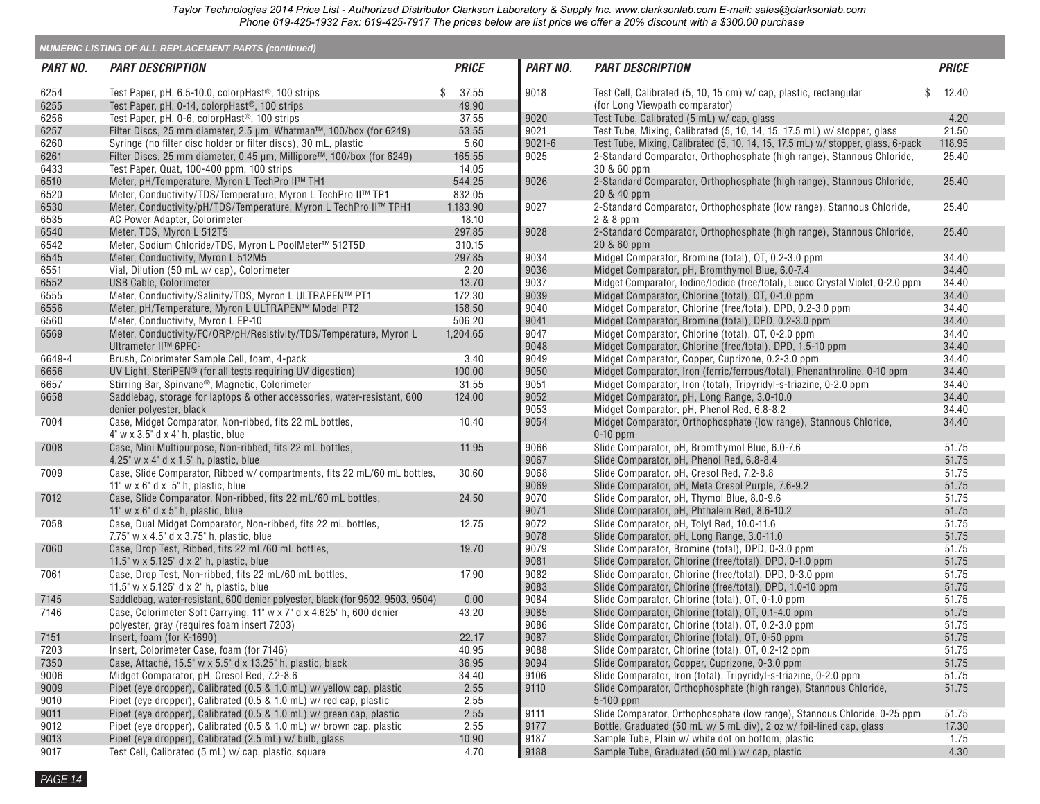| <b>NUMERIC LISTING OF ALL REPLACEMENT PARTS (continued)</b> |                                                                                                                              |              |            |                                                                                  |              |  |  |  |  |
|-------------------------------------------------------------|------------------------------------------------------------------------------------------------------------------------------|--------------|------------|----------------------------------------------------------------------------------|--------------|--|--|--|--|
| <b>PART NO.</b>                                             | <b>PART DESCRIPTION</b>                                                                                                      | <b>PRICE</b> | PART NO.   | <b>PART DESCRIPTION</b>                                                          | <b>PRICE</b> |  |  |  |  |
| 6254                                                        | Test Paper, pH, 6.5-10.0, colorpHast <sup>®</sup> , 100 strips                                                               | 37.55<br>\$  | 9018       | \$<br>Test Cell, Calibrated (5, 10, 15 cm) w/ cap, plastic, rectangular          | 12.40        |  |  |  |  |
| 6255                                                        | Test Paper, pH, 0-14, colorpHast <sup>®</sup> , 100 strips                                                                   | 49.90        |            | (for Long Viewpath comparator)                                                   |              |  |  |  |  |
| 6256                                                        | Test Paper, pH, 0-6, colorpHast <sup>®</sup> , 100 strips                                                                    | 37.55        | 9020       | Test Tube, Calibrated (5 mL) w/ cap, glass                                       | 4.20         |  |  |  |  |
| 6257                                                        | Filter Discs, 25 mm diameter, 2.5 µm, Whatman™, 100/box (for 6249)                                                           | 53.55        | 9021       | Test Tube, Mixing, Calibrated (5, 10, 14, 15, 17.5 mL) w/ stopper, glass         | 21.50        |  |  |  |  |
| 6260                                                        | Syringe (no filter disc holder or filter discs), 30 mL, plastic                                                              | 5.60         | $9021 - 6$ | Test Tube, Mixing, Calibrated (5, 10, 14, 15, 17.5 mL) w/ stopper, glass, 6-pack | 118.95       |  |  |  |  |
| 6261                                                        | Filter Discs, 25 mm diameter, 0.45 µm, Millipore™, 100/box (for 6249)                                                        | 165.55       | 9025       | 2-Standard Comparator, Orthophosphate (high range), Stannous Chloride,           | 25.40        |  |  |  |  |
| 6433                                                        | Test Paper, Quat, 100-400 ppm, 100 strips                                                                                    | 14.05        |            | 30 & 60 ppm                                                                      |              |  |  |  |  |
| 6510                                                        | Meter, pH/Temperature, Myron L TechPro II™ TH1                                                                               | 544.25       | 9026       | 2-Standard Comparator, Orthophosphate (high range), Stannous Chloride,           | 25.40        |  |  |  |  |
| 6520                                                        | Meter, Conductivity/TDS/Temperature, Myron L TechPro II™ TP1                                                                 | 832.05       |            | 20 & 40 ppm                                                                      |              |  |  |  |  |
| 6530                                                        | Meter, Conductivity/pH/TDS/Temperature, Myron L TechPro II™ TPH1                                                             | 1,183.90     | 9027       | 2-Standard Comparator, Orthophosphate (low range), Stannous Chloride,            | 25.40        |  |  |  |  |
| 6535                                                        | AC Power Adapter, Colorimeter                                                                                                | 18.10        |            | 2 & 8 ppm                                                                        |              |  |  |  |  |
| 6540                                                        | Meter, TDS, Myron L 512T5                                                                                                    | 297.85       | 9028       | 2-Standard Comparator, Orthophosphate (high range), Stannous Chloride,           | 25.40        |  |  |  |  |
| 6542                                                        | Meter, Sodium Chloride/TDS, Myron L PoolMeter™ 512T5D                                                                        | 310.15       |            | 20 & 60 ppm                                                                      |              |  |  |  |  |
| 6545                                                        | Meter, Conductivity, Myron L 512M5                                                                                           | 297.85       | 9034       | Midget Comparator, Bromine (total), OT, 0.2-3.0 ppm                              | 34.40        |  |  |  |  |
| 6551                                                        | Vial, Dilution (50 mL w/ cap), Colorimeter                                                                                   | 2.20         | 9036       | Midget Comparator, pH, Bromthymol Blue, 6.0-7.4                                  | 34.40        |  |  |  |  |
| 6552                                                        | <b>USB Cable, Colorimeter</b>                                                                                                | 13.70        | 9037       | Midget Comparator, Iodine/Iodide (free/total), Leuco Crystal Violet, 0-2.0 ppm   | 34.40        |  |  |  |  |
| 6555                                                        | Meter, Conductivity/Salinity/TDS, Myron L ULTRAPEN™ PT1                                                                      | 172.30       | 9039       | Midget Comparator, Chlorine (total), OT, 0-1.0 ppm                               | 34.40        |  |  |  |  |
| 6556                                                        | Meter, pH/Temperature, Myron L ULTRAPEN™ Model PT2                                                                           | 158.50       | 9040       | Midget Comparator, Chlorine (free/total), DPD, 0.2-3.0 ppm                       | 34.40        |  |  |  |  |
| 6560                                                        | Meter, Conductivity, Myron L EP-10                                                                                           | 506.20       | 9041       | Midget Comparator, Bromine (total), DPD, 0.2-3.0 ppm                             | 34.40        |  |  |  |  |
| 6569                                                        | Meter, Conductivity/FC/ORP/pH/Resistivity/TDS/Temperature, Myron L                                                           | 1,204.65     | 9047       | Midget Comparator, Chlorine (total), OT, 0-2.0 ppm                               | 34.40        |  |  |  |  |
|                                                             | Ultrameter II™ 6PFC <sup>E</sup>                                                                                             |              | 9048       | Midget Comparator, Chlorine (free/total), DPD, 1.5-10 ppm                        | 34.40        |  |  |  |  |
| 6649-4                                                      | Brush, Colorimeter Sample Cell, foam, 4-pack                                                                                 | 3.40         | 9049       | Midget Comparator, Copper, Cuprizone, 0.2-3.0 ppm                                | 34.40        |  |  |  |  |
| 6656                                                        | UV Light, SteriPEN <sup>®</sup> (for all tests requiring UV digestion)                                                       | 100.00       | 9050       | Midget Comparator, Iron (ferric/ferrous/total), Phenanthroline, 0-10 ppm         | 34.40        |  |  |  |  |
| 6657                                                        | Stirring Bar, Spinvane®, Magnetic, Colorimeter                                                                               | 31.55        | 9051       | Midget Comparator, Iron (total), Tripyridyl-s-triazine, 0-2.0 ppm                | 34.40        |  |  |  |  |
| 6658                                                        | Saddlebag, storage for laptops & other accessories, water-resistant, 600                                                     | 124.00       | 9052       | Midget Comparator, pH, Long Range, 3.0-10.0                                      | 34.40        |  |  |  |  |
|                                                             | denier polyester, black                                                                                                      |              | 9053       | Midget Comparator, pH, Phenol Red, 6.8-8.2                                       | 34.40        |  |  |  |  |
| 7004                                                        | Case, Midget Comparator, Non-ribbed, fits 22 mL bottles,<br>$4^{\circ}$ w x 3.5 $^{\circ}$ d x 4 $^{\circ}$ h, plastic, blue | 10.40        | 9054       | Midget Comparator, Orthophosphate (low range), Stannous Chloride,<br>$0-10$ ppm  | 34.40        |  |  |  |  |
| 7008                                                        | Case, Mini Multipurpose, Non-ribbed, fits 22 mL bottles,                                                                     | 11.95        | 9066       | Slide Comparator, pH, Bromthymol Blue, 6.0-7.6                                   | 51.75        |  |  |  |  |
|                                                             | 4.25" $w \times 4$ " d $\times$ 1.5" h, plastic, blue                                                                        |              | 9067       | Slide Comparator, pH, Phenol Red, 6.8-8.4                                        | 51.75        |  |  |  |  |
| 7009                                                        | Case, Slide Comparator, Ribbed w/ compartments, fits 22 mL/60 mL bottles,                                                    | 30.60        | 9068       | Slide Comparator, pH, Cresol Red, 7.2-8.8                                        | 51.75        |  |  |  |  |
|                                                             | 11" $w \times 6$ " d $\times 5$ " h, plastic, blue                                                                           |              | 9069       | Slide Comparator, pH, Meta Cresol Purple, 7.6-9.2                                | 51.75        |  |  |  |  |
| 7012                                                        | Case, Slide Comparator, Non-ribbed, fits 22 mL/60 mL bottles,                                                                | 24.50        | 9070       | Slide Comparator, pH, Thymol Blue, 8.0-9.6                                       | 51.75        |  |  |  |  |
|                                                             | 11" $w \times 6$ " d $\times 5$ " h, plastic, blue                                                                           |              | 9071       | Slide Comparator, pH, Phthalein Red, 8.6-10.2                                    | 51.75        |  |  |  |  |
| 7058                                                        | Case, Dual Midget Comparator, Non-ribbed, fits 22 mL bottles,                                                                | 12.75        | 9072       | Slide Comparator, pH, Tolyl Red, 10.0-11.6                                       | 51.75        |  |  |  |  |
|                                                             | 7.75" w $\times$ 4.5" d $\times$ 3.75" h, plastic, blue                                                                      |              | 9078       | Slide Comparator, pH, Long Range, 3.0-11.0                                       | 51.75        |  |  |  |  |
| 7060                                                        | Case, Drop Test, Ribbed, fits 22 mL/60 mL bottles,                                                                           | 19.70        | 9079       | Slide Comparator, Bromine (total), DPD, 0-3.0 ppm                                | 51.75        |  |  |  |  |
|                                                             | 11.5" $w \times 5.125$ " d $\times$ 2" h, plastic, blue                                                                      |              | 9081       | Slide Comparator, Chlorine (free/total), DPD, 0-1.0 ppm                          | 51.75        |  |  |  |  |
| 7061                                                        | Case, Drop Test, Non-ribbed, fits 22 mL/60 mL bottles,                                                                       | 17.90        | 9082       | Slide Comparator, Chlorine (free/total), DPD, 0-3.0 ppm                          | 51.75        |  |  |  |  |
|                                                             | 11.5" w $\times$ 5.125" d $\times$ 2" h, plastic, blue                                                                       |              | 9083       | Slide Comparator, Chlorine (free/total), DPD, 1.0-10 ppm                         | 51.75        |  |  |  |  |
| 7145                                                        | Saddlebag, water-resistant, 600 denier polyester, black (for 9502, 9503, 9504)                                               | 0.00         | 9084       | Slide Comparator, Chlorine (total), OT, 0-1.0 ppm                                | 51.75        |  |  |  |  |
| 7146                                                        | Case, Colorimeter Soft Carrying, 11" w x 7" d x 4.625" h, 600 denier                                                         | 43.20        | 9085       | Slide Comparator, Chlorine (total), OT, 0.1-4.0 ppm                              | 51.75        |  |  |  |  |
|                                                             | polyester, gray (requires foam insert 7203)                                                                                  |              | 9086       | Slide Comparator, Chlorine (total), OT, 0.2-3.0 ppm                              | 51.75        |  |  |  |  |
| 7151                                                        | Insert, foam (for K-1690)                                                                                                    | 22.17        | 9087       | Slide Comparator, Chlorine (total), OT, 0-50 ppm                                 | 51.75        |  |  |  |  |
| 7203                                                        | Insert, Colorimeter Case, foam (for 7146)                                                                                    | 40.95        | 9088       | Slide Comparator, Chlorine (total), OT, 0.2-12 ppm                               | 51.75        |  |  |  |  |
| 7350                                                        | Case, Attaché, 15.5" w x 5.5" d x 13.25" h, plastic, black                                                                   | 36.95        | 9094       | Slide Comparator, Copper, Cuprizone, 0-3.0 ppm                                   | 51.75        |  |  |  |  |
| 9006                                                        | Midget Comparator, pH, Cresol Red, 7.2-8.6                                                                                   | 34.40        | 9106       | Slide Comparator, Iron (total), Tripyridyl-s-triazine, 0-2.0 ppm                 | 51.75        |  |  |  |  |
| 9009                                                        | Pipet (eye dropper), Calibrated (0.5 & 1.0 mL) w/ yellow cap, plastic                                                        | 2.55         | 9110       | Slide Comparator, Orthophosphate (high range), Stannous Chloride,                | 51.75        |  |  |  |  |
| 9010                                                        | Pipet (eye dropper), Calibrated (0.5 & 1.0 mL) w/ red cap, plastic                                                           | 2.55         |            | 5-100 ppm                                                                        |              |  |  |  |  |
| 9011                                                        | Pipet (eye dropper), Calibrated (0.5 & 1.0 mL) w/ green cap, plastic                                                         | 2.55         | 9111       | Slide Comparator, Orthophosphate (low range), Stannous Chloride, 0-25 ppm        | 51.75        |  |  |  |  |
| 9012                                                        | Pipet (eye dropper), Calibrated (0.5 & 1.0 mL) w/ brown cap, plastic                                                         | 2.55         | 9177       | Bottle, Graduated (50 mL w/ 5 mL div), 2 oz w/ foil-lined cap, glass             | 17.30        |  |  |  |  |
| 9013                                                        | Pipet (eye dropper), Calibrated (2.5 mL) w/ bulb, glass                                                                      | 10.90        | 9187       | Sample Tube, Plain w/ white dot on bottom, plastic                               | 1.75         |  |  |  |  |
| 9017                                                        | Test Cell, Calibrated (5 mL) w/ cap, plastic, square                                                                         | 4.70         | 9188       | Sample Tube, Graduated (50 mL) w/ cap, plastic                                   | 4.30         |  |  |  |  |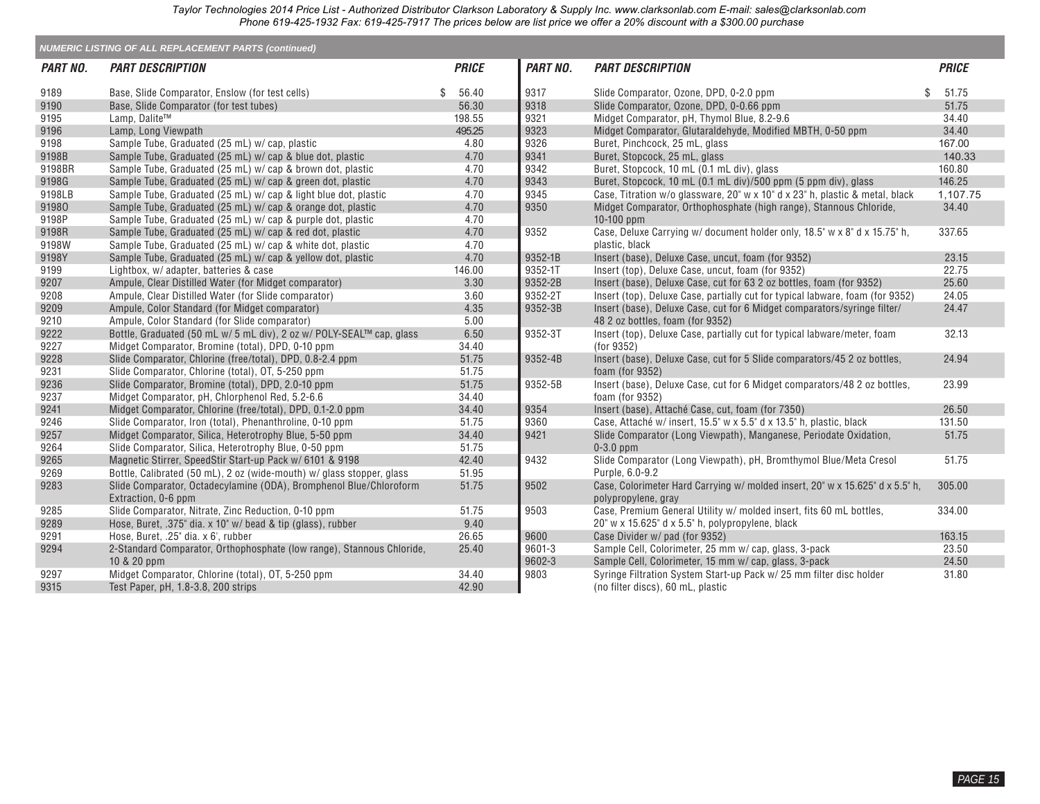| <b>NUMERIC LISTING OF ALL REPLACEMENT PARTS (continued)</b> |                                                                                           |    |              |                 |                                                                                                      |    |              |  |  |  |
|-------------------------------------------------------------|-------------------------------------------------------------------------------------------|----|--------------|-----------------|------------------------------------------------------------------------------------------------------|----|--------------|--|--|--|
| PART NO.                                                    | <b>PART DESCRIPTION</b>                                                                   |    | <b>PRICE</b> | <b>PART NO.</b> | <b>PART DESCRIPTION</b>                                                                              |    | <b>PRICE</b> |  |  |  |
| 9189                                                        | Base, Slide Comparator, Enslow (for test cells)                                           | \$ | 56.40        | 9317            | Slide Comparator, Ozone, DPD, 0-2.0 ppm                                                              | \$ | 51.75        |  |  |  |
| 9190                                                        | Base, Slide Comparator (for test tubes)                                                   |    | 56.30        | 9318            | Slide Comparator, Ozone, DPD, 0-0.66 ppm                                                             |    | 51.75        |  |  |  |
| 9195                                                        | Lamp, Dalite™                                                                             |    | 198.55       | 9321            | Midget Comparator, pH, Thymol Blue, 8.2-9.6                                                          |    | 34.40        |  |  |  |
| 9196                                                        | Lamp, Long Viewpath                                                                       |    | 495.25       | 9323            | Midget Comparator, Glutaraldehyde, Modified MBTH, 0-50 ppm                                           |    | 34.40        |  |  |  |
| 9198                                                        | Sample Tube, Graduated (25 mL) w/ cap, plastic                                            |    | 4.80         | 9326            | Buret, Pinchcock, 25 mL, glass                                                                       |    | 167.00       |  |  |  |
| 9198B                                                       | Sample Tube, Graduated (25 mL) w/ cap & blue dot, plastic                                 |    | 4.70         | 9341            | Buret, Stopcock, 25 mL, glass                                                                        |    | 140.33       |  |  |  |
| 9198BR                                                      | Sample Tube, Graduated (25 mL) w/ cap & brown dot, plastic                                |    | 4.70         | 9342            | Buret, Stopcock, 10 mL (0.1 mL div), glass                                                           |    | 160.80       |  |  |  |
| 9198G                                                       | Sample Tube, Graduated (25 mL) w/ cap & green dot, plastic                                |    | 4.70         | 9343            | Buret, Stopcock, 10 mL (0.1 mL div)/500 ppm (5 ppm div), glass                                       |    | 146.25       |  |  |  |
| 9198LB                                                      | Sample Tube, Graduated (25 mL) w/ cap & light blue dot, plastic                           |    | 4.70         | 9345            | Case, Titration w/o glassware, 20" w x 10" d x 23" h, plastic & metal, black                         |    | 1,107.75     |  |  |  |
| 91980                                                       | Sample Tube, Graduated (25 mL) w/cap & orange dot, plastic                                |    | 4.70         | 9350            | Midget Comparator, Orthophosphate (high range), Stannous Chloride,                                   |    | 34.40        |  |  |  |
| 9198P                                                       | Sample Tube, Graduated (25 mL) w/ cap & purple dot, plastic                               |    | 4.70         |                 | $10-100$ ppm                                                                                         |    |              |  |  |  |
| 9198R                                                       | Sample Tube, Graduated (25 mL) w/ cap & red dot, plastic                                  |    | 4.70         | 9352            | Case, Deluxe Carrying w/ document holder only, 18.5" w x 8" d x 15.75" h,                            |    | 337.65       |  |  |  |
| 9198W                                                       | Sample Tube, Graduated (25 mL) w/cap & white dot, plastic                                 |    | 4.70         |                 | plastic, black                                                                                       |    |              |  |  |  |
| 9198Y                                                       | Sample Tube, Graduated (25 mL) w/cap & yellow dot, plastic                                |    | 4.70         | 9352-1B         | Insert (base), Deluxe Case, uncut, foam (for 9352)                                                   |    | 23.15        |  |  |  |
| 9199                                                        | Lightbox, w/ adapter, batteries & case                                                    |    | 146.00       | 9352-1T         | Insert (top), Deluxe Case, uncut, foam (for 9352)                                                    |    | 22.75        |  |  |  |
| 9207                                                        | Ampule, Clear Distilled Water (for Midget comparator)                                     |    | 3.30         | 9352-2B         | Insert (base), Deluxe Case, cut for 63 2 oz bottles, foam (for 9352)                                 |    | 25.60        |  |  |  |
| 9208                                                        | Ampule, Clear Distilled Water (for Slide comparator)                                      |    | 3.60         | 9352-2T         | Insert (top), Deluxe Case, partially cut for typical labware, foam (for 9352)                        |    | 24.05        |  |  |  |
| 9209                                                        | Ampule, Color Standard (for Midget comparator)                                            |    | 4.35         | 9352-3B         | Insert (base), Deluxe Case, cut for 6 Midget comparators/syringe filter/                             |    | 24.47        |  |  |  |
| 9210                                                        | Ampule, Color Standard (for Slide comparator)                                             |    | 5.00         |                 | 48 2 oz bottles, foam (for 9352)                                                                     |    |              |  |  |  |
| 9222                                                        | Bottle, Graduated (50 mL w/ 5 mL div), 2 oz w/ POLY-SEAL™ cap, glass                      |    | 6.50         | 9352-3T         | Insert (top), Deluxe Case, partially cut for typical labware/meter, foam                             |    | 32.13        |  |  |  |
| 9227                                                        | Midget Comparator, Bromine (total), DPD, 0-10 ppm                                         |    | 34.40        |                 | (for 9352)                                                                                           |    |              |  |  |  |
| 9228                                                        | Slide Comparator, Chlorine (free/total), DPD, 0.8-2.4 ppm                                 |    | 51.75        | 9352-4B         | Insert (base), Deluxe Case, cut for 5 Slide comparators/45 2 oz bottles,                             |    | 24.94        |  |  |  |
| 9231                                                        | Slide Comparator, Chlorine (total), OT, 5-250 ppm                                         |    | 51.75        |                 | foam (for 9352)                                                                                      |    |              |  |  |  |
| 9236                                                        | Slide Comparator, Bromine (total), DPD, 2.0-10 ppm                                        |    | 51.75        | 9352-5B         | Insert (base), Deluxe Case, cut for 6 Midget comparators/48 2 oz bottles,                            |    | 23.99        |  |  |  |
| 9237                                                        | Midget Comparator, pH, Chlorphenol Red, 5.2-6.6                                           |    | 34.40        |                 | foam (for 9352)                                                                                      |    |              |  |  |  |
| 9241                                                        | Midget Comparator, Chlorine (free/total), DPD, 0.1-2.0 ppm                                |    | 34.40        | 9354            | Insert (base), Attaché Case, cut, foam (for 7350)                                                    |    | 26.50        |  |  |  |
| 9246                                                        | Slide Comparator, Iron (total), Phenanthroline, 0-10 ppm                                  |    | 51.75        | 9360            | Case, Attaché w/ insert, 15.5" w x 5.5" d x 13.5" h, plastic, black                                  |    | 131.50       |  |  |  |
| 9257                                                        | Midget Comparator, Silica, Heterotrophy Blue, 5-50 ppm                                    |    | 34.40        | 9421            | Slide Comparator (Long Viewpath), Manganese, Periodate Oxidation,                                    |    | 51.75        |  |  |  |
| 9264                                                        | Slide Comparator, Silica, Heterotrophy Blue, 0-50 ppm                                     |    | 51.75        |                 | $0-3.0$ ppm                                                                                          |    |              |  |  |  |
| 9265                                                        | Magnetic Stirrer, SpeedStir Start-up Pack w/ 6101 & 9198                                  |    | 42.40        | 9432            | Slide Comparator (Long Viewpath), pH, Bromthymol Blue/Meta Cresol                                    |    | 51.75        |  |  |  |
| 9269                                                        | Bottle, Calibrated (50 mL), 2 oz (wide-mouth) w/ glass stopper, glass                     |    | 51.95        |                 | Purple, 6.0-9.2                                                                                      |    |              |  |  |  |
| 9283                                                        | Slide Comparator, Octadecylamine (ODA), Bromphenol Blue/Chloroform<br>Extraction, 0-6 ppm |    | 51.75        | 9502            | Case, Colorimeter Hard Carrying w/ molded insert, 20" w x 15.625" d x 5.5" h,<br>polypropylene, gray |    | 305.00       |  |  |  |
| 9285                                                        | Slide Comparator, Nitrate, Zinc Reduction, 0-10 ppm                                       |    | 51.75        | 9503            | Case, Premium General Utility w/ molded insert, fits 60 mL bottles,                                  |    | 334.00       |  |  |  |
| 9289                                                        | Hose, Buret, .375" dia. x 10" w/ bead & tip (glass), rubber                               |    | 9.40         |                 | 20" w x 15.625" d x 5.5" h, polypropylene, black                                                     |    |              |  |  |  |
| 9291                                                        | Hose, Buret, .25" dia. x 6', rubber                                                       |    | 26.65        | 9600            | Case Divider w/ pad (for 9352)                                                                       |    | 163.15       |  |  |  |
| 9294                                                        | 2-Standard Comparator, Orthophosphate (low range), Stannous Chloride,                     |    | 25.40        | 9601-3          | Sample Cell, Colorimeter, 25 mm w/ cap, glass, 3-pack                                                |    | 23.50        |  |  |  |
|                                                             | 10 & 20 ppm                                                                               |    |              | 9602-3          | Sample Cell, Colorimeter, 15 mm w/ cap, glass, 3-pack                                                |    | 24.50        |  |  |  |
| 9297                                                        | Midget Comparator, Chlorine (total), OT, 5-250 ppm                                        |    | 34.40        | 9803            | Syringe Filtration System Start-up Pack w/ 25 mm filter disc holder                                  |    | 31.80        |  |  |  |
| 9315                                                        | Test Paper, pH, 1.8-3.8, 200 strips                                                       |    | 42.90        |                 | (no filter discs), 60 mL, plastic                                                                    |    |              |  |  |  |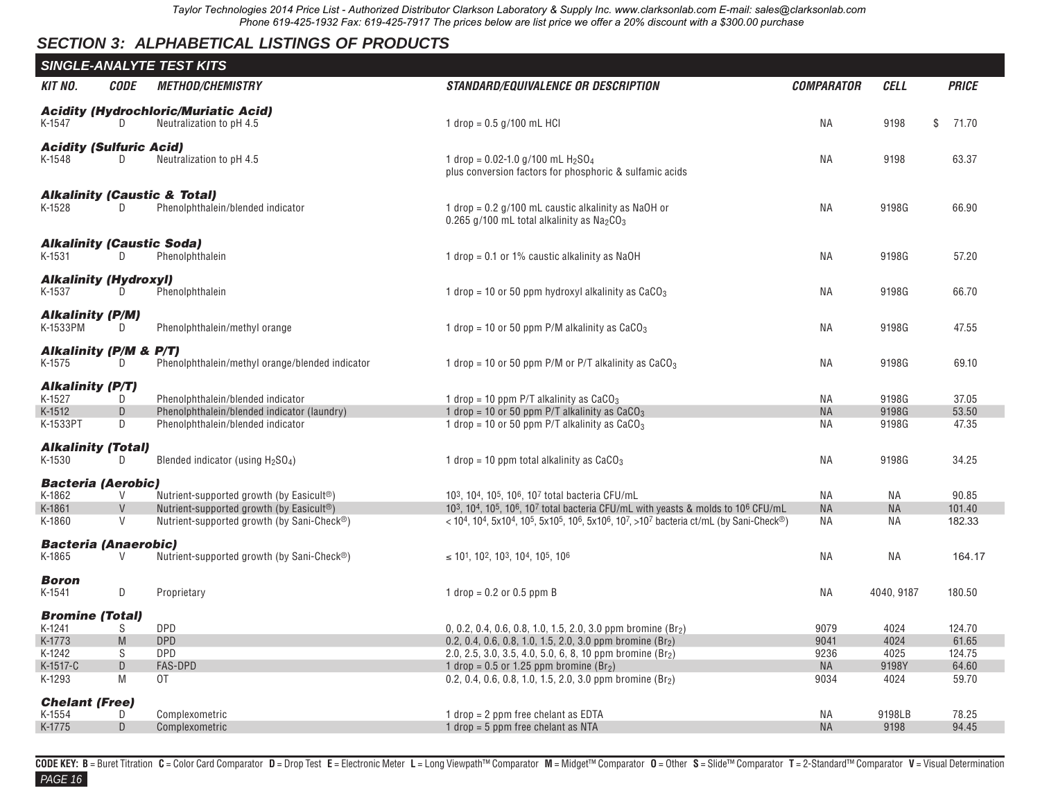## <span id="page-14-0"></span>*SECTION 3: ALPHABETICAL LISTINGS OF PRODUCTS*

|                                                                            |                                  | <b>SINGLE-ANALYTE TEST KITS</b>                                                                                                                 |                                                                                                                                                                                                                                                                                                                                                                                                                                                                                                         |                                           |                                       |                                             |
|----------------------------------------------------------------------------|----------------------------------|-------------------------------------------------------------------------------------------------------------------------------------------------|---------------------------------------------------------------------------------------------------------------------------------------------------------------------------------------------------------------------------------------------------------------------------------------------------------------------------------------------------------------------------------------------------------------------------------------------------------------------------------------------------------|-------------------------------------------|---------------------------------------|---------------------------------------------|
| <b>KIT NO.</b>                                                             | <b>CODE</b>                      | <b>METHOD/CHEMISTRY</b>                                                                                                                         | <b>STANDARD/EQUIVALENCE OR DESCRIPTION</b>                                                                                                                                                                                                                                                                                                                                                                                                                                                              | <b>COMPARATOR</b>                         | <b>CELL</b>                           | <b>PRICE</b>                                |
| K-1547                                                                     | D.                               | <b>Acidity (Hydrochloric/Muriatic Acid)</b><br>Neutralization to pH 4.5                                                                         | 1 drop = $0.5$ g/100 mL HCl                                                                                                                                                                                                                                                                                                                                                                                                                                                                             | <b>NA</b>                                 | 9198                                  | \$<br>71.70                                 |
| <b>Acidity (Sulfuric Acid)</b><br>K-1548                                   | D                                | Neutralization to pH 4.5                                                                                                                        | 1 drop = $0.02$ -1.0 g/100 mL H <sub>2</sub> SO <sub>4</sub><br>plus conversion factors for phosphoric & sulfamic acids                                                                                                                                                                                                                                                                                                                                                                                 | <b>NA</b>                                 | 9198                                  | 63.37                                       |
| K-1528                                                                     | D                                | <b>Alkalinity (Caustic &amp; Total)</b><br>Phenolphthalein/blended indicator                                                                    | 1 drop = 0.2 g/100 mL caustic alkalinity as NaOH or<br>0.265 g/100 mL total alkalinity as $Na2CO3$                                                                                                                                                                                                                                                                                                                                                                                                      | <b>NA</b>                                 | 9198G                                 | 66.90                                       |
| <b>Alkalinity (Caustic Soda)</b><br>K-1531                                 | D.                               | Phenolphthalein                                                                                                                                 | 1 drop = 0.1 or 1% caustic alkalinity as NaOH                                                                                                                                                                                                                                                                                                                                                                                                                                                           | NA                                        | 9198G                                 | 57.20                                       |
| <b>Alkalinity (Hydroxyl)</b><br>K-1537                                     | D                                | Phenolphthalein                                                                                                                                 | 1 drop = 10 or 50 ppm hydroxyl alkalinity as $CaCO3$                                                                                                                                                                                                                                                                                                                                                                                                                                                    | NA                                        | 9198G                                 | 66.70                                       |
| <b>Alkalinity (P/M)</b><br>K-1533PM                                        | D                                | Phenolphthalein/methyl orange                                                                                                                   | 1 drop = 10 or 50 ppm P/M alkalinity as $CaCO3$                                                                                                                                                                                                                                                                                                                                                                                                                                                         | <b>NA</b>                                 | 9198G                                 | 47.55                                       |
| <b>Alkalinity (P/M &amp; P/T)</b><br>K-1575                                | D                                | Phenolphthalein/methyl orange/blended indicator                                                                                                 | 1 drop = 10 or 50 ppm P/M or P/T alkalinity as $CaCO3$                                                                                                                                                                                                                                                                                                                                                                                                                                                  | ΝA                                        | 9198G                                 | 69.10                                       |
| <b>Alkalinity (P/T)</b><br>K-1527<br>K-1512<br>K-1533PT                    | D<br>D<br>D                      | Phenolphthalein/blended indicator<br>Phenolphthalein/blended indicator (laundry)<br>Phenolphthalein/blended indicator                           | 1 drop = 10 ppm P/T alkalinity as $CaCO3$<br>1 drop = 10 or 50 ppm P/T alkalinity as $CaCO3$<br>1 drop = 10 or 50 ppm $P/T$ alkalinity as $CaCO3$                                                                                                                                                                                                                                                                                                                                                       | ΝA<br><b>NA</b><br>ΝA                     | 9198G<br>9198G<br>9198G               | 37.05<br>53.50<br>47.35                     |
| <b>Alkalinity (Total)</b><br>K-1530                                        | D.                               | Blended indicator (using $H_2SO_4$ )                                                                                                            | 1 drop = 10 ppm total alkalinity as $CaCO3$                                                                                                                                                                                                                                                                                                                                                                                                                                                             | ΝA                                        | 9198G                                 | 34.25                                       |
| <b>Bacteria (Aerobic)</b><br>K-1862<br>K-1861<br>K-1860                    | $\vee$<br>$\vee$<br>$\mathsf{V}$ | Nutrient-supported growth (by Easicult <sup>®</sup> )<br>Nutrient-supported growth (by Easicult®)<br>Nutrient-supported growth (by Sani-Check®) | 10 <sup>3</sup> , 10 <sup>4</sup> , 10 <sup>5</sup> , 10 <sup>6</sup> , 10 <sup>7</sup> total bacteria CFU/mL<br>10 <sup>3</sup> , 10 <sup>4</sup> , 10 <sup>5</sup> , 10 <sup>6</sup> , 10 <sup>7</sup> total bacteria CFU/mL with yeasts & molds to 10 <sup>6</sup> CFU/mL<br>$<$ 10 <sup>4</sup> , 10 <sup>4</sup> , 5x10 <sup>4</sup> , 10 <sup>5</sup> , 5x10 <sup>5</sup> , 10 <sup>6</sup> , 5x10 <sup>6</sup> , 10 <sup>7</sup> , >10 <sup>7</sup> bacteria ct/mL (by Sani-Check <sup>®</sup> ) | ΝA<br><b>NA</b><br>NA                     | ΝA<br><b>NA</b><br>ΝA                 | 90.85<br>101.40<br>182.33                   |
| <b>Bacteria (Anaerobic)</b><br>K-1865                                      | V                                | Nutrient-supported growth (by Sani-Check®)                                                                                                      | $\leq$ 10 <sup>1</sup> , 10 <sup>2</sup> , 10 <sup>3</sup> , 10 <sup>4</sup> , 10 <sup>5</sup> , 10 <sup>6</sup>                                                                                                                                                                                                                                                                                                                                                                                        | <b>NA</b>                                 | ΝA                                    | 164.17                                      |
| <b>Boron</b><br>K-1541                                                     | D                                | Proprietary                                                                                                                                     | 1 drop = $0.2$ or $0.5$ ppm B                                                                                                                                                                                                                                                                                                                                                                                                                                                                           | ΝA                                        | 4040, 9187                            | 180.50                                      |
| <b>Bromine (Total)</b><br>K-1241<br>K-1773<br>K-1242<br>K-1517-C<br>K-1293 | S<br>M<br>S<br>D<br>M            | <b>DPD</b><br><b>DPD</b><br><b>DPD</b><br><b>FAS-DPD</b><br>0T                                                                                  | 0, 0.2, 0.4, 0.6, 0.8, 1.0, 1.5, 2.0, 3.0 ppm bromine $(Br_2)$<br>0.2, 0.4, 0.6, 0.8, 1.0, 1.5, 2.0, 3.0 ppm bromine (Br <sub>2</sub> )<br>2.0, 2.5, 3.0, 3.5, 4.0, 5.0, 6, 8, 10 ppm bromine $(Br_2)$<br>1 drop = $0.5$ or 1.25 ppm bromine (Br <sub>2</sub> )<br>0.2, 0.4, 0.6, 0.8, 1.0, 1.5, 2.0, 3.0 ppm bromine (Br2)                                                                                                                                                                             | 9079<br>9041<br>9236<br><b>NA</b><br>9034 | 4024<br>4024<br>4025<br>9198Y<br>4024 | 124.70<br>61.65<br>124.75<br>64.60<br>59.70 |
| <b>Chelant (Free)</b><br>K-1554<br>K-1775                                  | D<br>D                           | Complexometric<br>Complexometric                                                                                                                | 1 $drop = 2 ppm$ free chelant as EDTA<br>1 drop = $5$ ppm free chelant as NTA                                                                                                                                                                                                                                                                                                                                                                                                                           | ΝA<br><b>NA</b>                           | 9198LB<br>9198                        | 78.25<br>94.45                              |

*PAGE 16* CODE KEY: B = Buret Titration C = Color Card Comparator D = Drop Test E = Electronic Meter L = Long Viewpath™ Comparator M = Midget™ Comparator O = Other S = Slide™ Comparator T = 2-Standard™ Comparator V = Visual Determi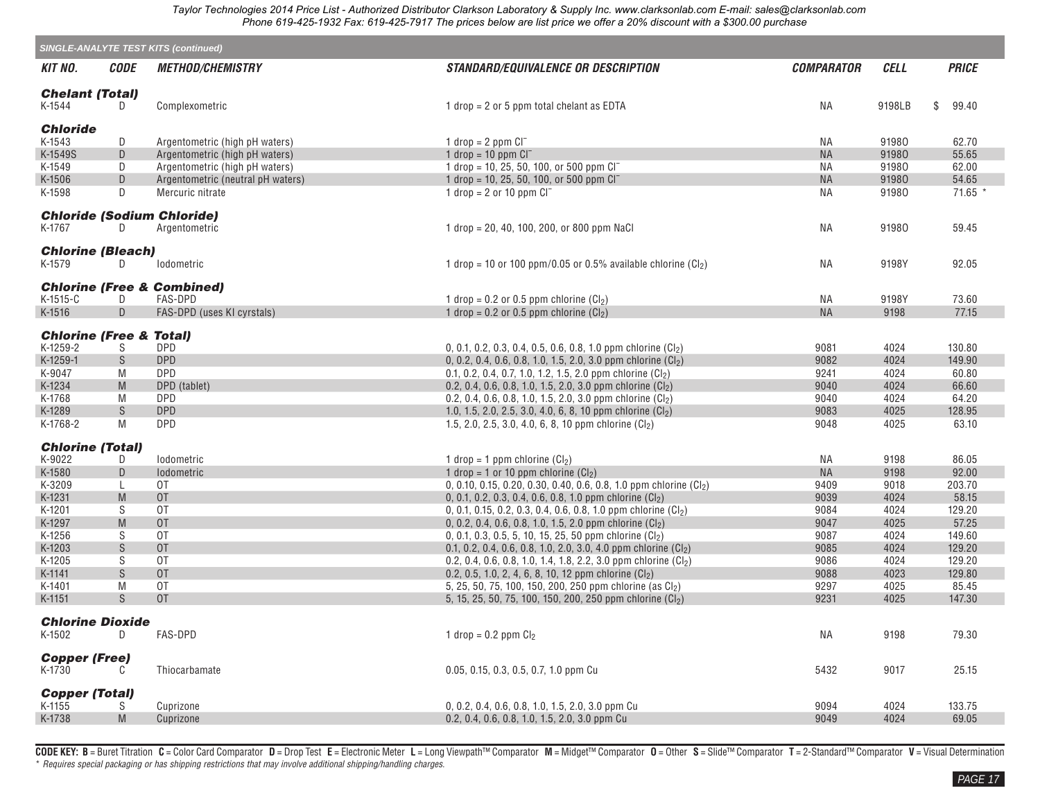|                                    |                    | <b>SINGLE-ANALYTE TEST KITS (continued)</b> |                                                                                                                              |                   |              |                  |
|------------------------------------|--------------------|---------------------------------------------|------------------------------------------------------------------------------------------------------------------------------|-------------------|--------------|------------------|
| KIT NO.                            | <b>CODE</b>        | <b>METHOD/CHEMISTRY</b>                     | <b>STANDARD/EQUIVALENCE OR DESCRIPTION</b>                                                                                   | <b>COMPARATOR</b> | <b>CELL</b>  | <b>PRICE</b>     |
| <b>Chelant (Total)</b><br>K-1544   | D                  | Complexometric                              | 1 drop = $2$ or $5$ ppm total chelant as EDTA                                                                                | ΝA                | 9198LB       | \$<br>99.40      |
| <b>Chloride</b>                    |                    |                                             |                                                                                                                              |                   |              |                  |
| K-1543                             | D                  | Argentometric (high pH waters)              | 1 drop = $2$ ppm $CI^-$                                                                                                      | ΝA                | 91980        | 62.70            |
| K-1549S                            | D                  | Argentometric (high pH waters)              | 1 drop = $10$ ppm $Cl^-$                                                                                                     | <b>NA</b>         | 91980        | 55.65            |
| K-1549                             | D                  | Argentometric (high pH waters)              | 1 drop = 10, 25, 50, 100, or 500 ppm $CI^-$                                                                                  | <b>NA</b>         | 91980        | 62.00            |
| K-1506                             | $\mathsf D$        | Argentometric (neutral pH waters)           | 1 drop = 10, 25, 50, 100, or 500 ppm $CI^-$                                                                                  | <b>NA</b>         | 91980        | 54.65            |
| K-1598                             | D                  | Mercuric nitrate                            | 1 drop = $2$ or 10 ppm $Cl^-$                                                                                                | ΝA                | 91980        | 71.65 *          |
|                                    |                    | <b>Chloride (Sodium Chloride)</b>           |                                                                                                                              |                   |              |                  |
| K-1767                             | D                  | Argentometric                               | 1 drop = 20, 40, 100, 200, or 800 ppm NaCl                                                                                   | ΝA                | 91980        | 59.45            |
| <b>Chlorine (Bleach)</b>           |                    |                                             |                                                                                                                              |                   |              |                  |
| K-1579                             | D                  | <i>lodometric</i>                           | 1 drop = 10 or 100 ppm/0.05 or 0.5% available chlorine $(Cl_2)$                                                              | ΝA                | 9198Y        | 92.05            |
|                                    |                    | <b>Chlorine (Free &amp; Combined)</b>       |                                                                                                                              |                   |              |                  |
| K-1515-C                           | D                  | <b>FAS-DPD</b>                              | 1 drop = 0.2 or 0.5 ppm chlorine $(Cl2)$                                                                                     | ΝA                | 9198Y        | 73.60            |
| K-1516                             | D                  | FAS-DPD (uses KI cyrstals)                  | 1 drop = $0.2$ or $0.5$ ppm chlorine $(Cl2)$                                                                                 | <b>NA</b>         | 9198         | 77.15            |
| <b>Chlorine (Free &amp; Total)</b> |                    |                                             |                                                                                                                              |                   |              |                  |
| K-1259-2                           | S.                 | <b>DPD</b>                                  | 0, 0.1, 0.2, 0.3, 0.4, 0.5, 0.6, 0.8, 1.0 ppm chlorine $(Cl_2)$                                                              | 9081              | 4024         | 130.80           |
| K-1259-1                           | S                  | <b>DPD</b>                                  | 0, 0.2, 0.4, 0.6, 0.8, 1.0, 1.5, 2.0, 3.0 ppm chlorine $(Cl_2)$                                                              | 9082              | 4024         | 149.90           |
| K-9047                             | M                  | <b>DPD</b>                                  | 0.1, 0.2, 0.4, 0.7, 1.0, 1.2, 1.5, 2.0 ppm chlorine (Cl <sub>2</sub> )                                                       | 9241              | 4024         | 60.80            |
| K-1234                             | M                  | DPD (tablet)                                | 0.2, 0.4, 0.6, 0.8, 1.0, 1.5, 2.0, 3.0 ppm chlorine (Cl2)                                                                    | 9040              | 4024         | 66.60            |
| K-1768                             | M                  | <b>DPD</b>                                  | 0.2, 0.4, 0.6, 0.8, 1.0, 1.5, 2.0, 3.0 ppm chlorine $(Cl_2)$                                                                 | 9040              | 4024         | 64.20            |
| K-1289                             | S                  | <b>DPD</b>                                  | 1.0, 1.5, 2.0, 2.5, 3.0, 4.0, 6, 8, 10 ppm chlorine $(Cl_2)$                                                                 | 9083              | 4025         | 128.95           |
| K-1768-2                           | M                  | <b>DPD</b>                                  | 1.5, 2.0, 2.5, 3.0, 4.0, 6, 8, 10 ppm chlorine $(Cl_2)$                                                                      | 9048              | 4025         | 63.10            |
| <b>Chlorine (Total)</b>            |                    |                                             |                                                                                                                              |                   |              |                  |
| K-9022                             | D                  | lodometric                                  | 1 drop = 1 ppm chlorine $(Cl2)$                                                                                              | ΝA                | 9198         | 86.05            |
| K-1580                             | D                  | Iodometric                                  | 1 drop = 1 or 10 ppm chlorine $(Cl2)$                                                                                        | <b>NA</b>         | 9198         | 92.00            |
| K-3209                             | L                  | 0T                                          | 0, 0.10, 0.15, 0.20, 0.30, 0.40, 0.6, 0.8, 1.0 ppm chlorine (Cl2)                                                            | 9409              | 9018         | 203.70           |
| K-1231                             | M                  | 0T                                          | 0, 0.1, 0.2, 0.3, 0.4, 0.6, 0.8, 1.0 ppm chlorine (Cl2)                                                                      | 9039              | 4024         | 58.15            |
| K-1201                             | S                  | 0T                                          | 0, 0.1, 0.15, 0.2, 0.3, 0.4, 0.6, 0.8, 1.0 ppm chlorine $\left(\text{Cl}_2\right)$                                           | 9084              | 4024         | 129.20           |
| K-1297                             | M                  | 0T                                          | 0, 0.2, 0.4, 0.6, 0.8, 1.0, 1.5, 2.0 ppm chlorine $(Cl_2)$                                                                   | 9047              | 4025         | 57.25            |
| K-1256                             | S                  | 0T                                          | 0, 0.1, 0.3, 0.5, 5, 10, 15, 25, 50 ppm chlorine $(Cl_2)$                                                                    | 9087              | 4024         | 149.60           |
| K-1203                             | S                  | 0T                                          | 0.1, 0.2, 0.4, 0.6, 0.8, 1.0, 2.0, 3.0, 4.0 ppm chlorine $(Cl_2)$                                                            | 9085              | 4024         | 129.20           |
| K-1205                             | S<br>${\mathsf S}$ | 0T<br>0T                                    | 0.2, 0.4, 0.6, 0.8, 1.0, 1.4, 1.8, 2.2, 3.0 ppm chlorine $(Cl_2)$<br>0.2, 0.5, 1.0, 2, 4, 6, 8, 10, 12 ppm chlorine $(Cl_2)$ | 9086              | 4024         | 129.20<br>129.80 |
| K-1141<br>K-1401                   | M                  | 0T                                          | 5, 25, 50, 75, 100, 150, 200, 250 ppm chlorine (as Cl2)                                                                      | 9088<br>9297      | 4023<br>4025 | 85.45            |
| K-1151                             | S.                 | 0T                                          | 5, 15, 25, 50, 75, 100, 150, 200, 250 ppm chlorine (Cl2)                                                                     | 9231              | 4025         | 147.30           |
|                                    |                    |                                             |                                                                                                                              |                   |              |                  |
| <b>Chlorine Dioxide</b>            |                    |                                             |                                                                                                                              |                   |              |                  |
| K-1502                             | D                  | FAS-DPD                                     | 1 drop = $0.2$ ppm $Cl2$                                                                                                     | ΝA                | 9198         | 79.30            |
| <b>Copper (Free)</b>               |                    |                                             |                                                                                                                              |                   |              |                  |
| K-1730                             |                    | Thiocarbamate                               | 0.05, 0.15, 0.3, 0.5, 0.7, 1.0 ppm Cu                                                                                        | 5432              | 9017         | 25.15            |
| <b>Copper (Total)</b>              |                    |                                             |                                                                                                                              |                   |              |                  |
| K-1155                             | S                  | Cuprizone                                   | 0, 0.2, 0.4, 0.6, 0.8, 1.0, 1.5, 2.0, 3.0 ppm Cu                                                                             | 9094              | 4024         | 133.75           |
| K-1738                             | M                  | Cuprizone                                   | 0.2, 0.4, 0.6, 0.8, 1.0, 1.5, 2.0, 3.0 ppm Cu                                                                                | 9049              | 4024         | 69.05            |
|                                    |                    |                                             |                                                                                                                              |                   |              |                  |

CODE KEY: B = Buret Titration C = Color Card Comparator D = Drop Test E = Electronic Meter L = Long Viewpath™ Comparator M = Midget™ Comparator O = Other S = Slide™ Comparator T = 2-Standard™ Comparator V = Visual Determ \* *Requires special packaging or has shipping restrictions that may involve additional shipping/handling charges.*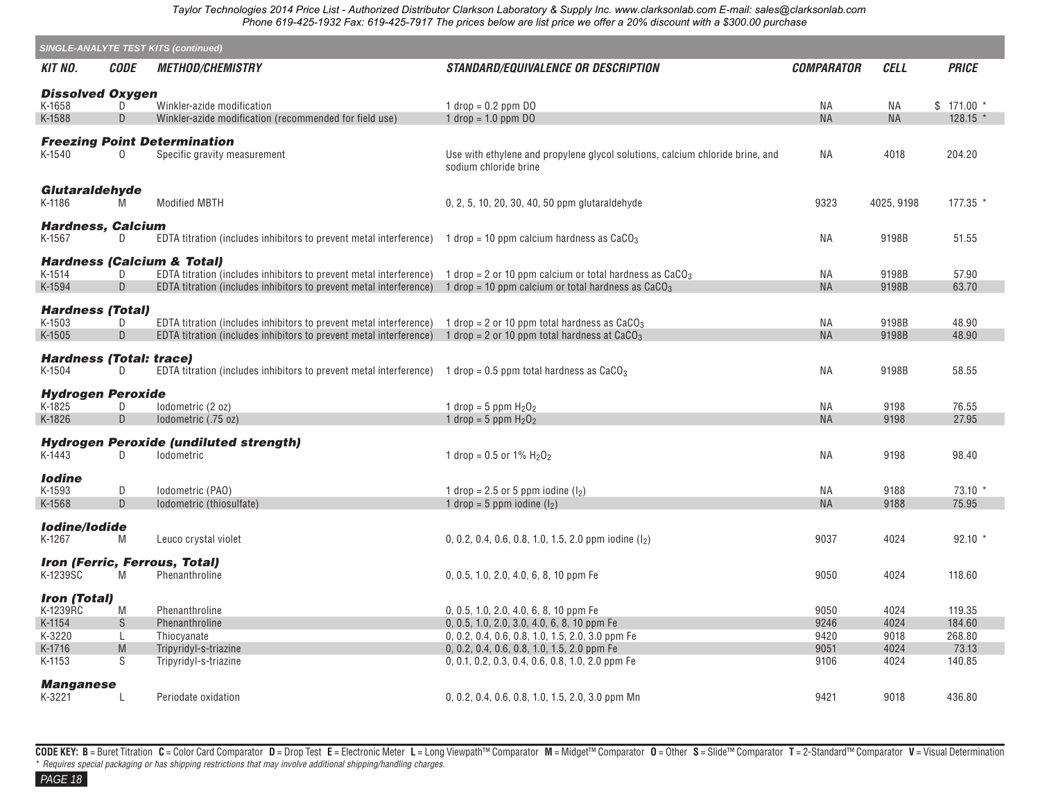|                                          |                    | <b>SINGLE-ANALYTE TEST KITS (continued)</b>                                                                                            |                                                                                                        |                   |             |              |
|------------------------------------------|--------------------|----------------------------------------------------------------------------------------------------------------------------------------|--------------------------------------------------------------------------------------------------------|-------------------|-------------|--------------|
| KIT NO.                                  | <i><b>CODE</b></i> | <i><b>METHOD/CHEMISTRY</b></i>                                                                                                         | <b>STANDARD/EQUIVALENCE OR DESCRIPTION</b>                                                             | <b>COMPARATOR</b> | <b>CELL</b> | <b>PRICE</b> |
| <b>Dissolved Oxygen</b>                  |                    |                                                                                                                                        |                                                                                                        |                   |             |              |
| K-1658                                   | D                  | Winkler-azide modification                                                                                                             | 1 $drop = 0.2$ ppm DO                                                                                  | ΝA                | ΝA          | $$171.00*$   |
| K-1588                                   | D                  | Winkler-azide modification (recommended for field use)                                                                                 | 1 drop = $1.0$ ppm DO                                                                                  | <b>NA</b>         | <b>NA</b>   | $128.15$ *   |
|                                          |                    |                                                                                                                                        |                                                                                                        |                   |             |              |
| K-1540                                   | 0                  | <b>Freezing Point Determination</b><br>Specific gravity measurement                                                                    | Use with ethylene and propylene glycol solutions, calcium chloride brine, and<br>sodium chloride brine | NA                | 4018        | 204.20       |
| Glutaraldehyde<br>K-1186                 | M                  | <b>Modified MBTH</b>                                                                                                                   | 0, 2, 5, 10, 20, 30, 40, 50 ppm glutaraldehyde                                                         | 9323              | 4025, 9198  | $177.35$ *   |
| <b>Hardness, Calcium</b><br>K-1567       | D.                 | EDTA titration (includes inhibitors to prevent metal interference) 1 drop = 10 ppm calcium hardness as CaCO <sub>3</sub>               |                                                                                                        | NA                | 9198B       | 51.55        |
|                                          |                    | <b>Hardness (Calcium &amp; Total)</b>                                                                                                  |                                                                                                        |                   |             |              |
| K-1514                                   | D                  | EDTA titration (includes inhibitors to prevent metal interference) 1 drop = 2 or 10 ppm calcium or total hardness as CaCO <sub>3</sub> |                                                                                                        | NA                | 9198B       | 57.90        |
| K-1594                                   | D                  | EDTA titration (includes inhibitors to prevent metal interference) 1 drop = 10 ppm calcium or total hardness as $CaCO3$                |                                                                                                        | <b>NA</b>         | 9198B       | 63.70        |
| <b>Hardness (Total)</b>                  |                    |                                                                                                                                        |                                                                                                        |                   |             |              |
| K-1503                                   | D                  | EDTA titration (includes inhibitors to prevent metal interference) 1 drop = 2 or 10 ppm total hardness as CaCO <sub>3</sub>            |                                                                                                        | ΝA                | 9198B       | 48.90        |
| K-1505                                   | D                  | EDTA titration (includes inhibitors to prevent metal interference) 1 drop = 2 or 10 ppm total hardness at $CaCO3$                      |                                                                                                        | <b>NA</b>         | 9198B       | 48.90        |
| <b>Hardness (Total: trace)</b><br>K-1504 | D.                 | EDTA titration (includes inhibitors to prevent metal interference) 1 drop = 0.5 ppm total hardness as CaCO <sub>3</sub>                |                                                                                                        | ΝA                | 9198B       | 58.55        |
| <b>Hydrogen Peroxide</b>                 |                    |                                                                                                                                        |                                                                                                        |                   |             |              |
| K-1825                                   | D                  | lodometric (2 oz)                                                                                                                      | 1 drop = 5 ppm $H_2O_2$                                                                                | NA                | 9198        | 76.55        |
| K-1826                                   | D                  | lodometric (.75 oz)                                                                                                                    | 1 drop = $5$ ppm $H_2O_2$                                                                              | <b>NA</b>         | 9198        | 27.95        |
| K-1443                                   | D                  | <b>Hydrogen Peroxide (undiluted strength)</b><br><b>lodometric</b>                                                                     | 1 drop = $0.5$ or $1\%$ H <sub>2</sub> O <sub>2</sub>                                                  | <b>NA</b>         | 9198        | 98.40        |
| <b>lodine</b>                            |                    |                                                                                                                                        |                                                                                                        |                   |             |              |
| K-1593                                   | ${\sf D}$          | Iodometric (PAO)                                                                                                                       | 1 drop = 2.5 or 5 ppm iodine $(l_2)$                                                                   | ΝA                | 9188        | 73.10        |
| K-1568                                   | D                  | Iodometric (thiosulfate)                                                                                                               | 1 drop = 5 ppm iodine $(l_2)$                                                                          | <b>NA</b>         | 9188        | 75.95        |
| <b>Iodine/lodide</b><br>K-1267           | M                  | Leuco crystal violet                                                                                                                   | 0, 0.2, 0.4, 0.6, 0.8, 1.0, 1.5, 2.0 ppm iodine $(I_2)$                                                | 9037              | 4024        | $92.10*$     |
|                                          |                    | <b>Iron (Ferric, Ferrous, Total)</b>                                                                                                   |                                                                                                        |                   |             |              |
| K-1239SC                                 | M                  | Phenanthroline                                                                                                                         | 0, 0.5, 1.0, 2.0, 4.0, 6, 8, 10 ppm Fe                                                                 | 9050              | 4024        | 118.60       |
| <b>Iron (Total)</b><br>K-1239RC          | M                  | Phenanthroline                                                                                                                         | 0, 0.5, 1.0, 2.0, 4.0, 6, 8, 10 ppm Fe                                                                 | 9050              | 4024        | 119.35       |
| K-1154                                   | ${\mathsf S}$      | Phenanthroline                                                                                                                         | 0, 0.5, 1.0, 2.0, 3.0, 4.0, 6, 8, 10 ppm Fe                                                            | 9246              | 4024        | 184.60       |
| K-3220                                   | L                  | Thiocyanate                                                                                                                            | $0, 0.2, 0.4, 0.6, 0.8, 1.0, 1.5, 2.0, 3.0$ ppm Fe                                                     | 9420              | 9018        | 268.80       |
| K-1716                                   | M                  | Tripyridyl-s-triazine                                                                                                                  | $0, 0.2, 0.4, 0.6, 0.8, 1.0, 1.5, 2.0$ ppm Fe                                                          | 9051              | 4024        | 73.13        |
| K-1153                                   | S                  | Tripyridyl-s-triazine                                                                                                                  | 0, 0.1, 0.2, 0.3, 0.4, 0.6, 0.8, 1.0, 2.0 ppm Fe                                                       | 9106              | 4024        | 140.85       |
| <b>Manganese</b><br>K-3221               | L                  | Periodate oxidation                                                                                                                    | $0, 0.2, 0.4, 0.6, 0.8, 1.0, 1.5, 2.0, 3.0$ ppm Mn                                                     | 9421              | 9018        | 436.80       |

CODE KEY: B = Buret Titration C = Color Card Comparator D = Drop Test E = Electronic Meter L = Long Viewpath™ Comparator M = Midget™ Comparator O = Other S = Slide™ Comparator T = 2-Standard™ Comparator V = Visual Determ \* *Requires special packaging or has shipping restrictions that may involve additional shipping/handling charges.* 

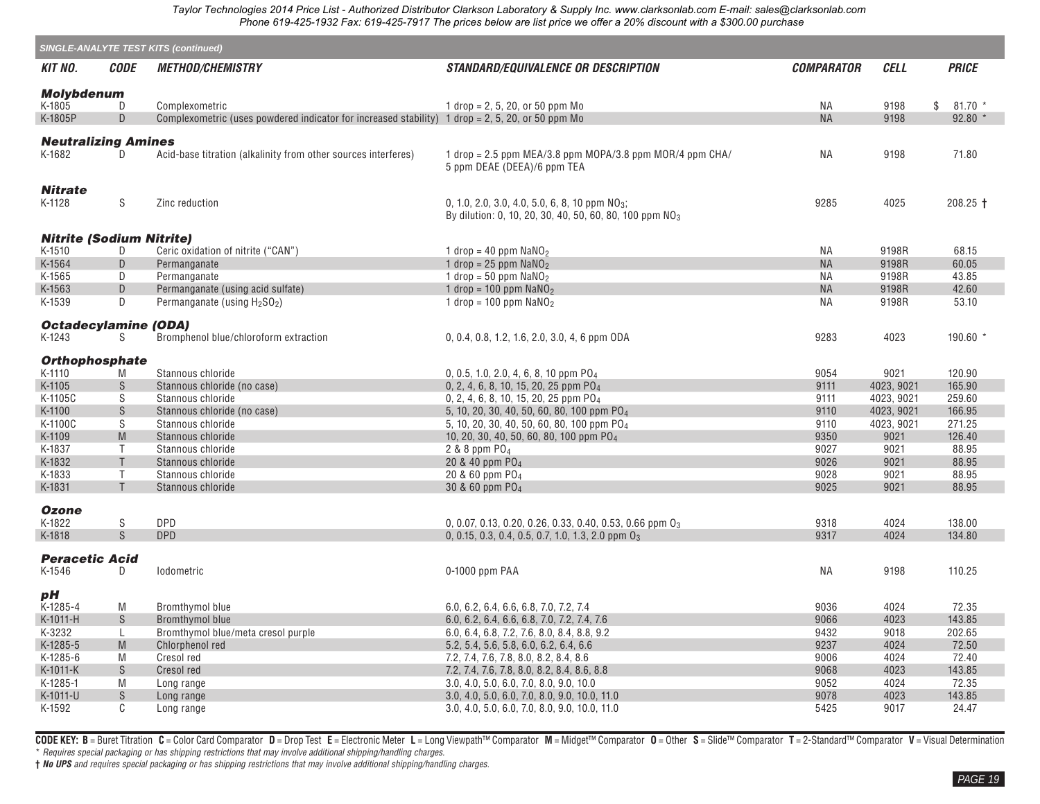|                                      | <b>SINGLE-ANALYTE TEST KITS (continued)</b>                                                                |                                                                                                  |                                                                                                                         |                          |              |                 |  |  |  |  |
|--------------------------------------|------------------------------------------------------------------------------------------------------------|--------------------------------------------------------------------------------------------------|-------------------------------------------------------------------------------------------------------------------------|--------------------------|--------------|-----------------|--|--|--|--|
| KIT NO.                              | <i><b>CODE</b></i>                                                                                         | <b>METHOD/CHEMISTRY</b>                                                                          | <i>STANDARD/EQUIVALENCE OR DESCRIPTION</i>                                                                              | <i><b>COMPARATOR</b></i> | CELL         | <b>PRICE</b>    |  |  |  |  |
| <b>Molybdenum</b>                    |                                                                                                            |                                                                                                  |                                                                                                                         |                          |              |                 |  |  |  |  |
| K-1805                               | D                                                                                                          | Complexometric                                                                                   | 1 drop = 2, 5, 20, or 50 ppm Mo                                                                                         | ΝA                       | 9198         | \$<br>$81.70*$  |  |  |  |  |
| K-1805P                              | D                                                                                                          | Complexometric (uses powdered indicator for increased stability) 1 drop = 2, 5, 20, or 50 ppm Mo |                                                                                                                         | <b>NA</b>                | 9198         | $92.80*$        |  |  |  |  |
|                                      |                                                                                                            |                                                                                                  |                                                                                                                         |                          |              |                 |  |  |  |  |
| <b>Neutralizing Amines</b><br>K-1682 | D.                                                                                                         | Acid-base titration (alkalinity from other sources interferes)                                   | 1 drop = 2.5 ppm MEA/3.8 ppm MOPA/3.8 ppm MOR/4 ppm CHA/<br>5 ppm DEAE (DEEA)/6 ppm TEA                                 | <b>NA</b>                | 9198         | 71.80           |  |  |  |  |
| <b>Nitrate</b><br>K-1128             | S                                                                                                          | Zinc reduction                                                                                   | 0, 1.0, 2.0, 3.0, 4.0, 5.0, 6, 8, 10 ppm $NO3$ ;<br>By dilution: 0, 10, 20, 30, 40, 50, 60, 80, 100 ppm NO <sub>3</sub> | 9285                     | 4025         | $208.25 +$      |  |  |  |  |
| <b>Nitrite (Sodium Nitrite)</b>      |                                                                                                            |                                                                                                  |                                                                                                                         |                          |              |                 |  |  |  |  |
| K-1510                               | D                                                                                                          | Ceric oxidation of nitrite ("CAN")                                                               | 1 drop = 40 ppm $NaNO2$                                                                                                 | ΝA                       | 9198R        | 68.15           |  |  |  |  |
| K-1564                               | D                                                                                                          | Permanganate                                                                                     | 1 drop = $25$ ppm $NaNO2$                                                                                               | <b>NA</b>                | 9198R        | 60.05           |  |  |  |  |
| K-1565                               | D                                                                                                          | Permanganate                                                                                     | 1 drop = 50 ppm $NaNO2$                                                                                                 | <b>NA</b>                | 9198R        | 43.85           |  |  |  |  |
| K-1563                               | D                                                                                                          | Permanganate (using acid sulfate)                                                                | 1 drop = 100 ppm $NaNO2$                                                                                                | <b>NA</b>                | 9198R        | 42.60           |  |  |  |  |
| K-1539                               | D                                                                                                          | Permanganate (using H <sub>2</sub> SO <sub>2</sub> )                                             | 1 drop = $100$ ppm $NaNO2$                                                                                              | <b>NA</b>                | 9198R        | 53.10           |  |  |  |  |
| <b>Octadecylamine (ODA)</b>          |                                                                                                            |                                                                                                  |                                                                                                                         |                          |              |                 |  |  |  |  |
| K-1243                               | S.                                                                                                         | Bromphenol blue/chloroform extraction                                                            | 0, 0.4, 0.8, 1.2, 1.6, 2.0, 3.0, 4, 6 ppm ODA                                                                           | 9283                     | 4023         | $190.60$ *      |  |  |  |  |
| <b>Orthophosphate</b>                |                                                                                                            |                                                                                                  |                                                                                                                         |                          |              |                 |  |  |  |  |
| K-1110                               | M                                                                                                          | Stannous chloride                                                                                | 0, 0.5, 1.0, 2.0, 4, 6, 8, 10 ppm PO <sub>4</sub>                                                                       | 9054                     | 9021         | 120.90          |  |  |  |  |
| K-1105                               | S                                                                                                          | Stannous chloride (no case)                                                                      | 0, 2, 4, 6, 8, 10, 15, 20, 25 ppm PO <sub>4</sub>                                                                       | 9111                     | 4023, 9021   | 165.90          |  |  |  |  |
| K-1105C                              | S                                                                                                          | Stannous chloride                                                                                | 0, 2, 4, 6, 8, 10, 15, 20, 25 ppm PO <sub>4</sub>                                                                       | 9111                     | 4023, 9021   | 259.60          |  |  |  |  |
| K-1100                               | S                                                                                                          | Stannous chloride (no case)                                                                      | 5, 10, 20, 30, 40, 50, 60, 80, 100 ppm PO <sub>4</sub>                                                                  | 9110                     | 4023, 9021   | 166.95          |  |  |  |  |
| K-1100C                              | $\mathsf S$                                                                                                | Stannous chloride                                                                                | 5, 10, 20, 30, 40, 50, 60, 80, 100 ppm PO <sub>4</sub>                                                                  | 9110                     | 4023, 9021   | 271.25          |  |  |  |  |
| K-1109                               | $\mathsf{M}% _{T}=\mathsf{M}_{T}\!\left( a,b\right) ,\ \mathsf{M}_{T}=\mathsf{M}_{T}\!\left( a,b\right) ,$ | Stannous chloride                                                                                | 10, 20, 30, 40, 50, 60, 80, 100 ppm PO <sub>4</sub>                                                                     | 9350                     | 9021         | 126.40          |  |  |  |  |
| K-1837                               | Τ                                                                                                          | Stannous chloride                                                                                | 2 & 8 ppm $PO4$                                                                                                         | 9027                     | 9021         | 88.95           |  |  |  |  |
| K-1832                               | $\mathsf T$<br>$\mathsf{T}$                                                                                | Stannous chloride                                                                                | 20 & 40 ppm PO <sub>4</sub>                                                                                             | 9026<br>9028             | 9021         | 88.95           |  |  |  |  |
| K-1833                               | $\mathsf{T}$                                                                                               | Stannous chloride                                                                                | 20 & 60 ppm PO <sub>4</sub>                                                                                             | 9025                     | 9021         | 88.95           |  |  |  |  |
| K-1831                               |                                                                                                            | Stannous chloride                                                                                | 30 & 60 ppm PO <sub>4</sub>                                                                                             |                          | 9021         | 88.95           |  |  |  |  |
| <b>Ozone</b><br>K-1822               | ${\sf S}$                                                                                                  | DPD                                                                                              | 0, 0.07, 0.13, 0.20, 0.26, 0.33, 0.40, 0.53, 0.66 ppm O <sub>3</sub>                                                    | 9318                     | 4024         | 138.00          |  |  |  |  |
| K-1818                               | S                                                                                                          | <b>DPD</b>                                                                                       | 0, 0.15, 0.3, 0.4, 0.5, 0.7, 1.0, 1.3, 2.0 ppm $0_3$                                                                    | 9317                     | 4024         | 134.80          |  |  |  |  |
| <b>Peracetic Acid</b>                |                                                                                                            |                                                                                                  |                                                                                                                         |                          |              |                 |  |  |  |  |
| K-1546                               | D                                                                                                          | lodometric                                                                                       | 0-1000 ppm PAA                                                                                                          | <b>NA</b>                | 9198         | 110.25          |  |  |  |  |
| рH                                   |                                                                                                            |                                                                                                  |                                                                                                                         |                          |              |                 |  |  |  |  |
| K-1285-4                             | M                                                                                                          | Bromthymol blue                                                                                  | 6.0, 6.2, 6.4, 6.6, 6.8, 7.0, 7.2, 7.4                                                                                  | 9036                     | 4024         | 72.35           |  |  |  |  |
| K-1011-H                             | $\mathbb S$                                                                                                | <b>Bromthymol blue</b>                                                                           | 6.0, 6.2, 6.4, 6.6, 6.8, 7.0, 7.2, 7.4, 7.6                                                                             | 9066                     | 4023         | 143.85          |  |  |  |  |
| K-3232                               | L                                                                                                          | Bromthymol blue/meta cresol purple                                                               | 6.0, 6.4, 6.8, 7.2, 7.6, 8.0, 8.4, 8.8, 9.2                                                                             | 9432<br>9237             | 9018<br>4024 | 202.65<br>72.50 |  |  |  |  |
| K-1285-5<br>K-1285-6                 | M<br>M                                                                                                     | Chlorphenol red<br>Cresol red                                                                    | 5.2, 5.4, 5.6, 5.8, 6.0, 6.2, 6.4, 6.6<br>7.2, 7.4, 7.6, 7.8, 8.0, 8.2, 8.4, 8.6                                        | 9006                     | 4024         | 72.40           |  |  |  |  |
| K-1011-K                             | $\mathbb S$                                                                                                | Cresol red                                                                                       | 7.2, 7.4, 7.6, 7.8, 8.0, 8.2, 8.4, 8.6, 8.8                                                                             | 9068                     | 4023         | 143.85          |  |  |  |  |
| K-1285-1                             | M                                                                                                          | Long range                                                                                       | 3.0, 4.0, 5.0, 6.0, 7.0, 8.0, 9.0, 10.0                                                                                 | 9052                     | 4024         | 72.35           |  |  |  |  |
| K-1011-U                             | S                                                                                                          | Long range                                                                                       | 3.0, 4.0, 5.0, 6.0, 7.0, 8.0, 9.0, 10.0, 11.0                                                                           | 9078                     | 4023         | 143.85          |  |  |  |  |
| K-1592                               | C                                                                                                          | Long range                                                                                       | 3.0, 4.0, 5.0, 6.0, 7.0, 8.0, 9.0, 10.0, 11.0                                                                           | 5425                     | 9017         | 24.47           |  |  |  |  |

CODE KEY: B = Buret Titration C = Color Card Comparator D = Drop Test E = Electronic Meter L = Long Viewpath™ Comparator M = Midget™ Comparator O = Other S = Slide™ Comparator T = 2-Standard™ Comparator V = Visual Determi \* *Requires special packaging or has shipping restrictions that may involve additional shipping/handling charges.*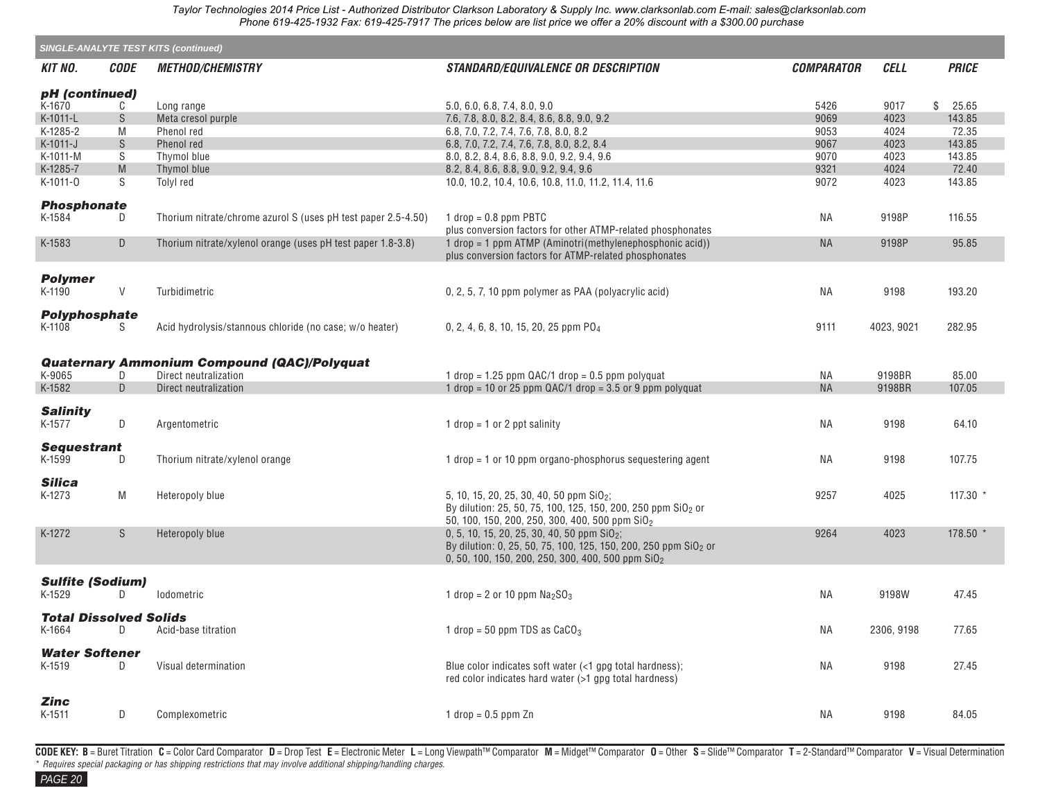| <b>SINGLE-ANALYTE TEST KITS (continued)</b> |               |                                                               |                                                                             |                   |             |              |  |  |  |
|---------------------------------------------|---------------|---------------------------------------------------------------|-----------------------------------------------------------------------------|-------------------|-------------|--------------|--|--|--|
| <b>KIT NO.</b>                              | <b>CODE</b>   | <b>METHOD/CHEMISTRY</b>                                       | <b>STANDARD/EQUIVALENCE OR DESCRIPTION</b>                                  | <b>COMPARATOR</b> | <b>CELL</b> | <b>PRICE</b> |  |  |  |
| pH (continued)                              |               |                                                               |                                                                             |                   |             |              |  |  |  |
| K-1670                                      | C             | Long range                                                    | 5.0, 6.0, 6.8, 7.4, 8.0, 9.0                                                | 5426              | 9017        | \$25.65      |  |  |  |
| K-1011-L                                    | S             | Meta cresol purple                                            | 7.6, 7.8, 8.0, 8.2, 8.4, 8.6, 8.8, 9.0, 9.2                                 | 9069              | 4023        | 143.85       |  |  |  |
| K-1285-2                                    | M             | Phenol red                                                    | 6.8, 7.0, 7.2, 7.4, 7.6, 7.8, 8.0, 8.2                                      | 9053              | 4024        | 72.35        |  |  |  |
| K-1011-J                                    | ${\mathbb S}$ | Phenol red                                                    | 6.8, 7.0, 7.2, 7.4, 7.6, 7.8, 8.0, 8.2, 8.4                                 | 9067              | 4023        | 143.85       |  |  |  |
| K-1011-M                                    | S             | Thymol blue                                                   | 8.0, 8.2, 8.4, 8.6, 8.8, 9.0, 9.2, 9.4, 9.6                                 | 9070              | 4023        | 143.85       |  |  |  |
| K-1285-7                                    | M             | Thymol blue                                                   | 8.2, 8.4, 8.6, 8.8, 9.0, 9.2, 9.4, 9.6                                      | 9321              | 4024        | 72.40        |  |  |  |
| K-1011-0                                    | S             | Tolyl red                                                     | 10.0, 10.2, 10.4, 10.6, 10.8, 11.0, 11.2, 11.4, 11.6                        | 9072              | 4023        | 143.85       |  |  |  |
|                                             |               |                                                               |                                                                             |                   |             |              |  |  |  |
| <b>Phosphonate</b><br>K-1584                | D             | Thorium nitrate/chrome azurol S (uses pH test paper 2.5-4.50) | $1$ drop = 0.8 ppm PBTC                                                     | ΝA                | 9198P       | 116.55       |  |  |  |
|                                             |               |                                                               | plus conversion factors for other ATMP-related phosphonates                 |                   |             |              |  |  |  |
| K-1583                                      | D             | Thorium nitrate/xylenol orange (uses pH test paper 1.8-3.8)   | $1$ drop = 1 ppm ATMP (Aminotri(methylenephosphonic acid))                  | <b>NA</b>         | 9198P       | 95.85        |  |  |  |
|                                             |               |                                                               | plus conversion factors for ATMP-related phosphonates                       |                   |             |              |  |  |  |
| <b>Polymer</b>                              |               |                                                               |                                                                             |                   |             |              |  |  |  |
| K-1190                                      | $\mathsf V$   | Turbidimetric                                                 | 0, 2, 5, 7, 10 ppm polymer as PAA (polyacrylic acid)                        | NA.               | 9198        | 193.20       |  |  |  |
|                                             |               |                                                               |                                                                             |                   |             |              |  |  |  |
| <b>Polyphosphate</b>                        |               |                                                               |                                                                             |                   |             |              |  |  |  |
| K-1108                                      | S             | Acid hydrolysis/stannous chloride (no case; w/o heater)       | 0, 2, 4, 6, 8, 10, 15, 20, 25 ppm PO <sub>4</sub>                           | 9111              | 4023, 9021  | 282.95       |  |  |  |
|                                             |               |                                                               |                                                                             |                   |             |              |  |  |  |
|                                             |               | <b>Quaternary Ammonium Compound (QAC)/Polyquat</b>            |                                                                             |                   |             |              |  |  |  |
| K-9065                                      | D             | Direct neutralization                                         | 1 drop = 1.25 ppm $QAC/1$ drop = 0.5 ppm polyquat                           | ΝA                | 9198BR      | 85.00        |  |  |  |
| K-1582                                      | D             | Direct neutralization                                         | 1 drop = 10 or 25 ppm $QAC/1$ drop = 3.5 or 9 ppm polyquat                  | <b>NA</b>         | 9198BR      | 107.05       |  |  |  |
|                                             |               |                                                               |                                                                             |                   |             |              |  |  |  |
| <b>Salinity</b>                             |               |                                                               |                                                                             |                   |             |              |  |  |  |
| K-1577                                      | D             | Argentometric                                                 | 1 drop = 1 or 2 ppt salinity                                                | ΝA                | 9198        | 64.10        |  |  |  |
| <b>Sequestrant</b>                          |               |                                                               |                                                                             |                   |             |              |  |  |  |
| K-1599                                      | D             | Thorium nitrate/xylenol orange                                | 1 $drop = 1$ or 10 ppm organo-phosphorus sequestering agent                 | ΝA                | 9198        | 107.75       |  |  |  |
|                                             |               |                                                               |                                                                             |                   |             |              |  |  |  |
| <b>Silica</b>                               |               |                                                               |                                                                             |                   |             |              |  |  |  |
| K-1273                                      | M             | Heteropoly blue                                               | 5, 10, 15, 20, 25, 30, 40, 50 ppm SiO <sub>2</sub> ;                        | 9257              | 4025        | $117.30$ *   |  |  |  |
|                                             |               |                                                               | By dilution: 25, 50, 75, 100, 125, 150, 200, 250 ppm SiO <sub>2</sub> or    |                   |             |              |  |  |  |
|                                             |               |                                                               | 50, 100, 150, 200, 250, 300, 400, 500 ppm SiO <sub>2</sub>                  |                   |             |              |  |  |  |
| K-1272                                      | S             | Heteropoly blue                                               | 0, 5, 10, 15, 20, 25, 30, 40, 50 ppm $SiO2$ ;                               | 9264              | 4023        | $178.50*$    |  |  |  |
|                                             |               |                                                               | By dilution: 0, 25, 50, 75, 100, 125, 150, 200, 250 ppm SiO <sub>2</sub> or |                   |             |              |  |  |  |
|                                             |               |                                                               | 0, 50, 100, 150, 200, 250, 300, 400, 500 ppm SiO <sub>2</sub>               |                   |             |              |  |  |  |
|                                             |               |                                                               |                                                                             |                   |             |              |  |  |  |
| <b>Sulfite (Sodium)</b>                     |               |                                                               |                                                                             |                   |             |              |  |  |  |
| K-1529                                      | D             | lodometric                                                    | 1 drop = 2 or 10 ppm $Na2SO3$                                               | ΝA                | 9198W       | 47.45        |  |  |  |
| <b>Total Dissolved Solids</b>               |               |                                                               |                                                                             |                   |             |              |  |  |  |
| K-1664                                      | D             | Acid-base titration                                           | 1 drop = 50 ppm TDS as $CaCO3$                                              | ΝA                | 2306, 9198  | 77.65        |  |  |  |
|                                             |               |                                                               |                                                                             |                   |             |              |  |  |  |
| <b>Water Softener</b>                       |               |                                                               |                                                                             |                   |             |              |  |  |  |
| K-1519                                      | D             | Visual determination                                          | Blue color indicates soft water (<1 gpg total hardness);                    | <b>NA</b>         | 9198        | 27.45        |  |  |  |
|                                             |               |                                                               | red color indicates hard water (>1 gpg total hardness)                      |                   |             |              |  |  |  |
| Zinc                                        |               |                                                               |                                                                             |                   |             |              |  |  |  |
| K-1511                                      | D             | Complexometric                                                | 1 drop = $0.5$ ppm Zn                                                       | NA.               | 9198        | 84.05        |  |  |  |
|                                             |               |                                                               |                                                                             |                   |             |              |  |  |  |

CODE KEY: B = Buret Titration C = Color Card Comparator D = Drop Test E = Electronic Meter L = Long Viewpath™ Comparator M = Midget™ Comparator O = Other S = Slide™ Comparator T = 2-Standard™ Comparator V = Visual Determ \* *Requires special packaging or has shipping restrictions that may involve additional shipping/handling charges.*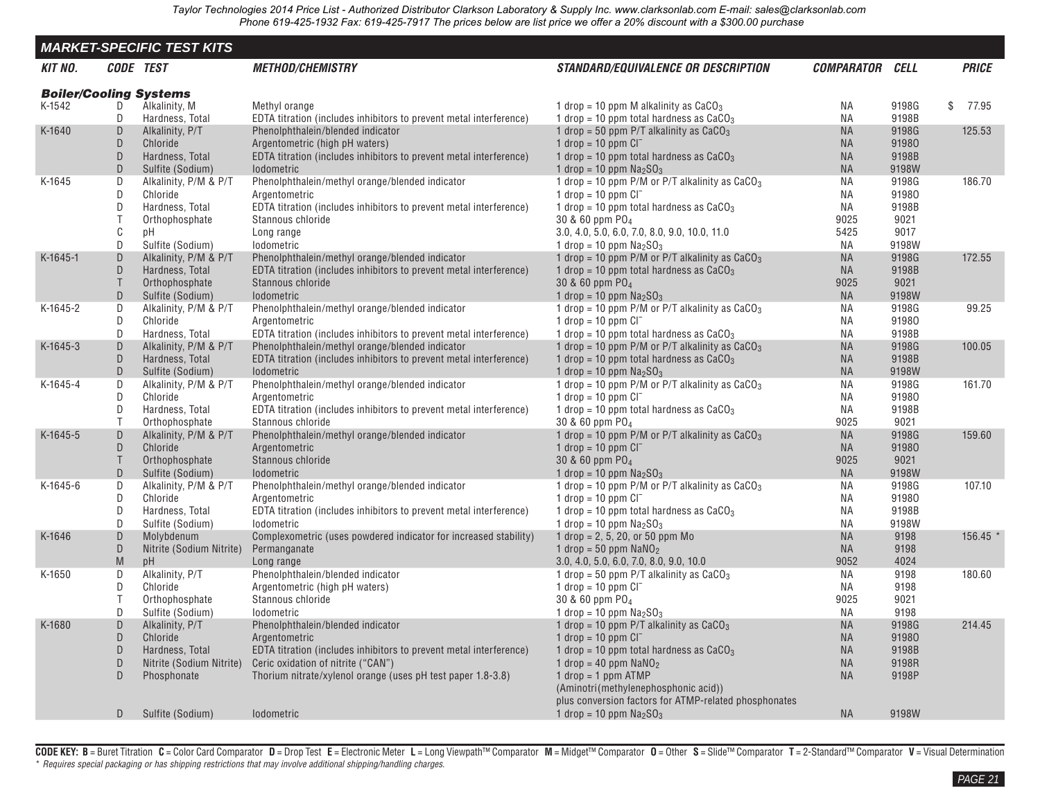<span id="page-19-0"></span>

|                               |             | <b>MARKET-SPECIFIC TEST KITS</b>    |                                                                                                         |                                                                                        |                        |                |         |              |
|-------------------------------|-------------|-------------------------------------|---------------------------------------------------------------------------------------------------------|----------------------------------------------------------------------------------------|------------------------|----------------|---------|--------------|
| KIT NO.                       |             | CODE TEST                           | <i><b>METHOD/CHEMISTRY</b></i>                                                                          | <b>STANDARD/EQUIVALENCE OR DESCRIPTION</b>                                             | <b>COMPARATOR CELL</b> |                |         | <b>PRICE</b> |
| <b>Boiler/Cooling Systems</b> |             |                                     |                                                                                                         |                                                                                        |                        |                |         |              |
| K-1542                        | D           | Alkalinity, M                       | Methyl orange                                                                                           | 1 drop = 10 ppm M alkalinity as $CaCO3$                                                | ΝA                     | 9198G          | \$77.95 |              |
| K-1640                        | D<br>D      | Hardness, Total<br>Alkalinity, P/T  | EDTA titration (includes inhibitors to prevent metal interference)<br>Phenolphthalein/blended indicator | 1 drop = 10 ppm total hardness as $CaCO3$<br>1 drop = 50 ppm P/T alkalinity as $CaCO3$ | ΝA<br><b>NA</b>        | 9198B<br>9198G |         | 125.53       |
|                               | D           | Chloride                            | Argentometric (high pH waters)                                                                          | 1 drop = $10$ ppm $Cl^-$                                                               | <b>NA</b>              | 91980          |         |              |
|                               | D           | Hardness, Total                     | EDTA titration (includes inhibitors to prevent metal interference)                                      | 1 drop = 10 ppm total hardness as $CaCO3$                                              | <b>NA</b>              | 9198B          |         |              |
|                               | $\mathsf D$ | Sulfite (Sodium)                    | <b>Iodometric</b>                                                                                       | 1 drop = 10 ppm $Na2SO3$                                                               | <b>NA</b>              | 9198W          |         |              |
| K-1645                        | D           | Alkalinity, P/M & P/T               | Phenolphthalein/methyl orange/blended indicator                                                         | 1 drop = 10 ppm P/M or P/T alkalinity as $CaCO3$                                       | <b>NA</b>              | 9198G          |         | 186.70       |
|                               | D           | Chloride                            | Argentometric                                                                                           | 1 drop = $10$ ppm $Cl^-$                                                               | ΝA                     | 91980          |         |              |
|                               | D           | Hardness, Total                     | EDTA titration (includes inhibitors to prevent metal interference)                                      | 1 drop = 10 ppm total hardness as $CaCO3$                                              | <b>NA</b>              | 9198B          |         |              |
|                               | T           | Orthophosphate                      | Stannous chloride                                                                                       | 30 & 60 ppm PO <sub>4</sub>                                                            | 9025                   | 9021           |         |              |
|                               | C           | рH                                  | Long range                                                                                              | 3.0, 4.0, 5.0, 6.0, 7.0, 8.0, 9.0, 10.0, 11.0                                          | 5425                   | 9017           |         |              |
|                               | D           | Sulfite (Sodium)                    | lodometric                                                                                              | 1 drop = 10 ppm $\text{Na}_2\text{SO}_3$                                               | <b>NA</b>              | 9198W          |         |              |
| K-1645-1                      | D           | Alkalinity, P/M & P/T               | Phenolphthalein/methyl orange/blended indicator                                                         | 1 drop = 10 ppm P/M or P/T alkalinity as $CaCO3$                                       | <b>NA</b>              | 9198G          |         | 172.55       |
|                               | D           | Hardness, Total                     | EDTA titration (includes inhibitors to prevent metal interference)                                      | 1 drop = 10 ppm total hardness as $CaCO3$                                              | <b>NA</b>              | 9198B          |         |              |
|                               | Τ           | Orthophosphate                      | Stannous chloride                                                                                       | 30 & 60 ppm PO <sub>4</sub>                                                            | 9025                   | 9021           |         |              |
|                               | D           | Sulfite (Sodium)                    | <b>Iodometric</b>                                                                                       | 1 drop = 10 ppm $Na2SO3$                                                               | <b>NA</b>              | 9198W          |         |              |
| K-1645-2                      | D           | Alkalinity, P/M & P/T               | Phenolphthalein/methyl orange/blended indicator                                                         | 1 drop = 10 ppm P/M or P/T alkalinity as $CaCO3$                                       | <b>NA</b>              | 9198G          |         | 99.25        |
|                               | D           | Chloride                            | Argentometric                                                                                           | 1 drop = $10$ ppm $Cl^-$                                                               | <b>NA</b>              | 91980          |         |              |
|                               | D           | Hardness, Total                     | EDTA titration (includes inhibitors to prevent metal interference)                                      | 1 drop = 10 ppm total hardness as $CaCO3$                                              | ΝA                     | 9198B          |         |              |
| $K-1645-3$                    | D<br>D      | Alkalinity, P/M & P/T               | Phenolphthalein/methyl orange/blended indicator                                                         | 1 drop = 10 ppm P/M or P/T alkalinity as $CaCO3$                                       | <b>NA</b>              | 9198G<br>9198B |         | 100.05       |
|                               | $\mathsf D$ | Hardness, Total<br>Sulfite (Sodium) | EDTA titration (includes inhibitors to prevent metal interference)<br>lodometric                        | 1 drop = 10 ppm total hardness as $CaCO3$<br>1 drop = 10 ppm $Na2SO3$                  | <b>NA</b><br><b>NA</b> | 9198W          |         |              |
| K-1645-4                      | D           | Alkalinity, P/M & P/T               | Phenolphthalein/methyl orange/blended indicator                                                         | 1 drop = 10 ppm P/M or P/T alkalinity as $CaCO3$                                       | ΝA                     | 9198G          |         | 161.70       |
|                               | D           | Chloride                            | Argentometric                                                                                           | 1 drop = $10$ ppm $Cl^-$                                                               | <b>NA</b>              | 91980          |         |              |
|                               | D           | Hardness, Total                     | EDTA titration (includes inhibitors to prevent metal interference)                                      | 1 drop = 10 ppm total hardness as $CaCO3$                                              | ΝA                     | 9198B          |         |              |
|                               | $\top$      | Orthophosphate                      | Stannous chloride                                                                                       | 30 & 60 ppm PO <sub>4</sub>                                                            | 9025                   | 9021           |         |              |
| $K-1645-5$                    | D           | Alkalinity, P/M & P/T               | Phenolphthalein/methyl orange/blended indicator                                                         | 1 drop = 10 ppm P/M or P/T alkalinity as $CaCO3$                                       | <b>NA</b>              | 9198G          |         | 159.60       |
|                               | D           | Chloride                            | Argentometric                                                                                           | 1 drop = $10$ ppm $Cl^-$                                                               | <b>NA</b>              | 91980          |         |              |
|                               | T           | Orthophosphate                      | Stannous chloride                                                                                       | 30 & 60 ppm PO <sub>4</sub>                                                            | 9025                   | 9021           |         |              |
|                               | D           | Sulfite (Sodium)                    | lodometric                                                                                              | 1 drop = 10 ppm $\text{Na}_2\text{SO}_3$                                               | <b>NA</b>              | 9198W          |         |              |
| K-1645-6                      | D           | Alkalinity, P/M & P/T               | Phenolphthalein/methyl orange/blended indicator                                                         | 1 drop = 10 ppm P/M or P/T alkalinity as $CaCO3$                                       | ΝA                     | 9198G          |         | 107.10       |
|                               | D           | Chloride                            | Argentometric                                                                                           | 1 drop = $10$ ppm $Cl^-$                                                               | ΝA                     | 91980          |         |              |
|                               | D           | Hardness, Total                     | EDTA titration (includes inhibitors to prevent metal interference)                                      | 1 drop = 10 ppm total hardness as $CaCO3$                                              | ΝA                     | 9198B          |         |              |
|                               | D           | Sulfite (Sodium)                    | <i><b>Iodometric</b></i>                                                                                | 1 drop = 10 ppm $Na2SO3$                                                               | <b>NA</b>              | 9198W          |         |              |
| K-1646                        | D           | Molybdenum                          | Complexometric (uses powdered indicator for increased stability)                                        | 1 drop = 2, 5, 20, or 50 ppm $Mo$                                                      | <b>NA</b>              | 9198           |         | 156.45       |
|                               | D           | Nitrite (Sodium Nitrite)            | Permanganate                                                                                            | 1 drop = 50 ppm $NaNO2$                                                                | <b>NA</b><br>9052      | 9198<br>4024   |         |              |
| K-1650                        | M<br>D      | pH<br>Alkalinity, P/T               | Long range<br>Phenolphthalein/blended indicator                                                         | 3.0, 4.0, 5.0, 6.0, 7.0, 8.0, 9.0, 10.0<br>1 drop = 50 ppm $P/T$ alkalinity as $CaCO3$ | ΝA                     | 9198           |         | 180.60       |
|                               | D           | Chloride                            | Argentometric (high pH waters)                                                                          | 1 drop = 10 ppm $Cl^-$                                                                 | <b>NA</b>              | 9198           |         |              |
|                               | T           | Orthophosphate                      | Stannous chloride                                                                                       | 30 & 60 ppm PO <sub>4</sub>                                                            | 9025                   | 9021           |         |              |
|                               | D           | Sulfite (Sodium)                    | <i>lodometric</i>                                                                                       | 1 drop = 10 ppm $Na2SO3$                                                               | ΝA                     | 9198           |         |              |
| K-1680                        | D           | Alkalinity, P/T                     | Phenolphthalein/blended indicator                                                                       | 1 drop = 10 ppm P/T alkalinity as $CaCO3$                                              | <b>NA</b>              | 9198G          |         | 214.45       |
|                               | D           | Chloride                            | Argentometric                                                                                           | 1 drop = 10 ppm $Cl^-$                                                                 | <b>NA</b>              | 91980          |         |              |
|                               | $\mathsf D$ | Hardness, Total                     | EDTA titration (includes inhibitors to prevent metal interference)                                      | 1 drop = 10 ppm total hardness as $CaCO3$                                              | <b>NA</b>              | 9198B          |         |              |
|                               | D           | Nitrite (Sodium Nitrite)            | Ceric oxidation of nitrite ("CAN")                                                                      | 1 drop = 40 ppm $NaNO2$                                                                | <b>NA</b>              | 9198R          |         |              |
|                               | D           | Phosphonate                         | Thorium nitrate/xylenol orange (uses pH test paper 1.8-3.8)                                             | 1 drop = 1 ppm $ATMP$                                                                  | <b>NA</b>              | 9198P          |         |              |
|                               |             |                                     |                                                                                                         | (Aminotri(methylenephosphonic acid))                                                   |                        |                |         |              |
|                               |             |                                     |                                                                                                         | plus conversion factors for ATMP-related phosphonates                                  |                        |                |         |              |
|                               | D           | Sulfite (Sodium)                    | Iodometric                                                                                              | 1 drop = 10 ppm $Na2SO3$                                                               | <b>NA</b>              | 9198W          |         |              |

CODE KEY: B = Buret Titration C = Color Card Comparator D = Drop Test E = Electronic Meter L = Long Viewpath™ Comparator M = Midget™ Comparator 0 = Other S = Slide™ Comparator T = 2-Standard™ Comparator V = Visual Determi \* *Requires special packaging or has shipping restrictions that may involve additional shipping/handling charges.*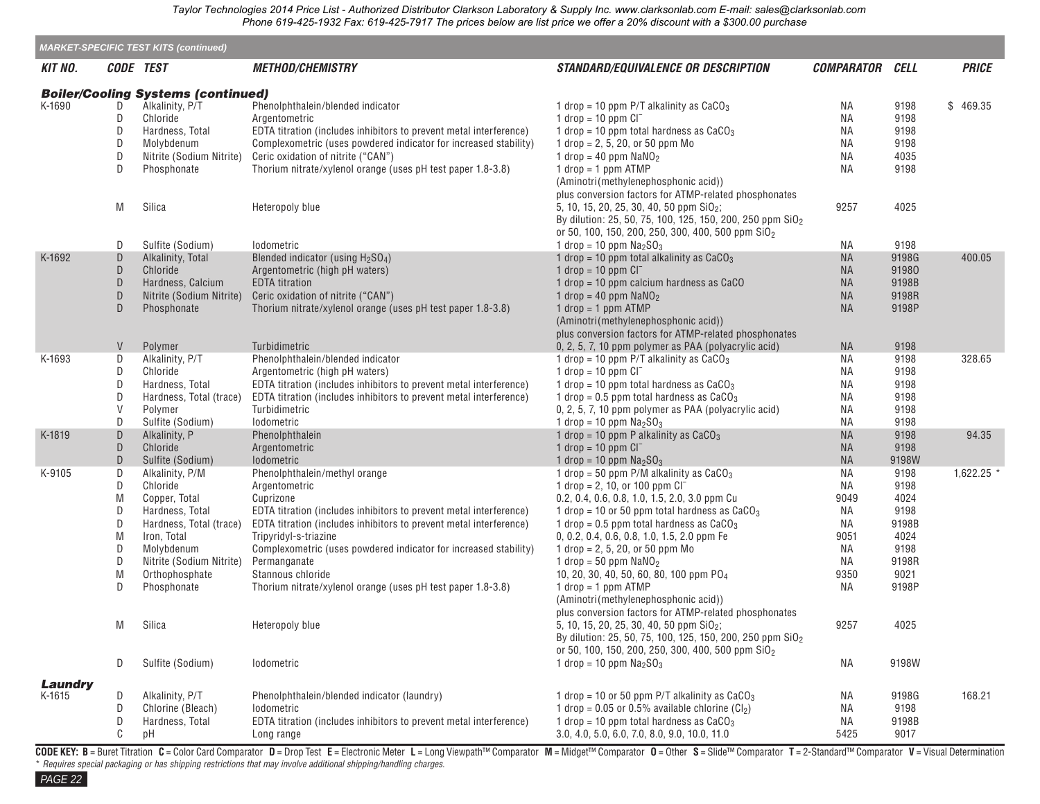|                |        | <b>MARKET-SPECIFIC TEST KITS (continued)</b> |                                                                    |                                                                                           |                        |              |              |
|----------------|--------|----------------------------------------------|--------------------------------------------------------------------|-------------------------------------------------------------------------------------------|------------------------|--------------|--------------|
| KIT NO.        |        | CODE TEST                                    | <b>METHOD/CHEMISTRY</b>                                            | <b>STANDARD/EQUIVALENCE OR DESCRIPTION</b>                                                | <b>COMPARATOR CELL</b> |              | <b>PRICE</b> |
|                |        | <b>Boiler/Cooling Systems (continued)</b>    |                                                                    |                                                                                           |                        |              |              |
| K-1690         | D      | Alkalinity, P/T                              | Phenolphthalein/blended indicator                                  | 1 drop = 10 ppm P/T alkalinity as $CaCO3$                                                 | ΝA                     | 9198         | \$469.35     |
|                | D      | Chloride                                     | Argentometric                                                      | $1$ drop = $10$ ppm $Cl^-$                                                                | ΝA                     | 9198         |              |
|                | D      | Hardness, Total                              | EDTA titration (includes inhibitors to prevent metal interference) | 1 drop = 10 ppm total hardness as $CaCO3$                                                 | <b>NA</b>              | 9198         |              |
|                | D      | Molybdenum                                   | Complexometric (uses powdered indicator for increased stability)   | 1 drop = $2, 5, 20,$ or 50 ppm Mo                                                         | ΝA                     | 9198         |              |
|                | D      | Nitrite (Sodium Nitrite)                     | Ceric oxidation of nitrite ("CAN")                                 | 1 drop = 40 ppm $NaNO2$                                                                   | <b>NA</b>              | 4035         |              |
|                | D      | Phosphonate                                  | Thorium nitrate/xylenol orange (uses pH test paper 1.8-3.8)        | $1$ drop = $1$ ppm ATMP                                                                   | ΝA                     | 9198         |              |
|                |        |                                              |                                                                    | (Aminotri(methylenephosphonic acid))                                                      |                        |              |              |
|                |        | Silica                                       |                                                                    | plus conversion factors for ATMP-related phosphonates                                     |                        | 4025         |              |
|                | M      |                                              | Heteropoly blue                                                    | 5, 10, 15, 20, 25, 30, 40, 50 ppm SiO <sub>2</sub> ;                                      | 9257                   |              |              |
|                |        |                                              |                                                                    | By dilution: 25, 50, 75, 100, 125, 150, 200, 250 ppm SiO <sub>2</sub>                     |                        |              |              |
|                | D      | Sulfite (Sodium)                             | lodometric                                                         | or 50, 100, 150, 200, 250, 300, 400, 500 ppm SiO <sub>2</sub><br>1 drop = 10 ppm $Na2SO3$ | ΝA                     | 9198         |              |
| K-1692         | D      | Alkalinity, Total                            | Blended indicator (using $H2SO4$ )                                 | 1 drop = 10 ppm total alkalinity as $CaCO3$                                               | <b>NA</b>              | 9198G        | 400.05       |
|                | D      | Chloride                                     | Argentometric (high pH waters)                                     | 1 drop = $10$ ppm $Cl^-$                                                                  | <b>NA</b>              | 91980        |              |
|                | D      | Hardness, Calcium                            | <b>EDTA</b> titration                                              | 1 drop = 10 ppm calcium hardness as CaCO                                                  | <b>NA</b>              | 9198B        |              |
|                | D      | Nitrite (Sodium Nitrite)                     | Ceric oxidation of nitrite ("CAN")                                 | 1 drop = 40 ppm $NaNO2$                                                                   | <b>NA</b>              | 9198R        |              |
|                | D      | Phosphonate                                  | Thorium nitrate/xylenol orange (uses pH test paper 1.8-3.8)        | $1$ drop = $1$ ppm ATMP                                                                   | <b>NA</b>              | 9198P        |              |
|                |        |                                              |                                                                    | (Aminotri(methylenephosphonic acid))                                                      |                        |              |              |
|                |        |                                              |                                                                    | plus conversion factors for ATMP-related phosphonates                                     |                        |              |              |
|                | V      | Polymer                                      | Turbidimetric                                                      | 0, 2, 5, 7, 10 ppm polymer as PAA (polyacrylic acid)                                      | <b>NA</b>              | 9198         |              |
| K-1693         | D      | Alkalinity, P/T                              | Phenolphthalein/blended indicator                                  | 1 drop = 10 ppm $P/T$ alkalinity as $CaCO3$                                               | ΝA                     | 9198         | 328.65       |
|                | D      | Chloride                                     | Argentometric (high pH waters)                                     | 1 drop = $10$ ppm $Cl^-$                                                                  | ΝA                     | 9198         |              |
|                | D      | Hardness, Total                              | EDTA titration (includes inhibitors to prevent metal interference) | 1 drop = 10 ppm total hardness as $CaCO3$                                                 | ΝA                     | 9198         |              |
|                | D      | Hardness, Total (trace)                      | EDTA titration (includes inhibitors to prevent metal interference) | 1 drop = $0.5$ ppm total hardness as $CaCO3$                                              | ΝA                     | 9198         |              |
|                | V      | Polymer                                      | Turbidimetric                                                      | 0, 2, 5, 7, 10 ppm polymer as PAA (polyacrylic acid)                                      | ΝA                     | 9198         |              |
|                | D      | Sulfite (Sodium)                             | Iodometric                                                         | 1 drop = 10 ppm $Na2SO3$                                                                  | ΝA                     | 9198         |              |
| K-1819         | D      | Alkalinity, P                                | Phenolphthalein                                                    | 1 drop = 10 ppm P alkalinity as $CaCO3$                                                   | <b>NA</b>              | 9198         | 94.35        |
|                | D      | Chloride                                     | Argentometric                                                      | 1 drop = $10$ ppm $Cl^-$                                                                  | <b>NA</b>              | 9198         |              |
|                | D      | Sulfite (Sodium)                             | Iodometric                                                         | 1 drop = 10 ppm $Na2SO3$                                                                  | <b>NA</b>              | 9198W        | $1,622.25$ * |
| K-9105         | D<br>D | Alkalinity, P/M<br>Chloride                  | Phenolphthalein/methyl orange<br>Argentometric                     | 1 drop = 50 ppm P/M alkalinity as $CaCO3$<br>1 drop = 2, 10, or 100 ppm $CI^-$            | ΝA<br>ΝA               | 9198<br>9198 |              |
|                | M      | Copper, Total                                | Cuprizone                                                          | 0.2, 0.4, 0.6, 0.8, 1.0, 1.5, 2.0, 3.0 ppm Cu                                             | 9049                   | 4024         |              |
|                | D      | Hardness, Total                              | EDTA titration (includes inhibitors to prevent metal interference) | 1 drop = 10 or 50 ppm total hardness as $CaCO3$                                           | ΝA                     | 9198         |              |
|                | D      | Hardness, Total (trace)                      | EDTA titration (includes inhibitors to prevent metal interference) | 1 drop = $0.5$ ppm total hardness as $CaCO3$                                              | ΝA                     | 9198B        |              |
|                | M      | Iron, Total                                  | Tripyridyl-s-triazine                                              | 0, 0.2, 0.4, 0.6, 0.8, 1.0, 1.5, 2.0 ppm Fe                                               | 9051                   | 4024         |              |
|                | D      | Molybdenum                                   | Complexometric (uses powdered indicator for increased stability)   | 1 drop = 2, 5, 20, or 50 ppm $Mo$                                                         | ΝA                     | 9198         |              |
|                | D      | Nitrite (Sodium Nitrite)                     | Permanganate                                                       | 1 drop = 50 ppm $NaNO2$                                                                   | ΝA                     | 9198R        |              |
|                | M      | Orthophosphate                               | Stannous chloride                                                  | 10, 20, 30, 40, 50, 60, 80, 100 ppm PO <sub>4</sub>                                       | 9350                   | 9021         |              |
|                | D      | Phosphonate                                  | Thorium nitrate/xylenol orange (uses pH test paper 1.8-3.8)        | $1$ drop = 1 ppm ATMP                                                                     | ΝA                     | 9198P        |              |
|                |        |                                              |                                                                    | (Aminotri(methylenephosphonic acid))                                                      |                        |              |              |
|                |        |                                              |                                                                    | plus conversion factors for ATMP-related phosphonates                                     |                        |              |              |
|                | M      | Silica                                       | Heteropoly blue                                                    | 5, 10, 15, 20, 25, 30, 40, 50 ppm SiO <sub>2</sub> ;                                      | 9257                   | 4025         |              |
|                |        |                                              |                                                                    | By dilution: 25, 50, 75, 100, 125, 150, 200, 250 ppm SiO <sub>2</sub>                     |                        |              |              |
|                |        |                                              |                                                                    | or 50, 100, 150, 200, 250, 300, 400, 500 ppm SiO <sub>2</sub>                             |                        |              |              |
|                | D      | Sulfite (Sodium)                             | Iodometric                                                         | 1 drop = 10 ppm $Na2SO3$                                                                  | ΝA                     | 9198W        |              |
| <b>Laundry</b> |        |                                              |                                                                    |                                                                                           |                        |              |              |
| K-1615         | D      | Alkalinity, P/T                              | Phenolphthalein/blended indicator (laundry)                        | 1 drop = 10 or 50 ppm P/T alkalinity as $CaCO3$                                           | ΝA                     | 9198G        | 168.21       |
|                | D      | Chlorine (Bleach)                            | <b>Iodometric</b>                                                  | 1 drop = $0.05$ or 0.5% available chlorine (Cl <sub>2</sub> )                             | ΝA                     | 9198         |              |
|                | D      | Hardness, Total                              | EDTA titration (includes inhibitors to prevent metal interference) | 1 drop = 10 ppm total hardness as $CaCO3$                                                 | ΝA                     | 9198B        |              |
|                | C      | pH                                           | Long range                                                         | 3.0, 4.0, 5.0, 6.0, 7.0, 8.0, 9.0, 10.0, 11.0                                             | 5425                   | 9017         |              |

CODE KEY: B = Buret Titration C = Color Card Comparator D = Drop Test E = Electronic Meter L = Long Viewpath™ Comparator M = Midget™ Comparator O = Other S = Slide™ Comparator T = 2-Standard™ Comparator V = Visual Determi \* *Requires special packaging or has shipping restrictions that may involve additional shipping/handling charges.*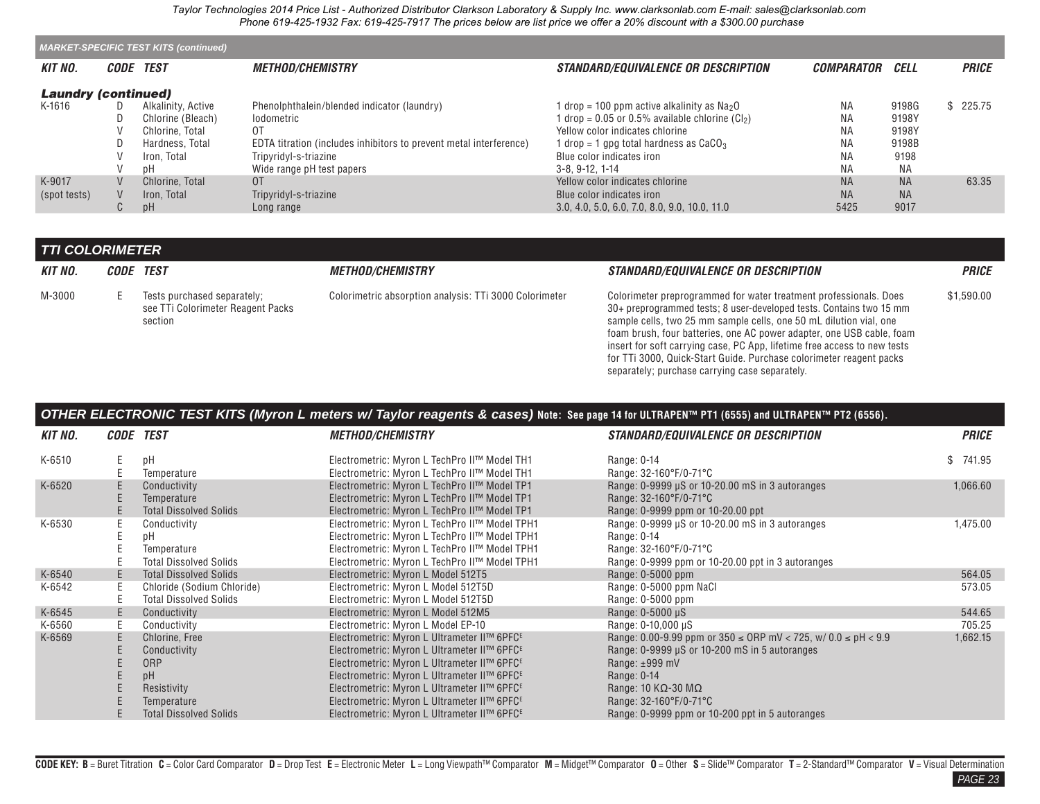<span id="page-21-0"></span>

|                            | <b>MARKET-SPECIFIC TEST KITS (continued)</b> |                    |                                                                    |                                                               |                          |           |              |  |  |  |  |
|----------------------------|----------------------------------------------|--------------------|--------------------------------------------------------------------|---------------------------------------------------------------|--------------------------|-----------|--------------|--|--|--|--|
| <b>KIT NO.</b>             |                                              | CODE TEST          | <i><b>METHOD/CHEMISTRY</b></i>                                     | <i>STANDARD/EQUIVALENCE OR DESCRIPTION</i>                    | <i><b>COMPARATOR</b></i> | CELL      | <b>PRICE</b> |  |  |  |  |
| <b>Laundry (continued)</b> |                                              |                    |                                                                    |                                                               |                          |           |              |  |  |  |  |
| K-1616                     |                                              | Alkalinity, Active | Phenolphthalein/blended indicator (laundry)                        | $1$ drop = 100 ppm active alkalinity as $Na2O$                | <b>NA</b>                | 9198G     | \$225.75     |  |  |  |  |
|                            |                                              | Chlorine (Bleach)  | lodometric                                                         | $1$ drop = 0.05 or 0.5% available chlorine (Cl <sub>2</sub> ) | <b>NA</b>                | 9198Y     |              |  |  |  |  |
|                            |                                              | Chlorine, Total    | 0T                                                                 | Yellow color indicates chlorine                               | ΝA                       | 9198Y     |              |  |  |  |  |
|                            |                                              | Hardness, Total    | EDTA titration (includes inhibitors to prevent metal interference) | 1 drop = 1 gpg total hardness as $CaCO3$                      | <b>NA</b>                | 9198B     |              |  |  |  |  |
|                            |                                              | Iron. Total        | Tripyridyl-s-triazine                                              | Blue color indicates iron                                     | <b>NA</b>                | 9198      |              |  |  |  |  |
|                            |                                              | рH                 | Wide range pH test papers                                          | $3-8.9-12.1-14$                                               | <b>NA</b>                | <b>NA</b> |              |  |  |  |  |
| K-9017                     |                                              | Chlorine, Total    | 0 <sup>T</sup>                                                     | Yellow color indicates chlorine                               | <b>NA</b>                | <b>NA</b> | 63.35        |  |  |  |  |
| (spot tests)               |                                              | Iron. Total        | Tripyridyl-s-triazine                                              | Blue color indicates iron                                     | <b>NA</b>                | <b>NA</b> |              |  |  |  |  |
|                            | ◡                                            | pΗ                 | Long range                                                         | 3.0, 4.0, 5.0, 6.0, 7.0, 8.0, 9.0, 10.0, 11.0                 | 5425                     | 9017      |              |  |  |  |  |

## *TTI COLORIMETER*

| <b>KIT NO.</b> | <i>CODE TEST</i> |                                                                             | <i><b>METHOD/CHEMISTRY</b></i>                         | <i>STANDARD/EQUIVALENCE OR DESCRIPTION</i>                                                                                                                                                                                                                                                                                                                                                                                                 | <b>PRICE</b> |
|----------------|------------------|-----------------------------------------------------------------------------|--------------------------------------------------------|--------------------------------------------------------------------------------------------------------------------------------------------------------------------------------------------------------------------------------------------------------------------------------------------------------------------------------------------------------------------------------------------------------------------------------------------|--------------|
| M-3000         |                  | Tests purchased separately;<br>see TTi Colorimeter Reagent Packs<br>section | Colorimetric absorption analysis: TTi 3000 Colorimeter | Colorimeter preprogrammed for water treatment professionals. Does<br>30+ preprogrammed tests; 8 user-developed tests. Contains two 15 mm<br>sample cells, two 25 mm sample cells, one 50 mL dilution vial, one<br>foam brush, four batteries, one AC power adapter, one USB cable, foam<br>insert for soft carrying case, PC App, lifetime free access to new tests<br>for TTi 3000, Quick-Start Guide. Purchase colorimeter reagent packs | \$1,590.00   |

separately; purchase carrying case separately.

| OTHER ELECTRONIC TEST KITS (Myron L meters w/ Taylor reagents & cases) Note: See page 14 for ULTRAPEN™ PT1 (6555) and ULTRAPEN™ PT2 (6556). |  |  |  |  |  |  |  |  |  |
|---------------------------------------------------------------------------------------------------------------------------------------------|--|--|--|--|--|--|--|--|--|
|---------------------------------------------------------------------------------------------------------------------------------------------|--|--|--|--|--|--|--|--|--|

| <b>KIT NO.</b> | <i>CODE</i> | TEST                          | <i><b>METHOD/CHEMISTRY</b></i>                          | <b>STANDARD/EQUIVALENCE OR DESCRIPTION</b>                              | <b>PRICE</b> |
|----------------|-------------|-------------------------------|---------------------------------------------------------|-------------------------------------------------------------------------|--------------|
| K-6510         | Е           | pH                            | Electrometric: Myron L TechPro II™ Model TH1            | Range: 0-14                                                             | \$741.95     |
|                |             | Temperature                   | Electrometric: Myron L TechPro II™ Model TH1            | Range: 32-160°F/0-71°C                                                  |              |
| K-6520         |             | Conductivity                  | Electrometric: Myron L TechPro II™ Model TP1            | Range: 0-9999 µS or 10-20.00 mS in 3 autoranges                         | 1,066.60     |
|                | E           | Temperature                   | Electrometric: Myron L TechPro II™ Model TP1            | Range: 32-160°F/0-71°C                                                  |              |
|                | Ε           | <b>Total Dissolved Solids</b> | Electrometric: Myron L TechPro II™ Model TP1            | Range: 0-9999 ppm or 10-20.00 ppt                                       |              |
| K-6530         |             | Conductivity                  | Electrometric: Myron L TechPro II™ Model TPH1           | Range: 0-9999 µS or 10-20.00 mS in 3 autoranges                         | 1,475.00     |
|                |             | рH                            | Electrometric: Myron L TechPro II™ Model TPH1           | Range: 0-14                                                             |              |
|                |             | Temperature                   | Electrometric: Myron L TechPro II™ Model TPH1           | Range: 32-160°F/0-71°C                                                  |              |
|                |             | <b>Total Dissolved Solids</b> | Electrometric: Myron L TechPro II™ Model TPH1           | Range: 0-9999 ppm or 10-20.00 ppt in 3 autoranges                       |              |
| K-6540         | Ε           | <b>Total Dissolved Solids</b> | Electrometric: Myron L Model 512T5                      | Range: 0-5000 ppm                                                       | 564.05       |
| K-6542         | Ε           | Chloride (Sodium Chloride)    | Electrometric: Myron L Model 512T5D                     | Range: 0-5000 ppm NaCl                                                  | 573.05       |
|                |             | <b>Total Dissolved Solids</b> | Electrometric: Myron L Model 512T5D                     | Range: 0-5000 ppm                                                       |              |
| K-6545         | E           | Conductivity                  | Electrometric: Myron L Model 512M5                      | Range: $0-5000 \mu S$                                                   | 544.65       |
| K-6560         |             | Conductivity                  | Electrometric: Myron L Model EP-10                      | Range: 0-10,000 µS                                                      | 705.25       |
| K-6569         | Ε           | Chlorine, Free                | Electrometric: Myron L Ultrameter II™ 6PFC <sup>E</sup> | Range: 0.00-9.99 ppm or $350 \leq$ ORP mV < 725, w/ 0.0 $\leq$ pH < 9.9 | 1,662.15     |
|                |             | Conductivity                  | Electrometric: Myron L Ultrameter II™ 6PFC <sup>E</sup> | Range: 0-9999 µS or 10-200 mS in 5 autoranges                           |              |
|                |             | <b>ORP</b>                    | Electrometric: Myron L Ultrameter II™ 6PFC <sup>E</sup> | Range: $±999$ mV                                                        |              |
|                |             | pH                            | Electrometric: Myron L Ultrameter II™ 6PFC <sup>E</sup> | Range: 0-14                                                             |              |
|                |             | Resistivity                   | Electrometric: Myron L Ultrameter II™ 6PFC <sup>E</sup> | Range: $10 K\Omega - 30 M\Omega$                                        |              |
|                |             | Temperature                   | Electrometric: Myron L Ultrameter II™ 6PFC <sup>E</sup> | Range: 32-160°F/0-71°C                                                  |              |
|                |             | <b>Total Dissolved Solids</b> | Electrometric: Myron L Ultrameter II™ 6PFC <sup>E</sup> | Range: 0-9999 ppm or 10-200 ppt in 5 autoranges                         |              |

*PAGE 23*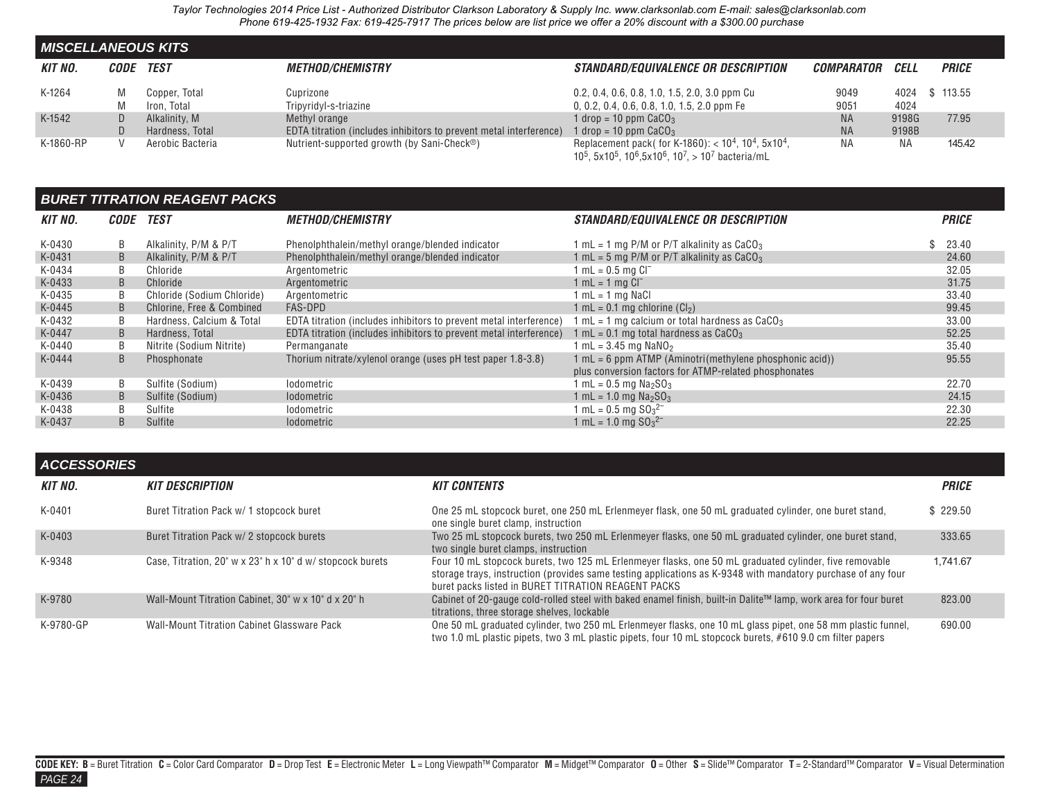<span id="page-22-0"></span>

| <b>MISCELLANEOUS KITS</b> |             |                  |                                                                    |                                                                                                                                                                                                                           |                        |       |              |  |  |  |  |  |
|---------------------------|-------------|------------------|--------------------------------------------------------------------|---------------------------------------------------------------------------------------------------------------------------------------------------------------------------------------------------------------------------|------------------------|-------|--------------|--|--|--|--|--|
| <b>KIT NO.</b>            | <i>CODE</i> | TEST             | <i><b>METHOD/CHEMISTRY</b></i>                                     | <b>STANDARD/EQUIVALENCE OR DESCRIPTION</b>                                                                                                                                                                                | <i>COMPARATOR CELL</i> |       | <b>PRICE</b> |  |  |  |  |  |
| K-1264                    | M           | Copper, Total    | Cuprizone                                                          | 0.2, 0.4, 0.6, 0.8, 1.0, 1.5, 2.0, 3.0 ppm Cu                                                                                                                                                                             | 9049                   | 4024  | \$113.55     |  |  |  |  |  |
|                           |             | Iron. Total      | Tripyridyl-s-triazine                                              | $0, 0.2, 0.4, 0.6, 0.8, 1.0, 1.5, 2.0$ ppm Fe                                                                                                                                                                             | 9051                   | 4024  |              |  |  |  |  |  |
| K-1542                    | D.          | Alkalinity, M    | Methyl orange                                                      | 1 drop = 10 ppm $CaCO3$                                                                                                                                                                                                   | <b>NA</b>              | 9198G | 77.95        |  |  |  |  |  |
|                           |             | Hardness, Total  | EDTA titration (includes inhibitors to prevent metal interference) | 1 drop = 10 ppm $CaCO3$                                                                                                                                                                                                   | <b>NA</b>              | 9198B |              |  |  |  |  |  |
| K-1860-RP                 |             | Aerobic Bacteria | Nutrient-supported growth (by Sani-Check®)                         | Replacement pack( for K-1860): $<$ 10 <sup>4</sup> , 10 <sup>4</sup> , 5x10 <sup>4</sup> ,<br>10 <sup>5</sup> , 5x10 <sup>5</sup> , 10 <sup>6</sup> , 5x10 <sup>6</sup> , 10 <sup>7</sup> , > 10 <sup>7</sup> bacteria/mL | <b>NA</b>              | ΝA    | 145.42       |  |  |  |  |  |

### *BURET TITRATION REAGENT PACKS*

| KIT NO. | <i>CODE</i> | <b>TEST</b>                | <i><b>METHOD/CHEMISTRY</b></i>                                     | <b>STANDARD/EQUIVALENCE OR DESCRIPTION</b>                                                                         | <b>PRICE</b> |
|---------|-------------|----------------------------|--------------------------------------------------------------------|--------------------------------------------------------------------------------------------------------------------|--------------|
| K-0430  | B           | Alkalinity, P/M & P/T      | Phenolphthalein/methyl orange/blended indicator                    | 1 mL = 1 mg P/M or P/T alkalinity as $CaCO3$                                                                       | 23.40        |
| K-0431  | B           | Alkalinity, P/M & P/T      | Phenolphthalein/methyl orange/blended indicator                    | 1 mL = 5 mg P/M or P/T alkalinity as $CaCO3$                                                                       | 24.60        |
| K-0434  | B           | Chloride                   | Argentometric                                                      | 1 mL = $0.5$ mg $Cl^-$                                                                                             | 32.05        |
| K-0433  | B           | Chloride                   | Argentometric                                                      | $1 mL = 1 mg CI$                                                                                                   | 31.75        |
| K-0435  | B           | Chloride (Sodium Chloride) | Argentometric                                                      | $1 mL = 1 mg$ NaCl                                                                                                 | 33.40        |
| K-0445  | B           | Chlorine, Free & Combined  | <b>FAS-DPD</b>                                                     | 1 mL = $0.1$ mg chlorine $(Cl2)$                                                                                   | 99.45        |
| K-0432  | B           | Hardness, Calcium & Total  | EDTA titration (includes inhibitors to prevent metal interference) | 1 mL = 1 mg calcium or total hardness as $CaCO3$                                                                   | 33.00        |
| K-0447  | B           | Hardness, Total            | EDTA titration (includes inhibitors to prevent metal interference) | 1 mL = 0.1 mg total hardness as CaCO $_3$                                                                          | 52.25        |
| K-0440  | B           | Nitrite (Sodium Nitrite)   | Permanganate                                                       | 1 mL = $3.45$ mg NaNO <sub>2</sub>                                                                                 | 35.40        |
| K-0444  | B           | Phosphonate                | Thorium nitrate/xylenol orange (uses pH test paper 1.8-3.8)        | $1 mL = 6 ppm$ ATMP (Aminotri(methylene phosphonic acid))<br>plus conversion factors for ATMP-related phosphonates | 95.55        |
| K-0439  | B           | Sulfite (Sodium)           | lodometric                                                         | 1 mL = $0.5$ mg Na <sub>2</sub> SO <sub>3</sub>                                                                    | 22.70        |
| K-0436  | B           | Sulfite (Sodium)           | <b>lodometric</b>                                                  | 1 mL = 1.0 mg $Na2SO3$                                                                                             | 24.15        |
| K-0438  | B           | Sulfite                    | lodometric                                                         | 1 mL = $0.5$ mg $SO_3^{2-}$                                                                                        | 22.30        |
| K-0437  | B           | Sulfite                    | <i><b>Iodometric</b></i>                                           | 1 mL = 1.0 mg $SO_3^2$ <sup>-</sup>                                                                                | 22.25        |

| <b>ACCESSORIES</b> |                                                           |                                                                                                                                                                                                                                                                               |              |
|--------------------|-----------------------------------------------------------|-------------------------------------------------------------------------------------------------------------------------------------------------------------------------------------------------------------------------------------------------------------------------------|--------------|
| KIT NO.            | <b>KIT DESCRIPTION</b>                                    | <b>KIT CONTENTS</b>                                                                                                                                                                                                                                                           | <b>PRICE</b> |
| K-0401             | Buret Titration Pack w/ 1 stopcock buret                  | One 25 mL stopcock buret, one 250 mL Erlenmeyer flask, one 50 mL graduated cylinder, one buret stand,<br>one single buret clamp, instruction                                                                                                                                  | \$229.50     |
| K-0403             | Buret Titration Pack w/ 2 stopcock burets                 | Two 25 mL stopcock burets, two 250 mL Erlenmeyer flasks, one 50 mL graduated cylinder, one buret stand,<br>two single buret clamps, instruction                                                                                                                               | 333.65       |
| K-9348             | Case, Titration, 20" w x 23" h x 10" d w/ stopcock burets | Four 10 mL stopcock burets, two 125 mL Erlenmeyer flasks, one 50 mL graduated cylinder, five removable<br>storage trays, instruction (provides same testing applications as K-9348 with mandatory purchase of any four<br>buret packs listed in BURET TITRATION REAGENT PACKS | 1.741.67     |
| K-9780             | Wall-Mount Titration Cabinet, 30" w x 10" d x 20" h       | Cabinet of 20-gauge cold-rolled steel with baked enamel finish, built-in Dalite™ lamp, work area for four buret<br>titrations, three storage shelves, lockable                                                                                                                | 823.00       |
| K-9780-GP          | Wall-Mount Titration Cabinet Glassware Pack               | One 50 mL graduated cylinder, two 250 mL Erlenmeyer flasks, one 10 mL glass pipet, one 58 mm plastic funnel,<br>two 1.0 mL plastic pipets, two 3 mL plastic pipets, four 10 mL stopcock burets, #610 9.0 cm filter papers                                                     | 690.00       |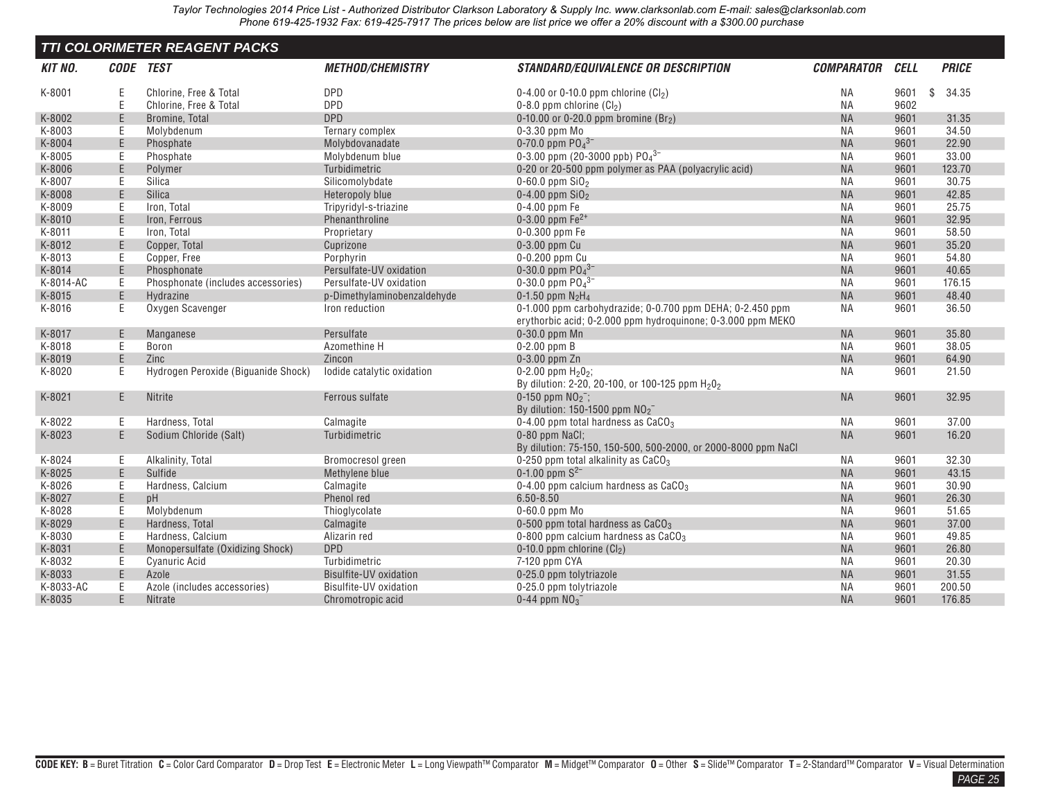<span id="page-23-0"></span>

| <b>TTI COLORIMETER REAGENT PACKS</b> |           |                                     |                             |                                                                                                                          |                   |             |    |              |  |
|--------------------------------------|-----------|-------------------------------------|-----------------------------|--------------------------------------------------------------------------------------------------------------------------|-------------------|-------------|----|--------------|--|
| <b>KIT NO.</b>                       | CODE TEST |                                     | <b>METHOD/CHEMISTRY</b>     | <b>STANDARD/EQUIVALENCE OR DESCRIPTION</b>                                                                               | <b>COMPARATOR</b> | <b>CELL</b> |    | <b>PRICE</b> |  |
| K-8001                               | E         | Chlorine, Free & Total              | <b>DPD</b>                  | 0-4.00 or 0-10.0 ppm chlorine $(Cl2)$                                                                                    | NA                | 9601        | \$ | 34.35        |  |
|                                      | E         | Chlorine, Free & Total              | <b>DPD</b>                  | $0-8.0$ ppm chlorine $(Cl2)$                                                                                             | NA                | 9602        |    |              |  |
| K-8002                               | E         | Bromine, Total                      | <b>DPD</b>                  | 0-10.00 or 0-20.0 ppm bromine $(Br_2)$                                                                                   | <b>NA</b>         | 9601        |    | 31.35        |  |
| K-8003                               | E         | Molybdenum                          | Ternary complex             | 0-3.30 ppm Mo                                                                                                            | ΝA                | 9601        |    | 34.50        |  |
| K-8004                               | E         | Phosphate                           | Molybdovanadate             | 0-70.0 ppm $P04^{3-}$                                                                                                    | <b>NA</b>         | 9601        |    | 22.90        |  |
| K-8005                               | E         | Phosphate                           | Molybdenum blue             | 0-3.00 ppm (20-3000 ppb) $PO4$ <sup>3-</sup>                                                                             | <b>NA</b>         | 9601        |    | 33.00        |  |
| K-8006                               | E         | Polymer                             | Turbidimetric               | 0-20 or 20-500 ppm polymer as PAA (polyacrylic acid)                                                                     | <b>NA</b>         | 9601        |    | 123.70       |  |
| K-8007                               | Ε         | Silica                              | Silicomolybdate             | 0-60.0 ppm $SiO2$                                                                                                        | <b>NA</b>         | 9601        |    | 30.75        |  |
| K-8008                               | E         | Silica                              | Heteropoly blue             | 0-4.00 ppm $SiO2$                                                                                                        | <b>NA</b>         | 9601        |    | 42.85        |  |
| K-8009                               | E         | Iron, Total                         | Tripyridyl-s-triazine       | 0-4.00 ppm Fe                                                                                                            | <b>NA</b>         | 9601        |    | 25.75        |  |
| K-8010                               | E         | Iron, Ferrous                       | Phenanthroline              | 0-3.00 ppm $Fe^{2+}$                                                                                                     | <b>NA</b>         | 9601        |    | 32.95        |  |
| K-8011                               | E         | Iron. Total                         | Proprietary                 | 0-0.300 ppm Fe                                                                                                           | <b>NA</b>         | 9601        |    | 58.50        |  |
| K-8012                               | E         | Copper, Total                       | Cuprizone                   | 0-3.00 ppm Cu                                                                                                            | <b>NA</b>         | 9601        |    | 35.20        |  |
| K-8013                               | Ε         | Copper, Free                        | Porphyrin                   | 0-0.200 ppm Cu                                                                                                           | <b>NA</b>         | 9601        |    | 54.80        |  |
| K-8014                               | E         | Phosphonate                         | Persulfate-UV oxidation     | 0-30.0 ppm $P04^{3-}$                                                                                                    | <b>NA</b>         | 9601        |    | 40.65        |  |
| K-8014-AC                            | Е         | Phosphonate (includes accessories)  | Persulfate-UV oxidation     | 0-30.0 ppm $PO_4^3$                                                                                                      | ΝA                | 9601        |    | 176.15       |  |
| K-8015                               | E         | Hydrazine                           | p-Dimethylaminobenzaldehyde | 0-1.50 ppm $N_2H_4$                                                                                                      | <b>NA</b>         | 9601        |    | 48.40        |  |
| K-8016                               | Ε         | Oxygen Scavenger                    | Iron reduction              | 0-1.000 ppm carbohydrazide; 0-0.700 ppm DEHA; 0-2.450 ppm<br>erythorbic acid; 0-2.000 ppm hydroguinone; 0-3.000 ppm MEKO | NA                | 9601        |    | 36.50        |  |
| K-8017                               | E         | Manganese                           | Persulfate                  | $0-30.0$ ppm $Mn$                                                                                                        | <b>NA</b>         | 9601        |    | 35.80        |  |
| K-8018                               | Е         | <b>Boron</b>                        | Azomethine H                | $0-2.00$ ppm $B$                                                                                                         | <b>NA</b>         | 9601        |    | 38.05        |  |
| K-8019                               | E         | Zinc                                | Zincon                      | 0-3.00 ppm Zn                                                                                                            | <b>NA</b>         | 9601        |    | 64.90        |  |
| K-8020                               | Ε         | Hydrogen Peroxide (Biguanide Shock) | lodide catalytic oxidation  | 0-2.00 ppm $H202$ ;<br>By dilution: 2-20, 20-100, or 100-125 ppm H <sub>2</sub> 0 <sub>2</sub>                           | <b>NA</b>         | 9601        |    | 21.50        |  |
| K-8021                               | E         | <b>Nitrite</b>                      | Ferrous sulfate             | 0-150 ppm $NO_2^-$ ;<br>By dilution: 150-1500 ppm $NO2$ <sup>-</sup>                                                     | <b>NA</b>         | 9601        |    | 32.95        |  |
| K-8022                               | Ε         | Hardness, Total                     | Calmagite                   | 0-4.00 ppm total hardness as $CaCO3$                                                                                     | <b>NA</b>         | 9601        |    | 37.00        |  |
| K-8023                               | E         | Sodium Chloride (Salt)              | Turbidimetric               | 0-80 ppm NaCl:<br>By dilution: 75-150, 150-500, 500-2000, or 2000-8000 ppm NaCl                                          | <b>NA</b>         | 9601        |    | 16.20        |  |
| K-8024                               | E         | Alkalinity, Total                   | Bromocresol green           | 0-250 ppm total alkalinity as $CaCO3$                                                                                    | <b>NA</b>         | 9601        |    | 32.30        |  |
| K-8025                               | E         | Sulfide                             | Methylene blue              | 0-1.00 ppm $S^{2-}$                                                                                                      | <b>NA</b>         | 9601        |    | 43.15        |  |
| K-8026                               | Ε         | Hardness, Calcium                   | Calmagite                   | 0-4.00 ppm calcium hardness as $CaCO3$                                                                                   | <b>NA</b>         | 9601        |    | 30.90        |  |
| K-8027                               | E         | pH                                  | Phenol red                  | $6.50 - 8.50$                                                                                                            | <b>NA</b>         | 9601        |    | 26.30        |  |
| K-8028                               | Е         | Molybdenum                          | Thioglycolate               | $0-60.0$ ppm $Mo$                                                                                                        | <b>NA</b>         | 9601        |    | 51.65        |  |
| K-8029                               | E         | Hardness, Total                     | Calmagite                   | 0-500 ppm total hardness as CaCO <sub>3</sub>                                                                            | <b>NA</b>         | 9601        |    | 37.00        |  |
| K-8030                               | Е         | Hardness, Calcium                   | Alizarin red                | 0-800 ppm calcium hardness as $CaCO3$                                                                                    | <b>NA</b>         | 9601        |    | 49.85        |  |
| K-8031                               | E         | Monopersulfate (Oxidizing Shock)    | <b>DPD</b>                  | 0-10.0 ppm chlorine $(Cl2)$                                                                                              | <b>NA</b>         | 9601        |    | 26.80        |  |
| K-8032                               | E         | <b>Cyanuric Acid</b>                | Turbidimetric               | 7-120 ppm CYA                                                                                                            | <b>NA</b>         | 9601        |    | 20.30        |  |
| K-8033                               | E         | Azole                               | Bisulfite-UV oxidation      | 0-25.0 ppm tolytriazole                                                                                                  | <b>NA</b>         | 9601        |    | 31.55        |  |
| K-8033-AC                            | E         | Azole (includes accessories)        | Bisulfite-UV oxidation      | 0-25.0 ppm tolytriazole                                                                                                  | <b>NA</b>         | 9601        |    | 200.50       |  |
| K-8035                               | E         | Nitrate                             | Chromotropic acid           | 0-44 ppm $NO_3^-$                                                                                                        | <b>NA</b>         | 9601        |    | 176.85       |  |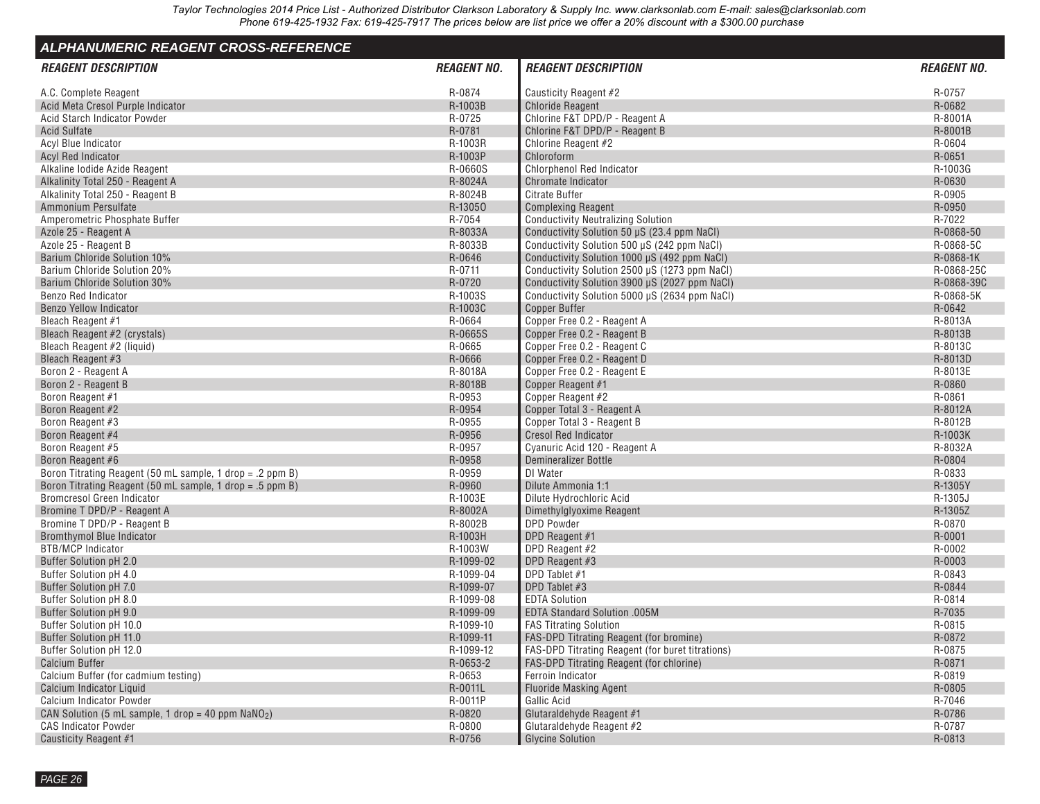<span id="page-24-0"></span>

| <b>ALPHANUMERIC REAGENT CROSS-REFERENCE</b>               |                    |                                                  |                    |
|-----------------------------------------------------------|--------------------|--------------------------------------------------|--------------------|
| <b>REAGENT DESCRIPTION</b>                                | <b>REAGENT NO.</b> | <b>REAGENT DESCRIPTION</b>                       | <b>REAGENT NO.</b> |
| A.C. Complete Reagent                                     | R-0874             | Causticity Reagent #2                            | R-0757             |
| Acid Meta Cresol Purple Indicator                         | R-1003B            | <b>Chloride Reagent</b>                          | R-0682             |
| Acid Starch Indicator Powder                              | R-0725             | Chlorine F&T DPD/P - Reagent A                   | R-8001A            |
| <b>Acid Sulfate</b>                                       | R-0781             | Chlorine F&T DPD/P - Reagent B                   | R-8001B            |
| Acyl Blue Indicator                                       | R-1003R            | Chlorine Reagent #2                              | R-0604             |
| <b>Acyl Red Indicator</b>                                 | R-1003P            | Chloroform                                       | R-0651             |
| Alkaline lodide Azide Reagent                             | R-0660S            | <b>Chlorphenol Red Indicator</b>                 | R-1003G            |
| Alkalinity Total 250 - Reagent A                          | R-8024A            | Chromate Indicator                               | R-0630             |
| Alkalinity Total 250 - Reagent B                          | R-8024B            | Citrate Buffer                                   | R-0905             |
| Ammonium Persulfate                                       | R-13050            | <b>Complexing Reagent</b>                        | R-0950             |
| Amperometric Phosphate Buffer                             | R-7054             | <b>Conductivity Neutralizing Solution</b>        | R-7022             |
| Azole 25 - Reagent A                                      | R-8033A            | Conductivity Solution 50 µS (23.4 ppm NaCl)      | R-0868-50          |
| Azole 25 - Reagent B                                      | R-8033B            | Conductivity Solution 500 µS (242 ppm NaCl)      | R-0868-5C          |
| Barium Chloride Solution 10%                              | R-0646             | Conductivity Solution 1000 µS (492 ppm NaCl)     | R-0868-1K          |
| Barium Chloride Solution 20%                              | R-0711             | Conductivity Solution 2500 µS (1273 ppm NaCl)    | R-0868-25C         |
| Barium Chloride Solution 30%                              | R-0720             | Conductivity Solution 3900 µS (2027 ppm NaCl)    | R-0868-39C         |
| <b>Benzo Red Indicator</b>                                | R-1003S            | Conductivity Solution 5000 µS (2634 ppm NaCl)    | R-0868-5K          |
| <b>Benzo Yellow Indicator</b>                             | R-1003C            | <b>Copper Buffer</b>                             | R-0642             |
| Bleach Reagent #1                                         | R-0664             | Copper Free 0.2 - Reagent A                      | R-8013A            |
| Bleach Reagent #2 (crystals)                              | R-0665S            | Copper Free 0.2 - Reagent B                      | R-8013B            |
| Bleach Reagent #2 (liquid)                                | R-0665             | Copper Free 0.2 - Reagent C                      | R-8013C            |
| Bleach Reagent #3                                         | R-0666             | Copper Free 0.2 - Reagent D                      | R-8013D            |
| Boron 2 - Reagent A                                       | R-8018A            | Copper Free 0.2 - Reagent E                      | R-8013E            |
| Boron 2 - Reagent B                                       | R-8018B            | Copper Reagent #1                                | R-0860             |
| Boron Reagent #1                                          | R-0953             | Copper Reagent #2                                | R-0861             |
| Boron Reagent #2                                          | R-0954             | Copper Total 3 - Reagent A                       | R-8012A            |
| Boron Reagent #3                                          | R-0955             | Copper Total 3 - Reagent B                       | R-8012B            |
| Boron Reagent #4                                          | R-0956             | <b>Cresol Red Indicator</b>                      | R-1003K            |
| Boron Reagent #5                                          | R-0957             | Cyanuric Acid 120 - Reagent A                    | R-8032A            |
| Boron Reagent #6                                          | R-0958             | Demineralizer Bottle                             | R-0804             |
| Boron Titrating Reagent (50 mL sample, 1 drop = .2 ppm B) | R-0959             | DI Water                                         | R-0833             |
| Boron Titrating Reagent (50 mL sample, 1 drop = .5 ppm B) | R-0960             | Dilute Ammonia 1:1                               | R-1305Y            |
| <b>Bromcresol Green Indicator</b>                         | R-1003E            | Dilute Hydrochloric Acid                         | R-1305J            |
| Bromine T DPD/P - Reagent A                               | R-8002A            | Dimethylglyoxime Reagent                         | R-1305Z            |
| Bromine T DPD/P - Reagent B                               | R-8002B            | <b>DPD Powder</b>                                | R-0870             |
| <b>Bromthymol Blue Indicator</b>                          | R-1003H            | DPD Reagent #1                                   | R-0001             |
| <b>BTB/MCP Indicator</b>                                  | R-1003W            | DPD Reagent #2                                   | R-0002             |
| <b>Buffer Solution pH 2.0</b>                             | R-1099-02          | DPD Reagent #3                                   | R-0003             |
| Buffer Solution pH 4.0                                    | R-1099-04          | DPD Tablet #1                                    | R-0843             |
| Buffer Solution pH 7.0                                    | R-1099-07          | DPD Tablet #3                                    | R-0844             |
| Buffer Solution pH 8.0                                    | R-1099-08          | <b>EDTA Solution</b>                             | R-0814             |
| Buffer Solution pH 9.0                                    | R-1099-09          | EDTA Standard Solution .005M                     | R-7035             |
| Buffer Solution pH 10.0                                   | R-1099-10          | <b>FAS Titrating Solution</b>                    | R-0815             |
| Buffer Solution pH 11.0                                   | R-1099-11          | <b>FAS-DPD Titrating Reagent (for bromine)</b>   | R-0872             |
| Buffer Solution pH 12.0                                   | R-1099-12          | FAS-DPD Titrating Reagent (for buret titrations) | R-0875             |
| <b>Calcium Buffer</b>                                     | R-0653-2           | FAS-DPD Titrating Reagent (for chlorine)         | R-0871             |
| Calcium Buffer (for cadmium testing)                      | R-0653             | Ferroin Indicator                                | R-0819             |
| Calcium Indicator Liquid                                  | R-0011L            | <b>Fluoride Masking Agent</b>                    | R-0805             |
| <b>Calcium Indicator Powder</b>                           | R-0011P            | Gallic Acid                                      | R-7046             |
| CAN Solution (5 mL sample, 1 drop = 40 ppm $NaNO2$ )      | R-0820             | Glutaraldehyde Reagent #1                        | R-0786             |
| <b>CAS Indicator Powder</b>                               | R-0800             | Glutaraldehyde Reagent #2                        | R-0787             |
| Causticity Reagent #1                                     | R-0756             | <b>Glycine Solution</b>                          | R-0813             |
|                                                           |                    |                                                  |                    |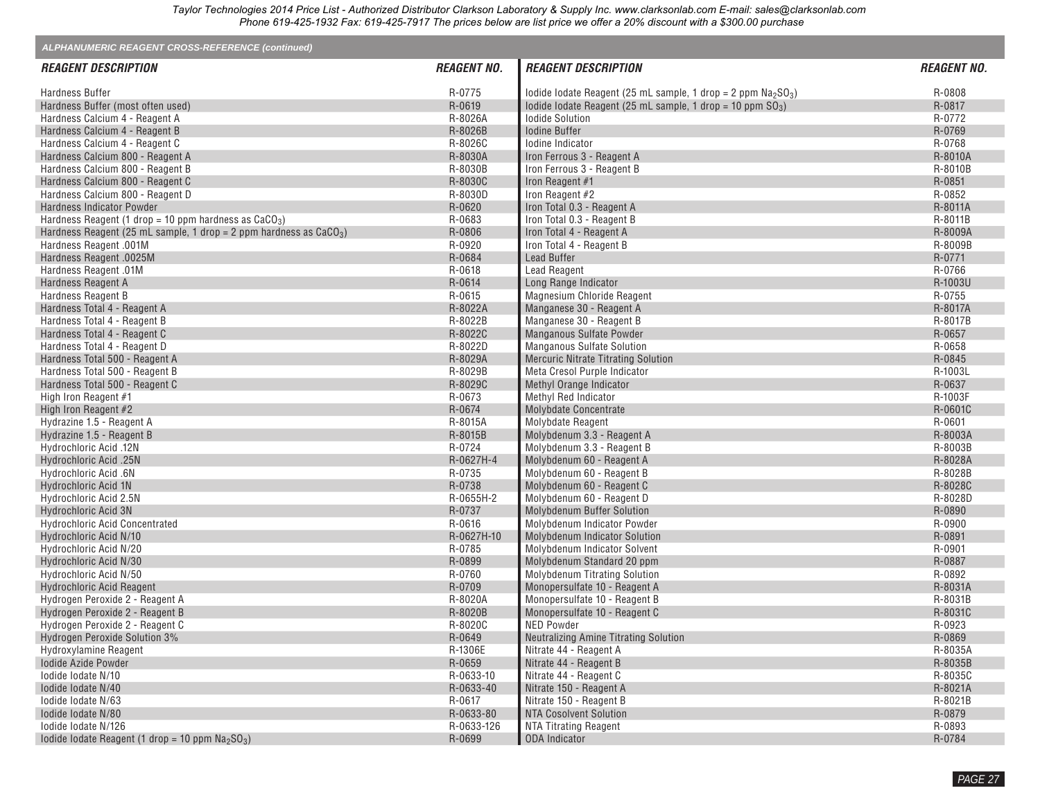| ALPHANUMERIC REAGENT CROSS-REFERENCE (continued)                     |                    |                                                                |                    |
|----------------------------------------------------------------------|--------------------|----------------------------------------------------------------|--------------------|
| <b>REAGENT DESCRIPTION</b>                                           | <b>REAGENT NO.</b> | <b>REAGENT DESCRIPTION</b>                                     | <b>REAGENT NO.</b> |
| <b>Hardness Buffer</b>                                               | R-0775             | lodide lodate Reagent (25 mL sample, 1 drop = 2 ppm $Na2SO3$ ) | R-0808             |
| Hardness Buffer (most often used)                                    | R-0619             | lodide lodate Reagent (25 mL sample, 1 drop = 10 ppm $SO_3$ )  | R-0817             |
| Hardness Calcium 4 - Reagent A                                       | R-8026A            | <b>Iodide Solution</b>                                         | R-0772             |
| Hardness Calcium 4 - Reagent B                                       | R-8026B            | <b>Iodine Buffer</b>                                           | R-0769             |
| Hardness Calcium 4 - Reagent C                                       | R-8026C            | lodine Indicator                                               | R-0768             |
| Hardness Calcium 800 - Reagent A                                     | R-8030A            | Iron Ferrous 3 - Reagent A                                     | R-8010A            |
| Hardness Calcium 800 - Reagent B                                     | R-8030B            | Iron Ferrous 3 - Reagent B                                     | R-8010B            |
| Hardness Calcium 800 - Reagent C                                     | R-8030C            | Iron Reagent #1                                                | R-0851             |
| Hardness Calcium 800 - Reagent D                                     | R-8030D            | Iron Reagent #2                                                | R-0852             |
| Hardness Indicator Powder                                            | R-0620             | Iron Total 0.3 - Reagent A                                     | R-8011A            |
| Hardness Reagent (1 drop = 10 ppm hardness as $CaCO3$ )              | R-0683             | Iron Total 0.3 - Reagent B                                     | R-8011B            |
| Hardness Reagent (25 mL sample, 1 drop = 2 ppm hardness as $CaCO3$ ) | R-0806             | Iron Total 4 - Reagent A                                       | R-8009A            |
| Hardness Reagent .001M                                               | R-0920             | Iron Total 4 - Reagent B                                       | R-8009B            |
| Hardness Reagent .0025M                                              | R-0684             | <b>Lead Buffer</b>                                             | R-0771             |
| Hardness Reagent .01M                                                | R-0618             | <b>Lead Reagent</b>                                            | R-0766             |
| Hardness Reagent A                                                   | R-0614             | Long Range Indicator                                           | R-1003U            |
| Hardness Reagent B                                                   | R-0615             | Magnesium Chloride Reagent                                     | R-0755             |
| Hardness Total 4 - Reagent A                                         | R-8022A            | Manganese 30 - Reagent A                                       | R-8017A            |
| Hardness Total 4 - Reagent B                                         | R-8022B            | Manganese 30 - Reagent B                                       | R-8017B            |
| Hardness Total 4 - Reagent C                                         | R-8022C            | <b>Manganous Sulfate Powder</b>                                | R-0657             |
| Hardness Total 4 - Reagent D                                         | R-8022D            | Manganous Sulfate Solution                                     | R-0658             |
|                                                                      | R-8029A            | <b>Mercuric Nitrate Titrating Solution</b>                     | R-0845             |
| Hardness Total 500 - Reagent A                                       |                    |                                                                |                    |
| Hardness Total 500 - Reagent B                                       | R-8029B            | Meta Cresol Purple Indicator                                   | R-1003L            |
| Hardness Total 500 - Reagent C                                       | R-8029C            | Methyl Orange Indicator                                        | R-0637             |
| High Iron Reagent #1                                                 | R-0673             | Methyl Red Indicator                                           | R-1003F            |
| High Iron Reagent #2                                                 | R-0674             | <b>Molybdate Concentrate</b>                                   | R-0601C            |
| Hydrazine 1.5 - Reagent A                                            | R-8015A            | Molybdate Reagent                                              | R-0601             |
| Hydrazine 1.5 - Reagent B                                            | R-8015B            | Molybdenum 3.3 - Reagent A                                     | R-8003A            |
| Hydrochloric Acid .12N                                               | R-0724             | Molybdenum 3.3 - Reagent B                                     | R-8003B            |
| Hydrochloric Acid .25N                                               | R-0627H-4          | Molybdenum 60 - Reagent A                                      | R-8028A            |
| Hydrochloric Acid .6N                                                | R-0735             | Molybdenum 60 - Reagent B                                      | R-8028B            |
| Hydrochloric Acid 1N                                                 | R-0738             | Molybdenum 60 - Reagent C                                      | R-8028C            |
| Hydrochloric Acid 2.5N                                               | R-0655H-2          | Molybdenum 60 - Reagent D                                      | R-8028D            |
| <b>Hydrochloric Acid 3N</b>                                          | R-0737             | Molybdenum Buffer Solution                                     | R-0890             |
| <b>Hydrochloric Acid Concentrated</b>                                | R-0616             | Molybdenum Indicator Powder                                    | R-0900             |
| Hydrochloric Acid N/10                                               | R-0627H-10         | Molybdenum Indicator Solution                                  | R-0891             |
| Hydrochloric Acid N/20                                               | R-0785             | Molybdenum Indicator Solvent                                   | R-0901             |
| Hydrochloric Acid N/30                                               | R-0899             | Molybdenum Standard 20 ppm                                     | R-0887             |
| Hydrochloric Acid N/50                                               | R-0760             | <b>Molybdenum Titrating Solution</b>                           | R-0892             |
| Hydrochloric Acid Reagent                                            | R-0709             | Monopersulfate 10 - Reagent A                                  | R-8031A            |
| Hydrogen Peroxide 2 - Reagent A                                      | R-8020A            | Monopersulfate 10 - Reagent B                                  | R-8031B            |
| Hydrogen Peroxide 2 - Reagent B                                      | R-8020B            | Monopersulfate 10 - Reagent C                                  | R-8031C            |
| Hydrogen Peroxide 2 - Reagent C                                      | R-8020C            | <b>NED Powder</b>                                              | R-0923             |
| Hydrogen Peroxide Solution 3%                                        | R-0649             | Neutralizing Amine Titrating Solution                          | R-0869             |
| Hydroxylamine Reagent                                                | R-1306E            | Nitrate 44 - Reagent A                                         | R-8035A            |
| <b>Iodide Azide Powder</b>                                           | R-0659             | Nitrate 44 - Reagent B                                         | R-8035B            |
| lodide lodate N/10                                                   | R-0633-10          | Nitrate 44 - Reagent C                                         | R-8035C            |
| lodide lodate N/40                                                   | R-0633-40          | Nitrate 150 - Reagent A                                        | R-8021A            |
| lodide lodate N/63                                                   | R-0617             | Nitrate 150 - Reagent B                                        | R-8021B            |
| lodide lodate N/80                                                   | R-0633-80          | NTA Cosolvent Solution                                         | R-0879             |
| Iodide Iodate N/126                                                  | R-0633-126         | NTA Titrating Reagent                                          | R-0893             |
| Iodide Iodate Reagent (1 drop = 10 ppm $Na2SO3$ )                    | R-0699             | ODA Indicator                                                  | R-0784             |
|                                                                      |                    |                                                                |                    |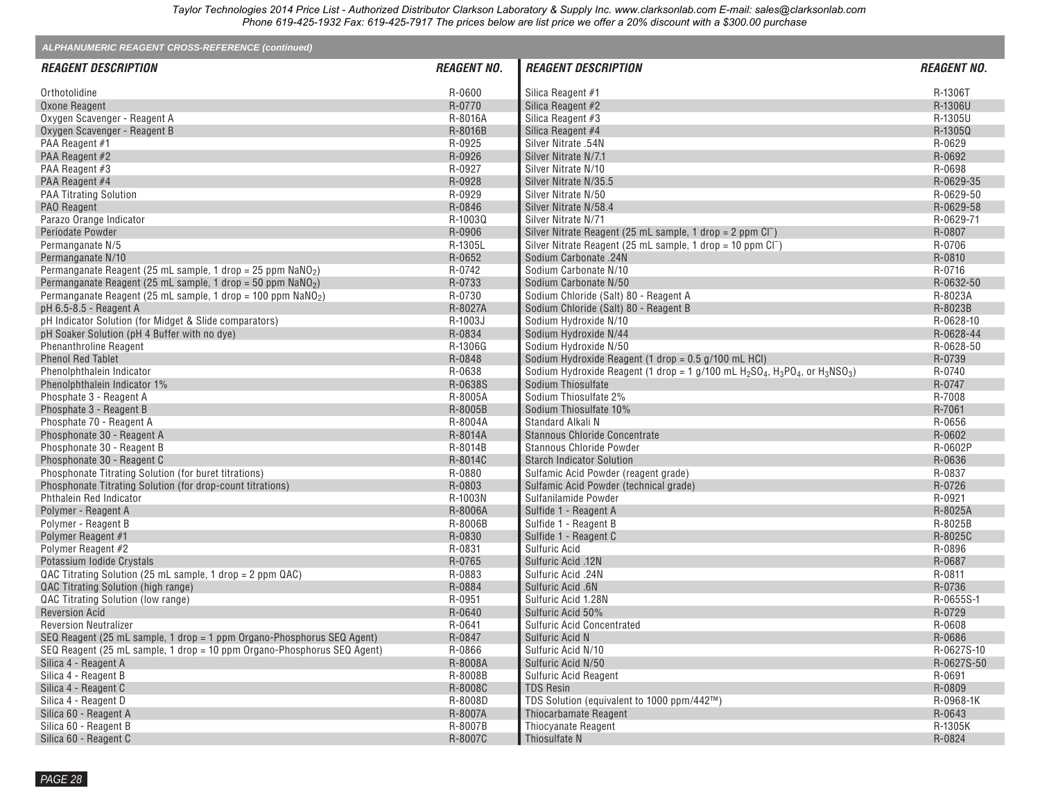| ALPHANUMERIC REAGENT CROSS-REFERENCE (continued)                        |                    |                                                                                       |                    |  |  |  |  |  |
|-------------------------------------------------------------------------|--------------------|---------------------------------------------------------------------------------------|--------------------|--|--|--|--|--|
| <b>REAGENT DESCRIPTION</b>                                              | <b>REAGENT NO.</b> | <b>REAGENT DESCRIPTION</b>                                                            | <b>REAGENT NO.</b> |  |  |  |  |  |
| Orthotolidine                                                           | R-0600             | Silica Reagent #1                                                                     | R-1306T            |  |  |  |  |  |
| Oxone Reagent                                                           | R-0770             | Silica Reagent #2                                                                     | R-1306U            |  |  |  |  |  |
| Oxygen Scavenger - Reagent A                                            | R-8016A            | Silica Reagent #3                                                                     | R-1305U            |  |  |  |  |  |
| Oxygen Scavenger - Reagent B                                            | R-8016B            | Silica Reagent #4                                                                     | R-1305Q            |  |  |  |  |  |
| PAA Reagent #1                                                          | R-0925             | Silver Nitrate .54N                                                                   | R-0629             |  |  |  |  |  |
| PAA Reagent #2                                                          | R-0926             | Silver Nitrate N/7.1                                                                  | R-0692             |  |  |  |  |  |
| PAA Reagent #3                                                          | R-0927             | Silver Nitrate N/10                                                                   | R-0698             |  |  |  |  |  |
| PAA Reagent #4                                                          | R-0928             | Silver Nitrate N/35.5                                                                 | R-0629-35          |  |  |  |  |  |
| <b>PAA Titrating Solution</b>                                           | R-0929             | Silver Nitrate N/50                                                                   | R-0629-50          |  |  |  |  |  |
| PAO Reagent                                                             | R-0846             | Silver Nitrate N/58.4                                                                 | R-0629-58          |  |  |  |  |  |
| Parazo Orange Indicator                                                 | R-1003Q            | Silver Nitrate N/71                                                                   | R-0629-71          |  |  |  |  |  |
| Periodate Powder                                                        | R-0906             | Silver Nitrate Reagent (25 mL sample, 1 drop = 2 ppm Cl <sup>-</sup> )                | R-0807             |  |  |  |  |  |
| Permanganate N/5                                                        | R-1305L            | Silver Nitrate Reagent (25 mL sample, 1 drop = 10 ppm Cl <sup>-</sup> )               | R-0706             |  |  |  |  |  |
| Permanganate N/10                                                       | R-0652             | Sodium Carbonate .24N                                                                 | R-0810             |  |  |  |  |  |
| Permanganate Reagent (25 mL sample, 1 drop = 25 ppm NaNO <sub>2</sub> ) | R-0742             | Sodium Carbonate N/10                                                                 | R-0716             |  |  |  |  |  |
| Permanganate Reagent (25 mL sample, 1 drop = 50 ppm $NaNO2$ )           | R-0733             | Sodium Carbonate N/50                                                                 | R-0632-50          |  |  |  |  |  |
| Permanganate Reagent (25 mL sample, 1 drop = 100 ppm $\text{NaNO}_2$ )  | R-0730             | Sodium Chloride (Salt) 80 - Reagent A                                                 | R-8023A            |  |  |  |  |  |
| pH 6.5-8.5 - Reagent A                                                  | R-8027A            | Sodium Chloride (Salt) 80 - Reagent B                                                 | R-8023B            |  |  |  |  |  |
| pH Indicator Solution (for Midget & Slide comparators)                  | R-1003J            | Sodium Hydroxide N/10                                                                 | R-0628-10          |  |  |  |  |  |
| pH Soaker Solution (pH 4 Buffer with no dye)                            | R-0834             | Sodium Hydroxide N/44                                                                 | R-0628-44          |  |  |  |  |  |
| <b>Phenanthroline Reagent</b>                                           | R-1306G            | Sodium Hydroxide N/50                                                                 | R-0628-50          |  |  |  |  |  |
| <b>Phenol Red Tablet</b>                                                | R-0848             | Sodium Hydroxide Reagent (1 drop = 0.5 g/100 mL HCl)                                  | R-0739             |  |  |  |  |  |
| Phenolphthalein Indicator                                               | R-0638             | Sodium Hydroxide Reagent (1 drop = 1 g/100 mL $H_2SO_4$ , $H_3PO_4$ , or $H_3NSO_3$ ) | R-0740             |  |  |  |  |  |
| Phenolphthalein Indicator 1%                                            | R-0638S            | Sodium Thiosulfate                                                                    | R-0747             |  |  |  |  |  |
| Phosphate 3 - Reagent A                                                 | R-8005A            | Sodium Thiosulfate 2%                                                                 | R-7008             |  |  |  |  |  |
| Phosphate 3 - Reagent B                                                 | R-8005B            | Sodium Thiosulfate 10%                                                                | R-7061             |  |  |  |  |  |
| Phosphate 70 - Reagent A                                                | R-8004A            | Standard Alkali N                                                                     | R-0656             |  |  |  |  |  |
| Phosphonate 30 - Reagent A                                              | R-8014A            | Stannous Chloride Concentrate                                                         | R-0602             |  |  |  |  |  |
| Phosphonate 30 - Reagent B                                              | R-8014B            | <b>Stannous Chloride Powder</b>                                                       | R-0602P            |  |  |  |  |  |
| Phosphonate 30 - Reagent C                                              | R-8014C            | <b>Starch Indicator Solution</b>                                                      | R-0636             |  |  |  |  |  |
| Phosphonate Titrating Solution (for buret titrations)                   | R-0880             | Sulfamic Acid Powder (reagent grade)                                                  | R-0837             |  |  |  |  |  |
| Phosphonate Titrating Solution (for drop-count titrations)              | R-0803             | Sulfamic Acid Powder (technical grade)                                                | R-0726             |  |  |  |  |  |
| Phthalein Red Indicator                                                 | R-1003N            | Sulfanilamide Powder                                                                  | R-0921             |  |  |  |  |  |
| Polymer - Reagent A                                                     | R-8006A            | Sulfide 1 - Reagent A                                                                 | R-8025A            |  |  |  |  |  |
| Polymer - Reagent B                                                     | R-8006B            | Sulfide 1 - Reagent B                                                                 | R-8025B            |  |  |  |  |  |
| Polymer Reagent #1                                                      | R-0830             | Sulfide 1 - Reagent C                                                                 | R-8025C            |  |  |  |  |  |
| Polymer Reagent #2                                                      | R-0831             | Sulfuric Acid                                                                         | R-0896             |  |  |  |  |  |
| Potassium Iodide Crystals                                               | R-0765             | Sulfuric Acid .12N                                                                    | R-0687             |  |  |  |  |  |
| QAC Titrating Solution (25 mL sample, 1 drop = 2 ppm QAC)               | R-0883             | Sulfuric Acid .24N                                                                    | R-0811             |  |  |  |  |  |
| QAC Titrating Solution (high range)                                     | R-0884             | Sulfuric Acid .6N                                                                     | R-0736             |  |  |  |  |  |
| QAC Titrating Solution (low range)                                      | R-0951             | Sulfuric Acid 1.28N                                                                   | R-0655S-1          |  |  |  |  |  |
| <b>Reversion Acid</b>                                                   | R-0640             | Sulfuric Acid 50%                                                                     | R-0729             |  |  |  |  |  |
| <b>Reversion Neutralizer</b>                                            | R-0641             | <b>Sulfuric Acid Concentrated</b>                                                     | R-0608             |  |  |  |  |  |
| SEQ Reagent (25 mL sample, 1 drop = 1 ppm Organo-Phosphorus SEQ Agent)  | R-0847             | Sulfuric Acid N                                                                       | R-0686             |  |  |  |  |  |
| SEQ Reagent (25 mL sample, 1 drop = 10 ppm Organo-Phosphorus SEQ Agent) | R-0866             | Sulfuric Acid N/10                                                                    | R-0627S-10         |  |  |  |  |  |
| Silica 4 - Reagent A                                                    | R-8008A            | Sulfuric Acid N/50                                                                    | R-0627S-50         |  |  |  |  |  |
| Silica 4 - Reagent B                                                    | R-8008B            | Sulfuric Acid Reagent                                                                 | R-0691             |  |  |  |  |  |
| Silica 4 - Reagent C                                                    | R-8008C            | <b>TDS Resin</b>                                                                      | R-0809             |  |  |  |  |  |
| Silica 4 - Reagent D                                                    | R-8008D            | TDS Solution (equivalent to 1000 ppm/442™)                                            | R-0968-1K          |  |  |  |  |  |
| Silica 60 - Reagent A                                                   | R-8007A            | Thiocarbamate Reagent                                                                 | R-0643             |  |  |  |  |  |
| Silica 60 - Reagent B                                                   | R-8007B            | Thiocyanate Reagent                                                                   | R-1305K            |  |  |  |  |  |
| Silica 60 - Reagent C                                                   | R-8007C            | Thiosulfate N                                                                         | R-0824             |  |  |  |  |  |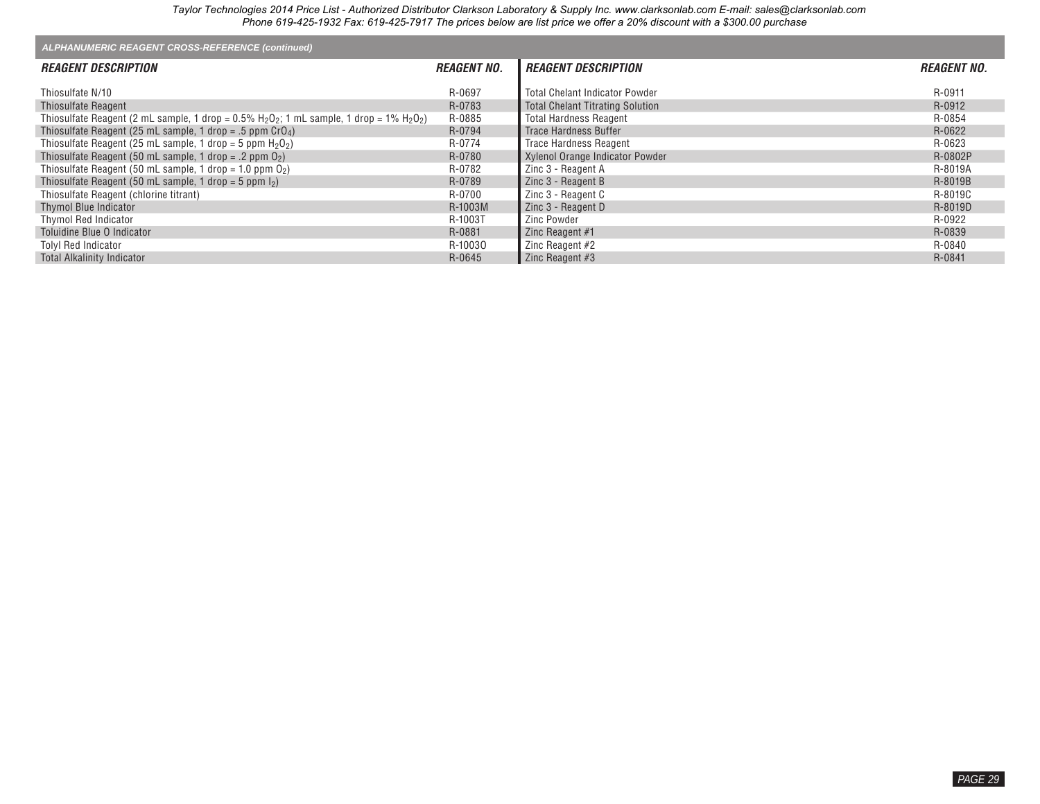| ALPHANUMERIC REAGENT CROSS-REFERENCE (continued)                                                                                               |                    |                                         |                    |  |  |  |  |  |  |
|------------------------------------------------------------------------------------------------------------------------------------------------|--------------------|-----------------------------------------|--------------------|--|--|--|--|--|--|
| <b>REAGENT DESCRIPTION</b>                                                                                                                     | <b>REAGENT NO.</b> | <b>REAGENT DESCRIPTION</b>              | <b>REAGENT NO.</b> |  |  |  |  |  |  |
| Thiosulfate N/10                                                                                                                               | R-0697             | <b>Total Chelant Indicator Powder</b>   | R-0911             |  |  |  |  |  |  |
| <b>Thiosulfate Reagent</b>                                                                                                                     | R-0783             | <b>Total Chelant Titrating Solution</b> | R-0912             |  |  |  |  |  |  |
| Thiosulfate Reagent (2 mL sample, 1 drop = $0.5\%$ H <sub>2</sub> O <sub>2</sub> ; 1 mL sample, 1 drop = $1\%$ H <sub>2</sub> O <sub>2</sub> ) | R-0885             | <b>Total Hardness Reagent</b>           | R-0854             |  |  |  |  |  |  |
| Thiosulfate Reagent (25 mL sample, 1 drop = .5 ppm $C_1O_4$ )                                                                                  | R-0794             | Trace Hardness Buffer                   | R-0622             |  |  |  |  |  |  |
| Thiosulfate Reagent (25 mL sample, 1 drop = 5 ppm $H_2O_2$ )                                                                                   | R-0774             | <b>Trace Hardness Reagent</b>           | R-0623             |  |  |  |  |  |  |
| Thiosulfate Reagent (50 mL sample, 1 drop = .2 ppm $O_2$ )                                                                                     | R-0780             | Xylenol Orange Indicator Powder         | R-0802P            |  |  |  |  |  |  |
| Thiosulfate Reagent (50 mL sample, 1 drop = 1.0 ppm $O_2$ )                                                                                    | R-0782             | Zinc 3 - Reagent A                      | R-8019A            |  |  |  |  |  |  |
| Thiosulfate Reagent (50 mL sample, 1 drop = 5 ppm $\vert_2$ )                                                                                  | R-0789             | Zinc 3 - Reagent B                      | R-8019B            |  |  |  |  |  |  |
| Thiosulfate Reagent (chlorine titrant)                                                                                                         | R-0700             | Zinc 3 - Reagent C                      | R-8019C            |  |  |  |  |  |  |
| Thymol Blue Indicator                                                                                                                          | R-1003M            | Zinc 3 - Reagent D                      | R-8019D            |  |  |  |  |  |  |
| Thymol Red Indicator                                                                                                                           | R-1003T            | Zinc Powder                             | R-0922             |  |  |  |  |  |  |
| Toluidine Blue O Indicator                                                                                                                     | R-0881             | Zinc Reagent #1                         | R-0839             |  |  |  |  |  |  |
| <b>Tolyl Red Indicator</b>                                                                                                                     | R-10030            | Zinc Reagent $#2$                       | R-0840             |  |  |  |  |  |  |
| <b>Total Alkalinity Indicator</b>                                                                                                              | R-0645             | Zinc Reagent #3                         | R-0841             |  |  |  |  |  |  |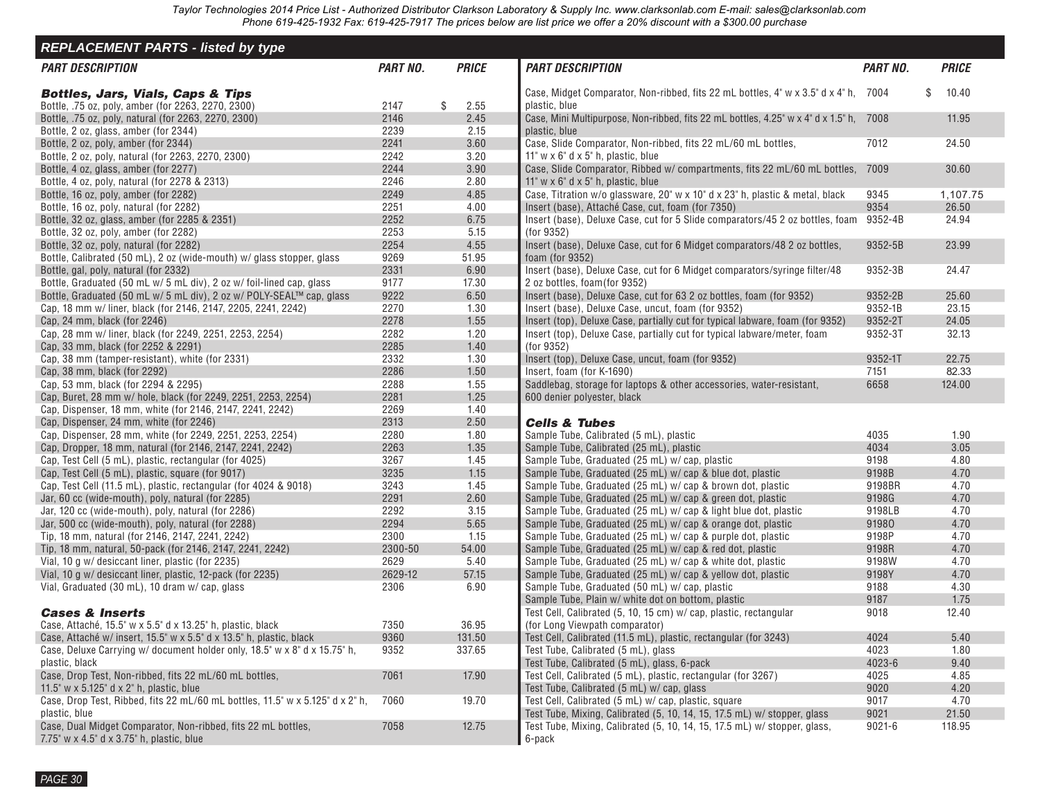<span id="page-28-0"></span>

| <b>REPLACEMENT PARTS - listed by type</b>                                     |                 |              |                                                                                       |                 |              |
|-------------------------------------------------------------------------------|-----------------|--------------|---------------------------------------------------------------------------------------|-----------------|--------------|
| <b>PART DESCRIPTION</b>                                                       | <b>PART NO.</b> | <b>PRICE</b> | <b>PART DESCRIPTION</b>                                                               | <b>PART NO.</b> | <b>PRICE</b> |
| <b>Bottles, Jars, Vials, Caps &amp; Tips</b>                                  |                 |              | Case, Midget Comparator, Non-ribbed, fits 22 mL bottles, 4" w x 3.5" d x 4" h, 7004   |                 | \$<br>10.40  |
| Bottle, .75 oz, poly, amber (for 2263, 2270, 2300)                            | 2147            | \$<br>2.55   | plastic, blue                                                                         |                 |              |
| Bottle, .75 oz, poly, natural (for 2263, 2270, 2300)                          | 2146            | 2.45         | Case, Mini Multipurpose, Non-ribbed, fits 22 mL bottles, 4.25" w x 4" d x 1.5" h,     | 7008            | 11.95        |
| Bottle, 2 oz, glass, amber (for 2344)                                         | 2239            | 2.15         | plastic, blue                                                                         |                 |              |
| Bottle, 2 oz, poly, amber (for 2344)                                          | 2241            | 3.60         | Case, Slide Comparator, Non-ribbed, fits 22 mL/60 mL bottles,                         | 7012            | 24.50        |
| Bottle, 2 oz, poly, natural (for 2263, 2270, 2300)                            | 2242            | 3.20         | 11" $w \times 6$ " d $\times 5$ " h, plastic, blue                                    |                 |              |
| Bottle, 4 oz, glass, amber (for 2277)                                         | 2244            | 3.90         | Case, Slide Comparator, Ribbed w/ compartments, fits 22 mL/60 mL bottles,             | 7009            | 30.60        |
| Bottle, 4 oz, poly, natural (for 2278 & 2313)                                 | 2246            | 2.80         | 11" $w \times 6$ " d $\times 5$ " h, plastic, blue                                    |                 |              |
| Bottle, 16 oz, poly, amber (for 2282)                                         | 2249            | 4.85         | Case, Titration w/o glassware, 20" w x 10" d x 23" h, plastic & metal, black          | 9345            | 1,107.75     |
| Bottle, 16 oz, poly, natural (for 2282)                                       | 2251            | 4.00         | Insert (base), Attaché Case, cut, foam (for 7350)                                     | 9354            | 26.50        |
| Bottle, 32 oz, glass, amber (for 2285 & 2351)                                 | 2252            | 6.75         | Insert (base), Deluxe Case, cut for 5 Slide comparators/45 2 oz bottles, foam 9352-4B |                 | 24.94        |
| Bottle, 32 oz, poly, amber (for 2282)                                         | 2253            | 5.15         | (for 9352)                                                                            |                 |              |
| Bottle, 32 oz, poly, natural (for 2282)                                       | 2254            | 4.55         | Insert (base), Deluxe Case, cut for 6 Midget comparators/48 2 oz bottles,             | 9352-5B         | 23.99        |
| Bottle, Calibrated (50 mL), 2 oz (wide-mouth) w/ glass stopper, glass         | 9269            | 51.95        | foam (for $9352$ )                                                                    |                 |              |
| Bottle, gal, poly, natural (for 2332)                                         | 2331            | 6.90         | Insert (base), Deluxe Case, cut for 6 Midget comparators/syringe filter/48            | 9352-3B         | 24.47        |
| Bottle, Graduated (50 mL w/ 5 mL div), 2 oz w/ foil-lined cap, glass          | 9177            | 17.30        | 2 oz bottles, foam(for 9352)                                                          |                 |              |
| Bottle, Graduated (50 mL w/ 5 mL div), 2 oz w/ POLY-SEAL™ cap, glass          | 9222            | 6.50         | Insert (base), Deluxe Case, cut for 63 2 oz bottles, foam (for 9352)                  | 9352-2B         | 25.60        |
| Cap, 18 mm w/ liner, black (for 2146, 2147, 2205, 2241, 2242)                 | 2270            | 1.30         | Insert (base), Deluxe Case, uncut, foam (for 9352)                                    | 9352-1B         | 23.15        |
| Cap, 24 mm, black (for 2246)                                                  | 2278            | 1.55         | Insert (top), Deluxe Case, partially cut for typical labware, foam (for 9352)         | 9352-2T         | 24.05        |
| Cap, 28 mm w/ liner, black (for 2249, 2251, 2253, 2254)                       | 2282            | 1.20         | Insert (top), Deluxe Case, partially cut for typical labware/meter, foam              | 9352-3T         | 32.13        |
| Cap, 33 mm, black (for 2252 & 2291)                                           | 2285            | 1.40         | (for 9352)                                                                            |                 |              |
| Cap, 38 mm (tamper-resistant), white (for 2331)                               | 2332            | 1.30         | Insert (top), Deluxe Case, uncut, foam (for 9352)                                     | 9352-1T         | 22.75        |
| Cap, 38 mm, black (for 2292)                                                  | 2286            | 1.50         | Insert, foam (for K-1690)                                                             | 7151            | 82.33        |
| Cap, 53 mm, black (for 2294 & 2295)                                           | 2288            | 1.55         | Saddlebag, storage for laptops & other accessories, water-resistant,                  | 6658            | 124.00       |
| Cap, Buret, 28 mm w/ hole, black (for 2249, 2251, 2253, 2254)                 | 2281            | 1.25         | 600 denier polyester, black                                                           |                 |              |
| Cap, Dispenser, 18 mm, white (for 2146, 2147, 2241, 2242)                     | 2269            | 1.40         |                                                                                       |                 |              |
| Cap, Dispenser, 24 mm, white (for 2246)                                       | 2313            | 2.50         | <b>Cells &amp; Tubes</b>                                                              |                 |              |
| Cap, Dispenser, 28 mm, white (for 2249, 2251, 2253, 2254)                     | 2280            | 1.80         | Sample Tube, Calibrated (5 mL), plastic                                               | 4035            | 1.90         |
| Cap, Dropper, 18 mm, natural (for 2146, 2147, 2241, 2242)                     | 2263            | 1.35         | Sample Tube, Calibrated (25 mL), plastic                                              | 4034            | 3.05         |
| Cap, Test Cell (5 mL), plastic, rectangular (for 4025)                        | 3267            | 1.45         | Sample Tube, Graduated (25 mL) w/ cap, plastic                                        | 9198            | 4.80         |
| Cap, Test Cell (5 mL), plastic, square (for 9017)                             | 3235            | 1.15         | Sample Tube, Graduated (25 mL) w/ cap & blue dot, plastic                             | 9198B           | 4.70         |
| Cap, Test Cell (11.5 mL), plastic, rectangular (for 4024 & 9018)              | 3243            | 1.45         | Sample Tube, Graduated (25 mL) w/ cap & brown dot, plastic                            | 9198BR          | 4.70         |
| Jar, 60 cc (wide-mouth), poly, natural (for 2285)                             | 2291            | 2.60         | Sample Tube, Graduated (25 mL) w/ cap & green dot, plastic                            | 9198G           | 4.70         |
| Jar, 120 cc (wide-mouth), poly, natural (for 2286)                            | 2292            | 3.15         | Sample Tube, Graduated (25 mL) w/ cap & light blue dot, plastic                       | 9198LB          | 4.70         |
| Jar, 500 cc (wide-mouth), poly, natural (for 2288)                            | 2294            | 5.65         | Sample Tube, Graduated (25 mL) w/ cap & orange dot, plastic                           | 91980           | 4.70         |
| Tip, 18 mm, natural (for 2146, 2147, 2241, 2242)                              | 2300            | 1.15         | Sample Tube, Graduated (25 mL) w/cap & purple dot, plastic                            | 9198P           | 4.70         |
| Tip, 18 mm, natural, 50-pack (for 2146, 2147, 2241, 2242)                     | 2300-50         | 54.00        | Sample Tube, Graduated (25 mL) w/ cap & red dot, plastic                              | 9198R           | 4.70         |
| Vial, 10 g w/ desiccant liner, plastic (for 2235)                             | 2629            | 5.40         | Sample Tube, Graduated (25 mL) w/cap & white dot, plastic                             | 9198W           | 4.70         |
| Vial, 10 g w/ desiccant liner, plastic, 12-pack (for 2235)                    | 2629-12         | 57.15        | Sample Tube, Graduated (25 mL) w/ cap & yellow dot, plastic                           | 9198Y           | 4.70         |
| Vial, Graduated (30 mL), 10 dram w/cap, glass                                 | 2306            | 6.90         | Sample Tube, Graduated (50 mL) w/ cap, plastic                                        | 9188            | 4.30         |
|                                                                               |                 |              | Sample Tube, Plain w/ white dot on bottom, plastic                                    | 9187            | 1.75         |
| <b>Cases &amp; Inserts</b>                                                    |                 |              | Test Cell, Calibrated (5, 10, 15 cm) w/ cap, plastic, rectangular                     | 9018            | 12.40        |
| Case, Attaché, 15.5" w x 5.5" d x 13.25" h, plastic, black                    | 7350            | 36.95        | (for Long Viewpath comparator)                                                        |                 |              |
| Case, Attaché w/ insert, 15.5" w x 5.5" d x 13.5" h, plastic, black           | 9360            | 131.50       | Test Cell, Calibrated (11.5 mL), plastic, rectangular (for 3243)                      | 4024            | 5.40         |
| Case, Deluxe Carrying w/ document holder only, 18.5" w x 8" d x 15.75" h,     | 9352            | 337.65       | Test Tube, Calibrated (5 mL), glass                                                   | 4023            | 1.80         |
| plastic, black                                                                |                 |              | Test Tube, Calibrated (5 mL), glass, 6-pack                                           | $4023 - 6$      | 9.40         |
| Case, Drop Test, Non-ribbed, fits 22 mL/60 mL bottles,                        | 7061            | 17.90        | Test Cell, Calibrated (5 mL), plastic, rectangular (for 3267)                         | 4025            | 4.85         |
| 11.5" $w \times 5.125$ " d $\times 2$ " h, plastic, blue                      |                 |              | Test Tube, Calibrated (5 mL) w/ cap, glass                                            | 9020            | 4.20         |
| Case, Drop Test, Ribbed, fits 22 mL/60 mL bottles, 11.5" w x 5.125" d x 2" h, | 7060            | 19.70        | Test Cell, Calibrated (5 mL) w/ cap, plastic, square                                  | 9017            | 4.70         |
| plastic, blue                                                                 |                 |              | Test Tube, Mixing, Calibrated (5, 10, 14, 15, 17.5 mL) w/ stopper, glass              | 9021            | 21.50        |
| Case, Dual Midget Comparator, Non-ribbed, fits 22 mL bottles,                 | 7058            | 12.75        | Test Tube, Mixing, Calibrated (5, 10, 14, 15, 17.5 mL) w/ stopper, glass,             | $9021 - 6$      | 118.95       |
| 7.75" w x 4.5" d x 3.75" h, plastic, blue                                     |                 |              | 6-pack                                                                                |                 |              |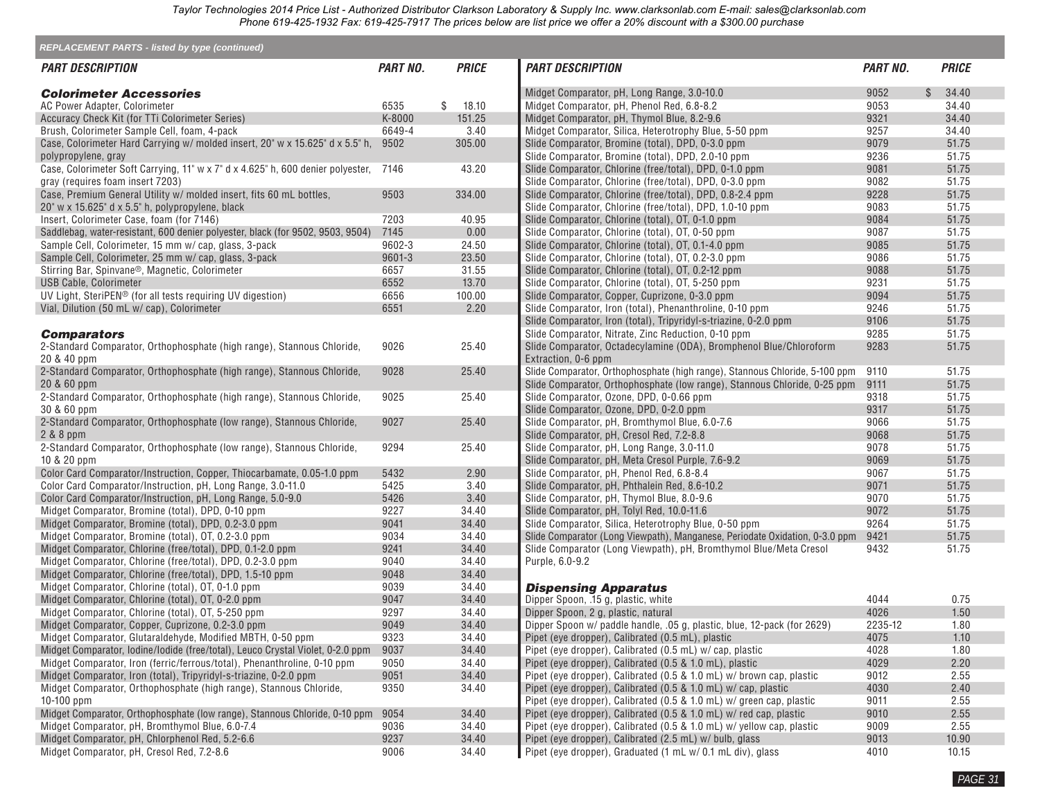| <b>REPLACEMENT PARTS - listed by type (continued)</b>                           |                 |              |                                                                             |                 |              |              |
|---------------------------------------------------------------------------------|-----------------|--------------|-----------------------------------------------------------------------------|-----------------|--------------|--------------|
| <i><b>PART DESCRIPTION</b></i>                                                  | <b>PART NO.</b> | <b>PRICE</b> | <b>PART DESCRIPTION</b>                                                     | <b>PART NO.</b> |              | <b>PRICE</b> |
| <b>Colorimeter Accessories</b>                                                  |                 |              | Midget Comparator, pH, Long Range, 3.0-10.0                                 | 9052            | $\mathbb{S}$ | 34.40        |
| AC Power Adapter, Colorimeter                                                   | 6535            | \$<br>18.10  | Midget Comparator, pH, Phenol Red, 6.8-8.2                                  | 9053            |              | 34.40        |
| Accuracy Check Kit (for TTi Colorimeter Series)                                 | K-8000          | 151.25       | Midget Comparator, pH, Thymol Blue, 8.2-9.6                                 | 9321            |              | 34.40        |
| Brush, Colorimeter Sample Cell, foam, 4-pack                                    | 6649-4          | 3.40         | Midget Comparator, Silica, Heterotrophy Blue, 5-50 ppm                      | 9257            |              | 34.40        |
| Case, Colorimeter Hard Carrying w/ molded insert, 20" w x 15.625" d x 5.5" h,   | 9502            | 305.00       | Slide Comparator, Bromine (total), DPD, 0-3.0 ppm                           | 9079            |              | 51.75        |
| polypropylene, gray                                                             |                 |              | Slide Comparator, Bromine (total), DPD, 2.0-10 ppm                          | 9236            |              | 51.75        |
| Case, Colorimeter Soft Carrying, 11" w x 7" d x 4.625" h, 600 denier polyester, | 7146            | 43.20        | Slide Comparator, Chlorine (free/total), DPD, 0-1.0 ppm                     | 9081            |              | 51.75        |
| gray (requires foam insert 7203)                                                |                 |              | Slide Comparator, Chlorine (free/total), DPD, 0-3.0 ppm                     | 9082            |              | 51.75        |
| Case, Premium General Utility w/ molded insert, fits 60 mL bottles,             | 9503            | 334.00       | Slide Comparator, Chlorine (free/total), DPD, 0.8-2.4 ppm                   | 9228            |              | 51.75        |
| 20" w x 15.625" d x 5.5" h, polypropylene, black                                |                 |              | Slide Comparator, Chlorine (free/total), DPD, 1.0-10 ppm                    | 9083            |              | 51.75        |
| Insert, Colorimeter Case, foam (for 7146)                                       | 7203            | 40.95        | Slide Comparator, Chlorine (total), OT, 0-1.0 ppm                           | 9084            |              | 51.75        |
| Saddlebag, water-resistant, 600 denier polyester, black (for 9502, 9503, 9504)  | 7145            | 0.00         | Slide Comparator, Chlorine (total), OT, 0-50 ppm                            | 9087            |              | 51.75        |
| Sample Cell, Colorimeter, 15 mm w/ cap, glass, 3-pack                           | 9602-3          | 24.50        | Slide Comparator, Chlorine (total), OT, 0.1-4.0 ppm                         | 9085            |              | 51.75        |
| Sample Cell, Colorimeter, 25 mm w/ cap, glass, 3-pack                           | 9601-3          | 23.50        | Slide Comparator, Chlorine (total), OT, 0.2-3.0 ppm                         | 9086            |              | 51.75        |
| Stirring Bar, Spinvane®, Magnetic, Colorimeter                                  | 6657            | 31.55        | Slide Comparator, Chlorine (total), OT, 0.2-12 ppm                          | 9088            |              | 51.75        |
| USB Cable, Colorimeter                                                          | 6552            | 13.70        | Slide Comparator, Chlorine (total), OT, 5-250 ppm                           | 9231            |              | 51.75        |
| UV Light, SteriPEN <sup>®</sup> (for all tests requiring UV digestion)          | 6656            | 100.00       | Slide Comparator, Copper, Cuprizone, 0-3.0 ppm                              | 9094            |              | 51.75        |
| Vial, Dilution (50 mL w/ cap), Colorimeter                                      | 6551            | 2.20         | Slide Comparator, Iron (total), Phenanthroline, 0-10 ppm                    | 9246            |              | 51.75        |
|                                                                                 |                 |              | Slide Comparator, Iron (total), Tripyridyl-s-triazine, 0-2.0 ppm            | 9106            |              | 51.75        |
| <b>Comparators</b>                                                              |                 |              | Slide Comparator, Nitrate, Zinc Reduction, 0-10 ppm                         | 9285            |              | 51.75        |
| 2-Standard Comparator, Orthophosphate (high range), Stannous Chloride,          | 9026            | 25.40        | Slide Comparator, Octadecylamine (ODA), Bromphenol Blue/Chloroform          | 9283            |              | 51.75        |
| 20 & 40 ppm                                                                     |                 |              | Extraction, 0-6 ppm                                                         |                 |              |              |
| 2-Standard Comparator, Orthophosphate (high range), Stannous Chloride,          | 9028            | 25.40        | Slide Comparator, Orthophosphate (high range), Stannous Chloride, 5-100 ppm | 9110            |              | 51.75        |
| 20 & 60 ppm                                                                     |                 |              | Slide Comparator, Orthophosphate (low range), Stannous Chloride, 0-25 ppm   | 9111            |              | 51.75        |
| 2-Standard Comparator, Orthophosphate (high range), Stannous Chloride,          | 9025            | 25.40        | Slide Comparator, Ozone, DPD, 0-0.66 ppm                                    | 9318            |              | 51.75        |
| 30 & 60 ppm                                                                     |                 |              | Slide Comparator, Ozone, DPD, 0-2.0 ppm                                     | 9317            |              | 51.75        |
| 2-Standard Comparator, Orthophosphate (low range), Stannous Chloride,           | 9027            | 25.40        | Slide Comparator, pH, Bromthymol Blue, 6.0-7.6                              | 9066            |              | 51.75        |
| 2 & 8 ppm                                                                       |                 |              | Slide Comparator, pH, Cresol Red, 7.2-8.8                                   | 9068            |              | 51.75        |
| 2-Standard Comparator, Orthophosphate (low range), Stannous Chloride,           | 9294            | 25.40        | Slide Comparator, pH, Long Range, 3.0-11.0                                  | 9078            |              | 51.75        |
| 10 & 20 ppm                                                                     |                 |              | Slide Comparator, pH, Meta Cresol Purple, 7.6-9.2                           | 9069            |              | 51.75        |
| Color Card Comparator/Instruction, Copper, Thiocarbamate, 0.05-1.0 ppm          | 5432            | 2.90         | Slide Comparator, pH, Phenol Red, 6.8-8.4                                   | 9067            |              | 51.75        |
| Color Card Comparator/Instruction, pH, Long Range, 3.0-11.0                     | 5425            | 3.40         | Slide Comparator, pH, Phthalein Red, 8.6-10.2                               | 9071            |              | 51.75        |
| Color Card Comparator/Instruction, pH, Long Range, 5.0-9.0                      | 5426            | 3.40         | Slide Comparator, pH, Thymol Blue, 8.0-9.6                                  | 9070            |              | 51.75        |
| Midget Comparator, Bromine (total), DPD, 0-10 ppm                               | 9227            | 34.40        | Slide Comparator, pH, Tolyl Red, 10.0-11.6                                  | 9072            |              | 51.75        |
| Midget Comparator, Bromine (total), DPD, 0.2-3.0 ppm                            | 9041            | 34.40        | Slide Comparator, Silica, Heterotrophy Blue, 0-50 ppm                       | 9264            |              | 51.75        |
| Midget Comparator, Bromine (total), OT, 0.2-3.0 ppm                             | 9034            | 34.40        | Slide Comparator (Long Viewpath), Manganese, Periodate Oxidation, 0-3.0 ppm | 9421            |              | 51.75        |
| Midget Comparator, Chlorine (free/total), DPD, 0.1-2.0 ppm                      | 9241            | 34.40        | Slide Comparator (Long Viewpath), pH, Bromthymol Blue/Meta Cresol           | 9432            |              | 51.75        |
| Midget Comparator, Chlorine (free/total), DPD, 0.2-3.0 ppm                      | 9040            | 34.40        | Purple, 6.0-9.2                                                             |                 |              |              |
| Midget Comparator, Chlorine (free/total), DPD, 1.5-10 ppm                       | 9048            | 34.40        |                                                                             |                 |              |              |
| Midget Comparator, Chlorine (total), OT, 0-1.0 ppm                              | 9039            | 34.40        | <b>Dispensing Apparatus</b>                                                 |                 |              |              |
| Midget Comparator, Chlorine (total), OT, 0-2.0 ppm                              | 9047            | 34.40        | Dipper Spoon, .15 g, plastic, white                                         | 4044            |              | 0.75         |
| Midget Comparator, Chlorine (total), OT, 5-250 ppm                              | 9297            | 34.40        | Dipper Spoon, 2 g, plastic, natural                                         | 4026            |              | 1.50         |
| Midget Comparator, Copper, Cuprizone, 0.2-3.0 ppm                               | 9049            | 34.40        | Dipper Spoon w/ paddle handle, 05 g, plastic, blue, 12-pack (for 2629)      | 2235-12         |              | 1.80         |
| Midget Comparator, Glutaraldehyde, Modified MBTH, 0-50 ppm                      | 9323            | 34.40        | Pipet (eye dropper), Calibrated (0.5 mL), plastic                           | 4075            |              | 1.10         |
| Midget Comparator, Iodine/Iodide (free/total), Leuco Crystal Violet, 0-2.0 ppm  | 9037            | 34.40        | Pipet (eye dropper), Calibrated (0.5 mL) w/cap, plastic                     | 4028            |              | 1.80         |
| Midget Comparator, Iron (ferric/ferrous/total), Phenanthroline, 0-10 ppm        | 9050            | 34.40        | Pipet (eye dropper), Calibrated (0.5 & 1.0 mL), plastic                     | 4029            |              | 2.20         |
| Midget Comparator, Iron (total), Tripyridyl-s-triazine, 0-2.0 ppm               | 9051            | 34.40        | Pipet (eye dropper), Calibrated (0.5 & 1.0 mL) w/ brown cap, plastic        | 9012            |              | 2.55         |
| Midget Comparator, Orthophosphate (high range), Stannous Chloride,              | 9350            | 34.40        | Pipet (eye dropper), Calibrated (0.5 & 1.0 mL) w/ cap, plastic              | 4030            |              | 2.40         |
| $10-100$ ppm                                                                    |                 |              | Pipet (eye dropper), Calibrated (0.5 & 1.0 mL) w/ green cap, plastic        | 9011            |              | 2.55         |
| Midget Comparator, Orthophosphate (low range), Stannous Chloride, 0-10 ppm      | 9054            | 34.40        | Pipet (eye dropper), Calibrated (0.5 & 1.0 mL) w/ red cap, plastic          | 9010            |              | 2.55         |
| Midget Comparator, pH, Bromthymol Blue, 6.0-7.4                                 | 9036            | 34.40        | Pipet (eye dropper), Calibrated (0.5 & 1.0 mL) w/ yellow cap, plastic       | 9009            |              | 2.55         |
| Midget Comparator, pH, Chlorphenol Red, 5.2-6.6                                 | 9237            | 34.40        | Pipet (eye dropper), Calibrated (2.5 mL) w/ bulb, glass                     | 9013            |              | 10.90        |
| Midget Comparator, pH, Cresol Red, 7.2-8.6                                      | 9006            | 34.40        | Pipet (eye dropper), Graduated (1 mL w/ 0.1 mL div), glass                  | 4010            |              | 10.15        |
|                                                                                 |                 |              |                                                                             |                 |              |              |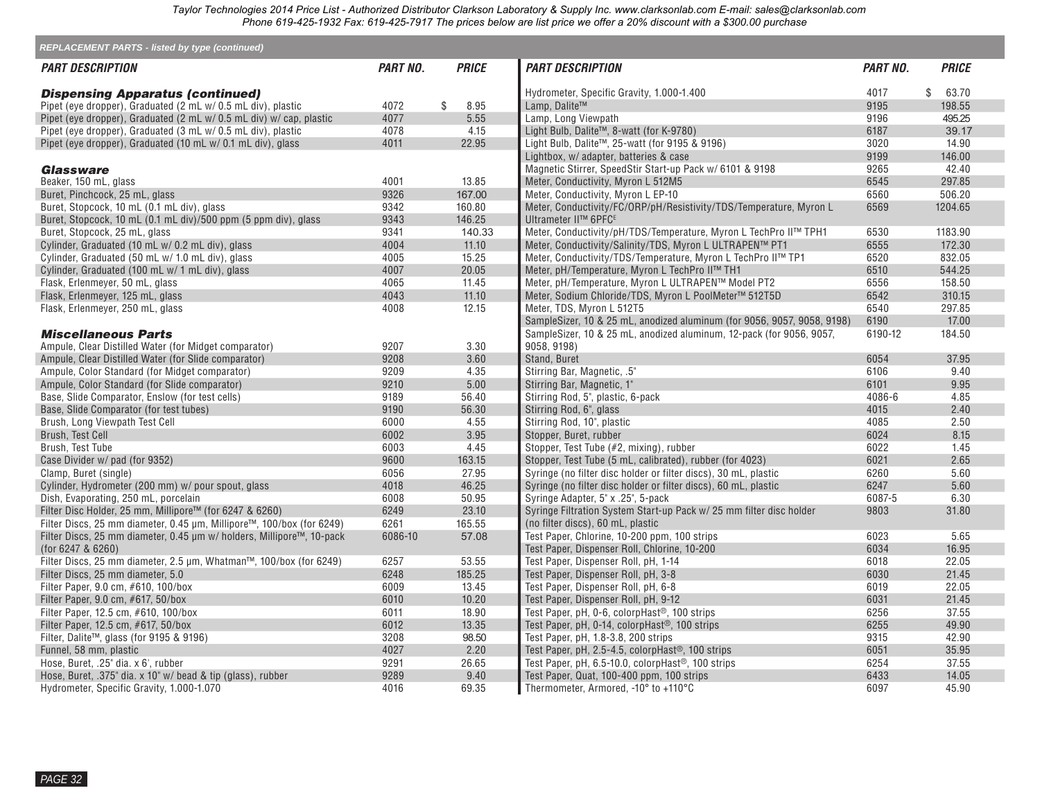| <b>REPLACEMENT PARTS - listed by type (continued)</b>                       |                        |                |                                                                                                            |                 |                |
|-----------------------------------------------------------------------------|------------------------|----------------|------------------------------------------------------------------------------------------------------------|-----------------|----------------|
| <i><b>PART DESCRIPTION</b></i>                                              | <i><b>PART NO.</b></i> | <b>PRICE</b>   | <b>PART DESCRIPTION</b>                                                                                    | <i>PART NO.</i> | <b>PRICE</b>   |
| <b>Dispensing Apparatus (continued)</b>                                     |                        |                | Hydrometer, Specific Gravity, 1.000-1.400                                                                  | 4017            | \$<br>63.70    |
| Pipet (eye dropper), Graduated (2 mL w/ 0.5 mL div), plastic                | 4072                   | \$<br>8.95     | Lamp, Dalite™                                                                                              | 9195            | 198.55         |
| Pipet (eye dropper), Graduated (2 mL w/ 0.5 mL div) w/ cap, plastic         | 4077                   | 5.55           | Lamp, Long Viewpath                                                                                        | 9196            | 495.25         |
| Pipet (eye dropper), Graduated (3 mL w/ 0.5 mL div), plastic                | 4078                   | 4.15           | Light Bulb, Dalite™, 8-watt (for K-9780)                                                                   | 6187            | 39.17          |
| Pipet (eye dropper), Graduated (10 mL w/ 0.1 mL div), glass                 | 4011                   | 22.95          | Light Bulb, Dalite™, 25-watt (for 9195 & 9196)                                                             | 3020            | 14.90          |
|                                                                             |                        |                | Lightbox, w/ adapter, batteries & case                                                                     | 9199            | 146.00         |
| <b>Glassware</b>                                                            |                        |                | Magnetic Stirrer, SpeedStir Start-up Pack w/ 6101 & 9198                                                   | 9265            | 42.40          |
| Beaker, 150 mL, glass                                                       | 4001                   | 13.85          | Meter, Conductivity, Myron L 512M5                                                                         | 6545            | 297.85         |
| Buret, Pinchcock, 25 mL, glass                                              | 9326                   | 167.00         | Meter, Conductivity, Myron L EP-10                                                                         | 6560            | 506.20         |
| Buret, Stopcock, 10 mL (0.1 mL div), glass                                  | 9342                   | 160.80         | Meter, Conductivity/FC/ORP/pH/Resistivity/TDS/Temperature, Myron L                                         | 6569            | 1204.65        |
| Buret, Stopcock, 10 mL (0.1 mL div)/500 ppm (5 ppm div), glass              | 9343                   | 146.25         | Ultrameter II™ 6PFC <sup>E</sup>                                                                           |                 |                |
| Buret, Stopcock, 25 mL, glass                                               | 9341                   | 140.33         | Meter, Conductivity/pH/TDS/Temperature, Myron L TechPro II™ TPH1                                           | 6530            | 1183.90        |
| Cylinder, Graduated (10 mL w/ 0.2 mL div), glass                            | 4004                   | 11.10          | Meter, Conductivity/Salinity/TDS, Myron L ULTRAPEN™ PT1                                                    | 6555            | 172.30         |
| Cylinder, Graduated (50 mL w/ 1.0 mL div), glass                            | 4005                   | 15.25          | Meter, Conductivity/TDS/Temperature, Myron L TechPro II™ TP1                                               | 6520            | 832.05         |
| Cylinder, Graduated (100 mL w/ 1 mL div), glass                             | 4007                   | 20.05          | Meter, pH/Temperature, Myron L TechPro II™ TH1                                                             | 6510            | 544.25         |
| Flask, Erlenmeyer, 50 mL, glass                                             | 4065                   | 11.45          | Meter, pH/Temperature, Myron L ULTRAPEN™ Model PT2                                                         | 6556            | 158.50         |
| Flask, Erlenmeyer, 125 mL, glass                                            | 4043                   | 11.10          | Meter, Sodium Chloride/TDS, Myron L PoolMeter™ 512T5D                                                      | 6542            | 310.15         |
| Flask, Erlenmeyer, 250 mL, glass                                            | 4008                   | 12.15          | Meter, TDS, Myron L 512T5                                                                                  | 6540            | 297.85         |
|                                                                             |                        |                | SampleSizer, 10 & 25 mL, anodized aluminum (for 9056, 9057, 9058, 9198)                                    | 6190            | 17.00          |
| <b>Miscellaneous Parts</b>                                                  |                        |                | SampleSizer, 10 & 25 mL, anodized aluminum, 12-pack (for 9056, 9057,                                       | 6190-12         | 184.50         |
| Ampule, Clear Distilled Water (for Midget comparator)                       | 9207                   | 3.30           | 9058, 9198)                                                                                                |                 |                |
| Ampule, Clear Distilled Water (for Slide comparator)                        | 9208                   | 3.60           | Stand, Buret                                                                                               | 6054            | 37.95          |
| Ampule, Color Standard (for Midget comparator)                              | 9209                   | 4.35           | Stirring Bar, Magnetic, .5"                                                                                | 6106            | 9.40           |
| Ampule, Color Standard (for Slide comparator)                               | 9210                   | 5.00           | Stirring Bar, Magnetic, 1"                                                                                 | 6101            | 9.95           |
| Base, Slide Comparator, Enslow (for test cells)                             | 9189                   | 56.40          | Stirring Rod, 5", plastic, 6-pack                                                                          | 4086-6          | 4.85           |
| Base, Slide Comparator (for test tubes)                                     | 9190                   | 56.30          | Stirring Rod, 6", glass                                                                                    | 4015            | 2.40           |
| Brush, Long Viewpath Test Cell                                              | 6000                   | 4.55           | Stirring Rod, 10", plastic                                                                                 | 4085            | 2.50           |
| Brush, Test Cell                                                            | 6002                   | 3.95           | Stopper, Buret, rubber                                                                                     | 6024            | 8.15           |
| Brush, Test Tube                                                            | 6003                   | 4.45           | Stopper, Test Tube (#2, mixing), rubber                                                                    | 6022            | 1.45           |
| Case Divider w/ pad (for 9352)                                              | 9600                   | 163.15         | Stopper, Test Tube (5 mL, calibrated), rubber (for 4023)                                                   | 6021            | 2.65           |
| Clamp, Buret (single)                                                       | 6056                   | 27.95          | Syringe (no filter disc holder or filter discs), 30 mL, plastic                                            | 6260            | 5.60           |
| Cylinder, Hydrometer (200 mm) w/ pour spout, glass                          | 4018                   | 46.25          | Syringe (no filter disc holder or filter discs), 60 mL, plastic                                            | 6247            | 5.60           |
| Dish, Evaporating, 250 mL, porcelain                                        | 6008                   | 50.95          | Syringe Adapter, 5" x .25", 5-pack                                                                         | 6087-5          | 6.30           |
| Filter Disc Holder, 25 mm, Millipore™ (for 6247 & 6260)                     | 6249                   | 23.10          | Syringe Filtration System Start-up Pack w/ 25 mm filter disc holder                                        | 9803            | 31.80          |
| Filter Discs, 25 mm diameter, 0.45 µm, Millipore™, 100/box (for 6249)       | 6261                   | 165.55         | (no filter discs), 60 mL, plastic                                                                          |                 |                |
| Filter Discs, 25 mm diameter, 0.45 µm w/ holders, Millipore™, 10-pack       | 6086-10                | 57.08          | Test Paper, Chlorine, 10-200 ppm, 100 strips                                                               | 6023            | 5.65           |
| (for 6247 & 6260)                                                           |                        |                | Test Paper, Dispenser Roll, Chlorine, 10-200                                                               | 6034            | 16.95          |
| Filter Discs, 25 mm diameter, 2.5 µm, Whatman™, 100/box (for 6249)          | 6257                   | 53.55          | Test Paper, Dispenser Roll, pH, 1-14                                                                       | 6018            | 22.05          |
| Filter Discs, 25 mm diameter, 5.0                                           | 6248<br>6009           | 185.25         | Test Paper, Dispenser Roll, pH, 3-8                                                                        | 6030<br>6019    | 21.45          |
| Filter Paper, 9.0 cm, #610, 100/box                                         | 6010                   | 13.45<br>10.20 | Test Paper, Dispenser Roll, pH, 6-8                                                                        | 6031            | 22.05<br>21.45 |
| Filter Paper, 9.0 cm, #617, 50/box                                          | 6011                   | 18.90          | Test Paper, Dispenser Roll, pH, 9-12                                                                       | 6256            | 37.55          |
| Filter Paper, 12.5 cm, #610, 100/box<br>Filter Paper, 12.5 cm, #617, 50/box | 6012                   | 13.35          | Test Paper, pH, 0-6, colorpHast <sup>®</sup> , 100 strips<br>Test Paper, pH, 0-14, colorpHast®, 100 strips | 6255            | 49.90          |
| Filter, Dalite™, glass (for 9195 & 9196)                                    | 3208                   | 98.50          | Test Paper, pH, 1.8-3.8, 200 strips                                                                        | 9315            | 42.90          |
| Funnel, 58 mm, plastic                                                      | 4027                   | 2.20           | Test Paper, pH, 2.5-4.5, colorpHast <sup>®</sup> , 100 strips                                              | 6051            | 35.95          |
| Hose, Buret, .25" dia. x 6', rubber                                         | 9291                   | 26.65          | Test Paper, pH, $6.5$ -10.0, colorp $\text{Hast}^{\circledR}$ , 100 strips                                 | 6254            | 37.55          |
| Hose, Buret, $.375$ " dia. x 10" w/ bead & tip (glass), rubber              | 9289                   | 9.40           | Test Paper, Quat, 100-400 ppm, 100 strips                                                                  | 6433            | 14.05          |
| Hydrometer, Specific Gravity, 1.000-1.070                                   | 4016                   | 69.35          | Thermometer, Armored, -10° to +110°C                                                                       | 6097            | 45.90          |
|                                                                             |                        |                |                                                                                                            |                 |                |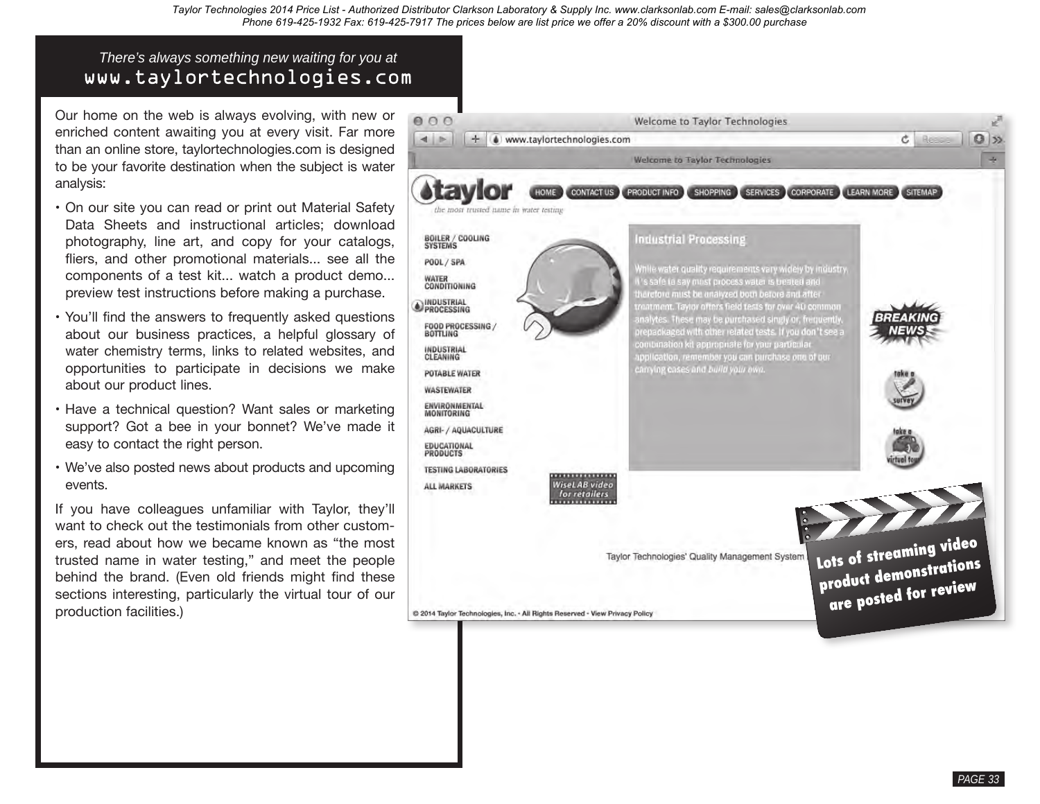# *There's always something new waiting for you at* www.taylortechnologies.com

Our home on the web is always evolving, with new or enriched content awaiting you at every visit. Far more than an online store, taylortechnologies.com is designed to be your favorite destination when the subject is water analysis:

- On our site you can read or print out Material Safety Data Sheets and instructional articles; download photography, line art, and copy for your catalogs, fliers, and other promotional materials... see all the components of a test kit... watch a product demo... preview test instructions before making a purchase.
- • You'll find the answers to frequently asked questions about our business practices, a helpful glossary of water chemistry terms, links to related websites, and opportunities to participate in decisions we make about our product lines.
- Have a technical question? Want sales or marketing support? Got a bee in your bonnet? We've made it easy to contact the right person.
- We've also posted news about products and upcoming events.

If you have colleagues unfamiliar with Taylor, they'll want to check out the testimonials from other customers, read about how we became known as "the most trusted name in water testing," and meet the people behind the brand. (Even old friends might find these sections interesting, particularly the virtual tour of our production facilities.)



*PAGE 33*